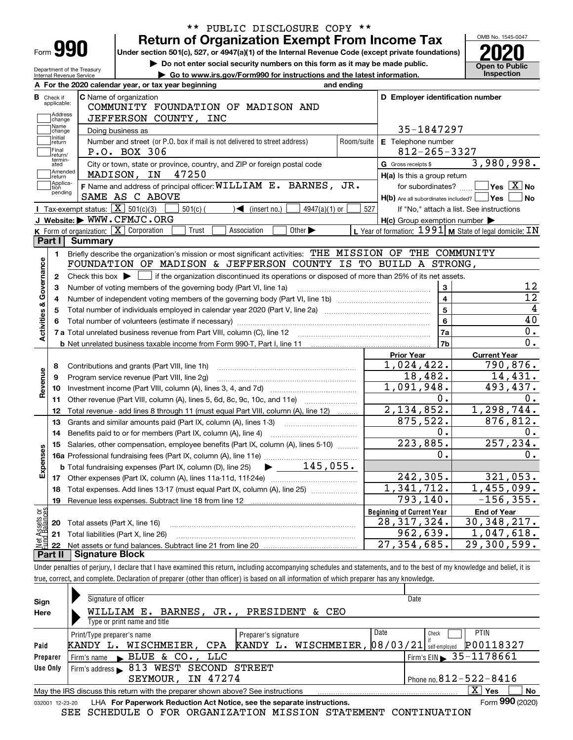|                                                        | <b>Return of Organization Exempt From Income Tax</b>                                                                                                  |                             |            |                                                           | OMB No. 1545-0047                                                                                                                                                                                                               |
|--------------------------------------------------------|-------------------------------------------------------------------------------------------------------------------------------------------------------|-----------------------------|------------|-----------------------------------------------------------|---------------------------------------------------------------------------------------------------------------------------------------------------------------------------------------------------------------------------------|
| Form 990                                               | Under section 501(c), 527, or 4947(a)(1) of the Internal Revenue Code (except private foundations)                                                    |                             |            |                                                           |                                                                                                                                                                                                                                 |
|                                                        | Do not enter social security numbers on this form as it may be made public.                                                                           |                             |            |                                                           | <b>Open to Public</b>                                                                                                                                                                                                           |
| Department of the Treasury<br>Internal Revenue Service | Go to www.irs.gov/Form990 for instructions and the latest information.                                                                                |                             |            |                                                           | Inspection                                                                                                                                                                                                                      |
|                                                        | A For the 2020 calendar year, or tax year beginning                                                                                                   |                             | and ending |                                                           |                                                                                                                                                                                                                                 |
| <b>B</b> Check if                                      | C Name of organization                                                                                                                                |                             |            | D Employer identification number                          |                                                                                                                                                                                                                                 |
| applicable:                                            | COMMUNITY FOUNDATION OF MADISON AND                                                                                                                   |                             |            |                                                           |                                                                                                                                                                                                                                 |
| Address<br>change                                      | JEFFERSON COUNTY, INC                                                                                                                                 |                             |            |                                                           |                                                                                                                                                                                                                                 |
| Name<br>change                                         | Doing business as                                                                                                                                     |                             |            | 35-1847297                                                |                                                                                                                                                                                                                                 |
| Initial<br>return                                      | Number and street (or P.O. box if mail is not delivered to street address)                                                                            |                             | Room/suite | E Telephone number                                        |                                                                                                                                                                                                                                 |
| Final<br>return/                                       | P.O. BOX 306                                                                                                                                          |                             |            | $812 - 265 - 3327$                                        |                                                                                                                                                                                                                                 |
| termin-<br>ated                                        | City or town, state or province, country, and ZIP or foreign postal code                                                                              |                             |            | G Gross receipts \$                                       | 3,980,998.                                                                                                                                                                                                                      |
| Amended<br>Ireturn                                     | MADISON, IN 47250                                                                                                                                     |                             |            | H(a) Is this a group return                               |                                                                                                                                                                                                                                 |
| Applica-<br>tion<br>pending                            | F Name and address of principal officer: WILLIAM E. BARNES, JR.                                                                                       |                             |            | for subordinates?                                         | $\sqrt{}$ Yes $\sqrt{X}$ No                                                                                                                                                                                                     |
|                                                        | SAME AS C ABOVE                                                                                                                                       |                             |            | $H(b)$ Are all subordinates included? $\Box$ Yes $\Box$   | ∣No                                                                                                                                                                                                                             |
| Tax-exempt status: $\boxed{\mathbf{X}}$ 501(c)(3)      | $501(c)$ (<br>$\sqrt{\frac{2}{\pi}}$ (insert no.)                                                                                                     | $4947(a)(1)$ or             | 527        |                                                           | If "No," attach a list. See instructions                                                                                                                                                                                        |
|                                                        | J Website: WWW.CFMJC.ORG                                                                                                                              |                             |            | $H(c)$ Group exemption number $\blacktriangleright$       |                                                                                                                                                                                                                                 |
|                                                        | K Form of organization: X Corporation<br>Trust<br>Association                                                                                         | Other $\blacktriangleright$ |            | L Year of formation: 1991   M State of legal domicile: IN |                                                                                                                                                                                                                                 |
| Part I<br>Summary                                      |                                                                                                                                                       |                             |            |                                                           |                                                                                                                                                                                                                                 |
| 1.                                                     | Briefly describe the organization's mission or most significant activities: THE MISSION OF THE COMMUNITY                                              |                             |            |                                                           |                                                                                                                                                                                                                                 |
|                                                        | FOUNDATION OF MADISON & JEFFERSON COUNTY IS TO BUILD A STRONG,                                                                                        |                             |            |                                                           |                                                                                                                                                                                                                                 |
|                                                        |                                                                                                                                                       |                             |            |                                                           |                                                                                                                                                                                                                                 |
| 2                                                      | Check this box $\blacktriangleright$ $\Box$ if the organization discontinued its operations or disposed of more than 25% of its net assets.           |                             |            |                                                           |                                                                                                                                                                                                                                 |
| з                                                      | Number of voting members of the governing body (Part VI, line 1a)                                                                                     |                             |            | 3                                                         |                                                                                                                                                                                                                                 |
| 4                                                      |                                                                                                                                                       |                             |            | $\overline{\mathbf{4}}$                                   |                                                                                                                                                                                                                                 |
| 5                                                      |                                                                                                                                                       |                             |            | 5                                                         |                                                                                                                                                                                                                                 |
|                                                        |                                                                                                                                                       |                             |            | 6                                                         |                                                                                                                                                                                                                                 |
|                                                        |                                                                                                                                                       |                             |            | 7a                                                        |                                                                                                                                                                                                                                 |
|                                                        |                                                                                                                                                       |                             |            | 7 <sub>b</sub>                                            |                                                                                                                                                                                                                                 |
|                                                        |                                                                                                                                                       |                             |            | <b>Prior Year</b>                                         | <b>Current Year</b>                                                                                                                                                                                                             |
| 8                                                      | Contributions and grants (Part VIII, line 1h)                                                                                                         |                             |            | 1,024,422.                                                |                                                                                                                                                                                                                                 |
| 9                                                      | Program service revenue (Part VIII, line 2g)                                                                                                          |                             |            | 18,482.                                                   |                                                                                                                                                                                                                                 |
| 10                                                     |                                                                                                                                                       |                             |            | 1,091,948.                                                |                                                                                                                                                                                                                                 |
| 11                                                     | Other revenue (Part VIII, column (A), lines 5, 6d, 8c, 9c, 10c, and 11e)                                                                              |                             |            | $\overline{0}$ .                                          |                                                                                                                                                                                                                                 |
| 12                                                     | Total revenue - add lines 8 through 11 (must equal Part VIII, column (A), line 12)                                                                    |                             |            | 2,134,852.                                                |                                                                                                                                                                                                                                 |
| 13                                                     | Grants and similar amounts paid (Part IX, column (A), lines 1-3)                                                                                      |                             |            | 875,522.                                                  |                                                                                                                                                                                                                                 |
| 14                                                     | Benefits paid to or for members (Part IX, column (A), line 4)                                                                                         |                             |            | 0.                                                        |                                                                                                                                                                                                                                 |
| 15                                                     | Salaries, other compensation, employee benefits (Part IX, column (A), lines 5-10)                                                                     |                             |            | 223,885.                                                  |                                                                                                                                                                                                                                 |
|                                                        | 16a Professional fundraising fees (Part IX, column (A), line 11e)                                                                                     | <u></u>                     |            | О.                                                        |                                                                                                                                                                                                                                 |
|                                                        | <b>b</b> Total fundraising expenses (Part IX, column (D), line 25)                                                                                    | 145,055.                    |            |                                                           |                                                                                                                                                                                                                                 |
|                                                        |                                                                                                                                                       |                             |            | 242,305.                                                  |                                                                                                                                                                                                                                 |
| 18                                                     | Total expenses. Add lines 13-17 (must equal Part IX, column (A), line 25)                                                                             |                             |            | $\overline{1,341,712}$ .                                  |                                                                                                                                                                                                                                 |
| 19                                                     | Revenue less expenses. Subtract line 18 from line 12                                                                                                  |                             |            | 793,140.                                                  |                                                                                                                                                                                                                                 |
|                                                        |                                                                                                                                                       |                             |            | <b>Beginning of Current Year</b>                          | 12<br>$\overline{12}$<br>40<br>0.<br>$\overline{0}$ .<br>790,876.<br>14,431.<br>493,437.<br>0.<br>1,298,744.<br>876,812.<br>0.<br>257, 234.<br>0.<br>321,053.<br>$\overline{1,}$ 455,099.<br>$-156, 355.$<br><b>End of Year</b> |
| 20                                                     | Total assets (Part X, line 16)                                                                                                                        |                             |            | 28,317,324.                                               | 30, 348, 217.                                                                                                                                                                                                                   |
| Net Assets or<br>Fund Balances<br>21<br>22             | Total liabilities (Part X, line 26)<br>and a complete the contract of the complete the complete the complete the complete the complete the complete t |                             |            | 962,639.<br>$\overline{27}$ , 354, 685.                   | 1,047,618.<br>$\overline{29,300,599}$ .                                                                                                                                                                                         |

true, correct, and complete. Declaration of preparer (other than officer) is based on all information of which preparer has any knowledge.

| Sign            | Signature of officer                                                            | Date                                         |
|-----------------|---------------------------------------------------------------------------------|----------------------------------------------|
| Here            | WILLIAM E.<br>BARNES, JR., PRESIDENT<br>& CEO                                   |                                              |
|                 | Type or print name and title                                                    |                                              |
|                 | Date<br>Preparer's signature<br>Print/Type preparer's name                      | <b>PTIN</b><br>Check                         |
| Paid            | KANDY L. WISCHMEIER, $ 08/03/21 $<br>WISCHMEIER.<br>CPA<br>KANDY L.             | P00118327<br>self-emploved                   |
| Preparer        | BLUE & CO., LLC<br>Firm's name                                                  | $\frac{1}{2}$ Firm's EIN $\geq 35 - 1178661$ |
| Use Only        | Firm's address > 813 WEST SECOND STREET                                         |                                              |
|                 | SEYMOUR, IN 47274                                                               | Phone no. $812 - 522 - 8416$                 |
|                 | May the IRS discuss this return with the preparer shown above? See instructions | ΧI<br>Yes<br>No                              |
| 032001 12-23-20 | LHA For Paperwork Reduction Act Notice, see the separate instructions.          | Form 990 (2020)                              |

SEE SCHEDULE O FOR ORGANIZATION MISSION STATEMENT CONTINUATION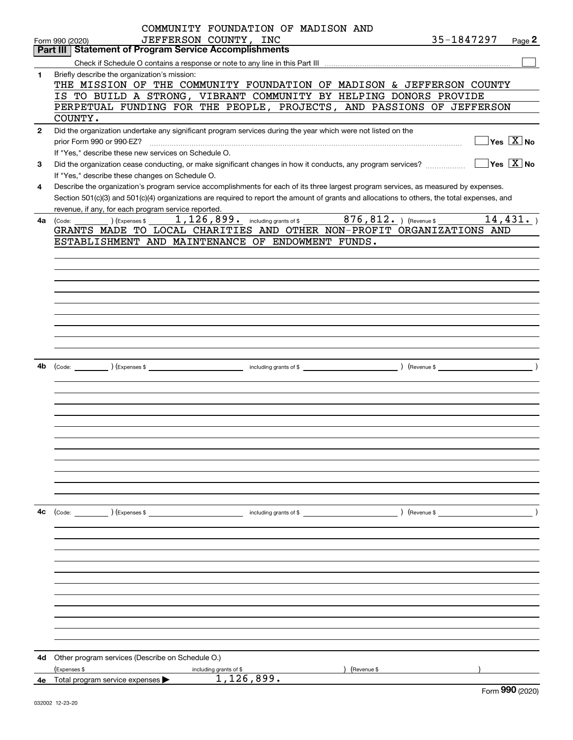|              | COMMUNITY FOUNDATION OF MADISON AND                                                                                                          |                                                 |                                         |
|--------------|----------------------------------------------------------------------------------------------------------------------------------------------|-------------------------------------------------|-----------------------------------------|
|              | JEFFERSON COUNTY, INC<br>Form 990 (2020)                                                                                                     | 35-1847297 $_{Page}$ 2                          |                                         |
|              | Part III   Statement of Program Service Accomplishments                                                                                      |                                                 |                                         |
|              |                                                                                                                                              |                                                 |                                         |
| 1            | Briefly describe the organization's mission:                                                                                                 |                                                 |                                         |
|              | THE MISSION OF THE COMMUNITY FOUNDATION OF MADISON & JEFFERSON COUNTY                                                                        |                                                 |                                         |
|              | IS TO BUILD A STRONG, VIBRANT COMMUNITY BY HELPING DONORS PROVIDE                                                                            |                                                 |                                         |
|              | PERPETUAL FUNDING FOR THE PEOPLE, PROJECTS, AND PASSIONS OF JEFFERSON                                                                        |                                                 |                                         |
|              | COUNTY.                                                                                                                                      |                                                 |                                         |
| $\mathbf{2}$ | Did the organization undertake any significant program services during the year which were not listed on the                                 |                                                 |                                         |
|              | prior Form 990 or 990-EZ?                                                                                                                    |                                                 | $\Box$ Yes $[\overline{\mathrm{X}}]$ No |
|              | If "Yes," describe these new services on Schedule O.                                                                                         |                                                 |                                         |
| 3            | Did the organization cease conducting, or make significant changes in how it conducts, any program services?                                 | $\boxed{\phantom{1}}$ Yes $\boxed{\text{X}}$ No |                                         |
|              | If "Yes," describe these changes on Schedule O.                                                                                              |                                                 |                                         |
| 4            | Describe the organization's program service accomplishments for each of its three largest program services, as measured by expenses.         |                                                 |                                         |
|              | Section 501(c)(3) and 501(c)(4) organizations are required to report the amount of grants and allocations to others, the total expenses, and |                                                 |                                         |
|              | revenue, if any, for each program service reported.                                                                                          |                                                 |                                         |
| 4a l         | ) (Expenses \$ $1$ , $126$ , $899$ $\cdot$ including grants of \$ $876$ , $812$ $\cdot$ ) (Revenue \$<br>(Code:                              |                                                 | 14,431.                                 |
|              | GRANTS MADE TO LOCAL CHARITIES AND OTHER NON-PROFIT ORGANIZATIONS AND                                                                        |                                                 |                                         |
|              | ESTABLISHMENT AND MAINTENANCE OF ENDOWMENT FUNDS.                                                                                            |                                                 |                                         |
|              |                                                                                                                                              |                                                 |                                         |
|              |                                                                                                                                              |                                                 |                                         |
|              |                                                                                                                                              |                                                 |                                         |
|              |                                                                                                                                              |                                                 |                                         |
|              |                                                                                                                                              |                                                 |                                         |
|              |                                                                                                                                              |                                                 |                                         |
|              |                                                                                                                                              |                                                 |                                         |
|              |                                                                                                                                              |                                                 |                                         |
|              |                                                                                                                                              |                                                 |                                         |
|              |                                                                                                                                              |                                                 |                                         |
| 4b           |                                                                                                                                              |                                                 |                                         |
|              |                                                                                                                                              |                                                 |                                         |
|              |                                                                                                                                              |                                                 |                                         |
|              |                                                                                                                                              |                                                 |                                         |
|              |                                                                                                                                              |                                                 |                                         |
|              |                                                                                                                                              |                                                 |                                         |
|              |                                                                                                                                              |                                                 |                                         |
|              |                                                                                                                                              |                                                 |                                         |
|              |                                                                                                                                              |                                                 |                                         |
|              |                                                                                                                                              |                                                 |                                         |
|              |                                                                                                                                              |                                                 |                                         |
|              |                                                                                                                                              |                                                 |                                         |
|              |                                                                                                                                              |                                                 |                                         |
| 4с           | (Code: ) (Expenses \$<br>including grants of $$$                                                                                             | (Revenue \$                                     |                                         |
|              |                                                                                                                                              |                                                 |                                         |
|              |                                                                                                                                              |                                                 |                                         |
|              |                                                                                                                                              |                                                 |                                         |
|              |                                                                                                                                              |                                                 |                                         |
|              |                                                                                                                                              |                                                 |                                         |
|              |                                                                                                                                              |                                                 |                                         |
|              |                                                                                                                                              |                                                 |                                         |
|              |                                                                                                                                              |                                                 |                                         |
|              |                                                                                                                                              |                                                 |                                         |
|              |                                                                                                                                              |                                                 |                                         |
|              |                                                                                                                                              |                                                 |                                         |
|              |                                                                                                                                              |                                                 |                                         |
| 4d           | Other program services (Describe on Schedule O.)                                                                                             |                                                 |                                         |
|              | (Expenses \$<br>(Revenue \$<br>including grants of \$                                                                                        |                                                 |                                         |
| 4е           | 1,126,899.<br>Total program service expenses                                                                                                 |                                                 |                                         |
|              |                                                                                                                                              |                                                 | $000$ (2222)                            |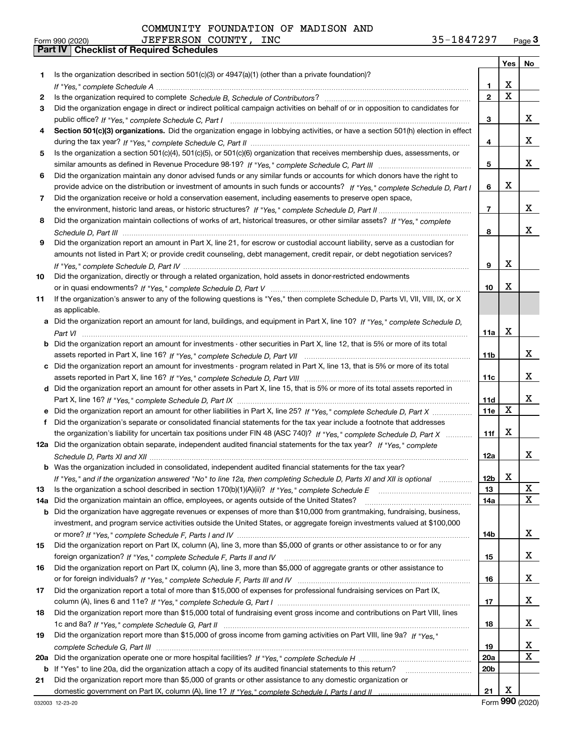|     |                                                                                                                                       |                 |   | Yes   No |
|-----|---------------------------------------------------------------------------------------------------------------------------------------|-----------------|---|----------|
| 1   | Is the organization described in section $501(c)(3)$ or $4947(a)(1)$ (other than a private foundation)?                               |                 |   |          |
|     |                                                                                                                                       | 1               | х |          |
| 2   |                                                                                                                                       | $\overline{2}$  | X |          |
| 3   | Did the organization engage in direct or indirect political campaign activities on behalf of or in opposition to candidates for       |                 |   |          |
|     |                                                                                                                                       | з               |   | x        |
| 4   | Section 501(c)(3) organizations. Did the organization engage in lobbying activities, or have a section 501(h) election in effect      |                 |   |          |
|     |                                                                                                                                       | 4               |   | x        |
| 5   | Is the organization a section 501(c)(4), 501(c)(5), or 501(c)(6) organization that receives membership dues, assessments, or          |                 |   |          |
|     |                                                                                                                                       | 5               |   | x        |
| 6   | Did the organization maintain any donor advised funds or any similar funds or accounts for which donors have the right to             |                 |   |          |
|     | provide advice on the distribution or investment of amounts in such funds or accounts? If "Yes," complete Schedule D, Part I          | 6               | x |          |
| 7   | Did the organization receive or hold a conservation easement, including easements to preserve open space,                             |                 |   |          |
|     |                                                                                                                                       | $\overline{7}$  |   | x        |
| 8   | Did the organization maintain collections of works of art, historical treasures, or other similar assets? If "Yes," complete          |                 |   |          |
|     |                                                                                                                                       | 8               |   | x        |
| 9   | Did the organization report an amount in Part X, line 21, for escrow or custodial account liability, serve as a custodian for         |                 |   |          |
|     | amounts not listed in Part X; or provide credit counseling, debt management, credit repair, or debt negotiation services?             |                 |   |          |
|     |                                                                                                                                       | 9               | X |          |
| 10  | Did the organization, directly or through a related organization, hold assets in donor-restricted endowments                          |                 |   |          |
|     |                                                                                                                                       | 10              | х |          |
| 11  | If the organization's answer to any of the following questions is "Yes," then complete Schedule D, Parts VI, VII, VIII, IX, or X      |                 |   |          |
|     | as applicable.                                                                                                                        |                 |   |          |
|     | a Did the organization report an amount for land, buildings, and equipment in Part X, line 10? If "Yes," complete Schedule D.         |                 |   |          |
|     |                                                                                                                                       | 11a             | X |          |
|     | <b>b</b> Did the organization report an amount for investments - other securities in Part X, line 12, that is 5% or more of its total |                 |   | x        |
|     |                                                                                                                                       | 11 <sub>b</sub> |   |          |
|     | c Did the organization report an amount for investments - program related in Part X, line 13, that is 5% or more of its total         | 11c             |   | x        |
|     | d Did the organization report an amount for other assets in Part X, line 15, that is 5% or more of its total assets reported in       |                 |   |          |
|     |                                                                                                                                       | 11d             |   | x        |
|     | e Did the organization report an amount for other liabilities in Part X, line 25? If "Yes," complete Schedule D, Part X               | 11e             | X |          |
| f   | Did the organization's separate or consolidated financial statements for the tax year include a footnote that addresses               |                 |   |          |
|     | the organization's liability for uncertain tax positions under FIN 48 (ASC 740)? If "Yes," complete Schedule D, Part X                | 11f             | x |          |
|     | 12a Did the organization obtain separate, independent audited financial statements for the tax year? If "Yes," complete               |                 |   |          |
|     |                                                                                                                                       | 12a             |   | x        |
|     | <b>b</b> Was the organization included in consolidated, independent audited financial statements for the tax year?                    |                 |   |          |
|     | If "Yes," and if the organization answered "No" to line 12a, then completing Schedule D, Parts XI and XII is optional                 | 12 <sub>b</sub> | X |          |
| 13  |                                                                                                                                       | 13              |   | X        |
| 14a | Did the organization maintain an office, employees, or agents outside of the United States?                                           | 14a             |   | x        |
|     | <b>b</b> Did the organization have aggregate revenues or expenses of more than \$10,000 from grantmaking, fundraising, business,      |                 |   |          |
|     | investment, and program service activities outside the United States, or aggregate foreign investments valued at \$100,000            |                 |   |          |
|     |                                                                                                                                       | 14b             |   | x        |
| 15  | Did the organization report on Part IX, column (A), line 3, more than \$5,000 of grants or other assistance to or for any             |                 |   |          |
|     |                                                                                                                                       | 15              |   | x        |
| 16  | Did the organization report on Part IX, column (A), line 3, more than \$5,000 of aggregate grants or other assistance to              |                 |   |          |
|     |                                                                                                                                       | 16              |   | x        |
| 17  | Did the organization report a total of more than \$15,000 of expenses for professional fundraising services on Part IX,               |                 |   |          |
|     |                                                                                                                                       | 17              |   | x        |
| 18  | Did the organization report more than \$15,000 total of fundraising event gross income and contributions on Part VIII, lines          |                 |   |          |
|     |                                                                                                                                       | 18              |   | x        |
| 19  | Did the organization report more than \$15,000 of gross income from gaming activities on Part VIII, line 9a? If "Yes."                |                 |   |          |
|     |                                                                                                                                       | 19              |   | x        |
|     |                                                                                                                                       | 20a             |   | x        |
|     | <b>b</b> If "Yes" to line 20a, did the organization attach a copy of its audited financial statements to this return?                 | 20 <sub>b</sub> |   |          |
| 21  | Did the organization report more than \$5,000 of grants or other assistance to any domestic organization or                           |                 |   |          |
|     |                                                                                                                                       | 21              | х |          |

Form (2020) **990**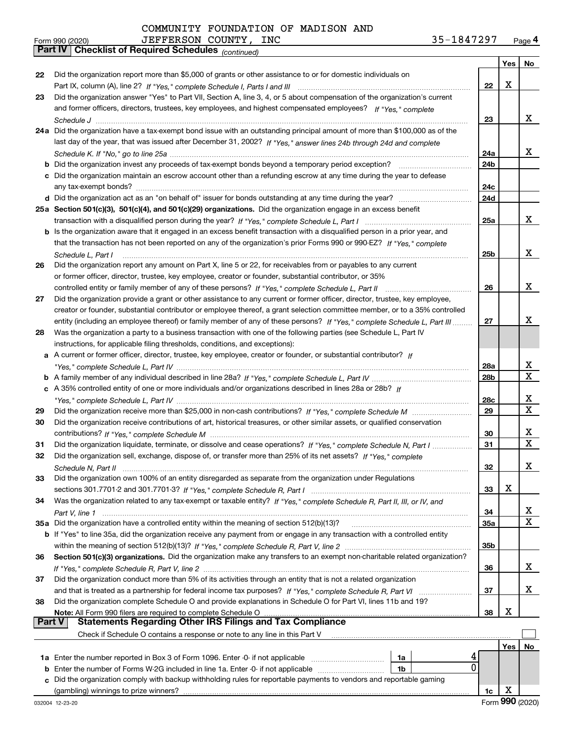|        | JEFFERSON COUNTY, INC<br>35-1847297<br>Form 990 (2020)                                                                       |                 |     | Page 4      |
|--------|------------------------------------------------------------------------------------------------------------------------------|-----------------|-----|-------------|
|        | <b>Checklist of Required Schedules</b> (continued)<br>  Part IV                                                              |                 |     |             |
|        |                                                                                                                              |                 | Yes | No          |
| 22     | Did the organization report more than \$5,000 of grants or other assistance to or for domestic individuals on                |                 |     |             |
|        |                                                                                                                              | 22              | х   |             |
| 23     | Did the organization answer "Yes" to Part VII, Section A, line 3, 4, or 5 about compensation of the organization's current   |                 |     |             |
|        | and former officers, directors, trustees, key employees, and highest compensated employees? If "Yes," complete               |                 |     |             |
|        |                                                                                                                              | 23              |     | x           |
|        | 24a Did the organization have a tax-exempt bond issue with an outstanding principal amount of more than \$100,000 as of the  |                 |     |             |
|        | last day of the year, that was issued after December 31, 2002? If "Yes," answer lines 24b through 24d and complete           |                 |     |             |
|        |                                                                                                                              | 24a             |     | x           |
|        | <b>b</b> Did the organization invest any proceeds of tax-exempt bonds beyond a temporary period exception?                   | 24b             |     |             |
|        | c Did the organization maintain an escrow account other than a refunding escrow at any time during the year to defease       |                 |     |             |
|        |                                                                                                                              | 24c             |     |             |
|        |                                                                                                                              | 24d             |     |             |
|        | 25a Section 501(c)(3), 501(c)(4), and 501(c)(29) organizations. Did the organization engage in an excess benefit             |                 |     |             |
|        |                                                                                                                              | 25a             |     | x           |
|        |                                                                                                                              |                 |     |             |
|        | b Is the organization aware that it engaged in an excess benefit transaction with a disqualified person in a prior year, and |                 |     |             |
|        | that the transaction has not been reported on any of the organization's prior Forms 990 or 990-EZ? If "Yes," complete        |                 |     | x           |
|        | Schedule L, Part I                                                                                                           | 25 <sub>b</sub> |     |             |
| 26     | Did the organization report any amount on Part X, line 5 or 22, for receivables from or payables to any current              |                 |     |             |
|        | or former officer, director, trustee, key employee, creator or founder, substantial contributor, or 35%                      |                 |     |             |
|        | controlled entity or family member of any of these persons? If "Yes," complete Schedule L, Part II                           | 26              |     | x           |
| 27     | Did the organization provide a grant or other assistance to any current or former officer, director, trustee, key employee,  |                 |     |             |
|        | creator or founder, substantial contributor or employee thereof, a grant selection committee member, or to a 35% controlled  |                 |     |             |
|        | entity (including an employee thereof) or family member of any of these persons? If "Yes," complete Schedule L, Part III     | 27              |     | х           |
| 28     | Was the organization a party to a business transaction with one of the following parties (see Schedule L, Part IV            |                 |     |             |
|        | instructions, for applicable filing thresholds, conditions, and exceptions):                                                 |                 |     |             |
| а      | A current or former officer, director, trustee, key employee, creator or founder, or substantial contributor? If             |                 |     |             |
|        |                                                                                                                              | 28a             |     | х           |
|        |                                                                                                                              | 28b             |     | $\mathbf x$ |
|        | c A 35% controlled entity of one or more individuals and/or organizations described in lines 28a or 28b? If                  |                 |     |             |
|        |                                                                                                                              | 28c             |     | х           |
| 29     |                                                                                                                              | 29              |     | $\mathbf X$ |
| 30     | Did the organization receive contributions of art, historical treasures, or other similar assets, or qualified conservation  |                 |     |             |
|        |                                                                                                                              | 30              |     | х           |
| 31     | Did the organization liquidate, terminate, or dissolve and cease operations? If "Yes," complete Schedule N, Part I           | 31              |     | $\mathbf X$ |
| 32     | Did the organization sell, exchange, dispose of, or transfer more than 25% of its net assets? If "Yes," complete             |                 |     |             |
|        |                                                                                                                              | 32              |     | x           |
| 33     | Did the organization own 100% of an entity disregarded as separate from the organization under Regulations                   |                 |     |             |
|        |                                                                                                                              | 33              | х   |             |
| 34     | Was the organization related to any tax-exempt or taxable entity? If "Yes," complete Schedule R, Part II, III, or IV, and    |                 |     |             |
|        |                                                                                                                              | 34              |     | x           |
|        | 35a Did the organization have a controlled entity within the meaning of section 512(b)(13)?                                  | 35a             |     | X           |
|        |                                                                                                                              |                 |     |             |
|        | b If "Yes" to line 35a, did the organization receive any payment from or engage in any transaction with a controlled entity  |                 |     |             |
|        |                                                                                                                              | 35b             |     |             |
| 36     | Section 501(c)(3) organizations. Did the organization make any transfers to an exempt non-charitable related organization?   |                 |     |             |
|        |                                                                                                                              | 36              |     | x           |
| 37     | Did the organization conduct more than 5% of its activities through an entity that is not a related organization             |                 |     |             |
|        |                                                                                                                              | 37              |     | x           |
| 38     | Did the organization complete Schedule O and provide explanations in Schedule O for Part VI, lines 11b and 19?               |                 |     |             |
|        | Note: All Form 990 filers are required to complete Schedule O                                                                | 38              | х   |             |
| Part V | <b>Statements Regarding Other IRS Filings and Tax Compliance</b>                                                             |                 |     |             |
|        | Check if Schedule O contains a response or note to any line in this Part V                                                   |                 |     |             |
|        |                                                                                                                              |                 | Yes | No          |
|        | 1a<br>1a Enter the number reported in Box 3 of Form 1096. Enter -0- if not applicable                                        | 4               |     |             |

| <b>1a</b> Enter the number reported in Box 3 of Form 1096. Enter -0- if not applicable                               | 1a             |  |
|----------------------------------------------------------------------------------------------------------------------|----------------|--|
| <b>b</b> Enter the number of Forms W-2G included in line 1a. Enter -0- if not applicable                             | 1 <sub>b</sub> |  |
| c Did the organization comply with backup withholding rules for reportable payments to vendors and reportable gaming |                |  |
| (gambling) winnings to prize winners?                                                                                |                |  |

**1c**

 $\overline{0}$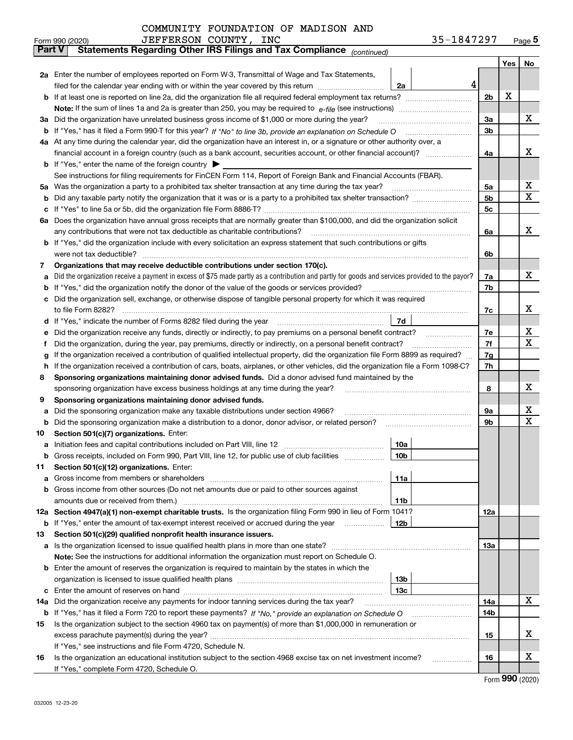| COMMUNITY FOUNDATION OF MADISON AND |  |  |
|-------------------------------------|--|--|
|-------------------------------------|--|--|

|               | 35-1847297<br>JEFFERSON COUNTY, INC<br>Form 990 (2020)                                                                                          |                |     | $_{\text{Page}}$ 5 |
|---------------|-------------------------------------------------------------------------------------------------------------------------------------------------|----------------|-----|--------------------|
| <b>Part V</b> | Statements Regarding Other IRS Filings and Tax Compliance (continued)                                                                           |                |     |                    |
|               |                                                                                                                                                 |                | Yes | No                 |
|               | 2a Enter the number of employees reported on Form W-3, Transmittal of Wage and Tax Statements,                                                  |                |     |                    |
|               | 4<br>filed for the calendar year ending with or within the year covered by this return <i>manumumumum</i><br>2a                                 |                |     |                    |
|               |                                                                                                                                                 | 2 <sub>b</sub> | X   |                    |
|               |                                                                                                                                                 |                |     |                    |
|               | 3a Did the organization have unrelated business gross income of \$1,000 or more during the year?                                                | 3a             |     | х                  |
|               |                                                                                                                                                 | 3b             |     |                    |
|               | 4a At any time during the calendar year, did the organization have an interest in, or a signature or other authority over, a                    |                |     |                    |
|               |                                                                                                                                                 | 4a             |     | х                  |
|               | <b>b</b> If "Yes," enter the name of the foreign country $\blacktriangleright$                                                                  |                |     |                    |
|               | See instructions for filing requirements for FinCEN Form 114, Report of Foreign Bank and Financial Accounts (FBAR).                             |                |     |                    |
|               |                                                                                                                                                 | 5a             |     | х                  |
|               |                                                                                                                                                 | 5b             |     | Χ                  |
|               |                                                                                                                                                 | 5c             |     |                    |
|               | 6a Does the organization have annual gross receipts that are normally greater than \$100,000, and did the organization solicit                  |                |     |                    |
|               |                                                                                                                                                 | 6a             |     | x                  |
|               | <b>b</b> If "Yes," did the organization include with every solicitation an express statement that such contributions or gifts                   |                |     |                    |
|               |                                                                                                                                                 | 6b             |     |                    |
| 7             | Organizations that may receive deductible contributions under section 170(c).                                                                   |                |     |                    |
| а             | Did the organization receive a payment in excess of \$75 made partly as a contribution and partly for goods and services provided to the payor? | 7a             |     | х                  |
|               | <b>b</b> If "Yes," did the organization notify the donor of the value of the goods or services provided?                                        | 7b             |     |                    |
|               | c Did the organization sell, exchange, or otherwise dispose of tangible personal property for which it was required                             |                |     |                    |
|               |                                                                                                                                                 | 7c             |     | х                  |
|               | 7d                                                                                                                                              |                |     |                    |
| е             |                                                                                                                                                 | 7e             |     | х                  |
| f             | Did the organization, during the year, pay premiums, directly or indirectly, on a personal benefit contract?                                    | 7f             |     | X                  |
| g             | If the organization received a contribution of qualified intellectual property, did the organization file Form 8899 as required?                | 7g             |     |                    |
| h.            | If the organization received a contribution of cars, boats, airplanes, or other vehicles, did the organization file a Form 1098-C?              | 7h             |     |                    |
| 8             | Sponsoring organizations maintaining donor advised funds. Did a donor advised fund maintained by the                                            |                |     |                    |
|               | sponsoring organization have excess business holdings at any time during the year?                                                              | 8              |     | х                  |
| 9             | Sponsoring organizations maintaining donor advised funds.                                                                                       |                |     |                    |
| а             | Did the sponsoring organization make any taxable distributions under section 4966?                                                              | 9а             |     | х                  |
|               | <b>b</b> Did the sponsoring organization make a distribution to a donor, donor advisor, or related person?                                      | 9b             |     | х                  |
| 10            | Section 501(c)(7) organizations. Enter:                                                                                                         |                |     |                    |
|               | 10a                                                                                                                                             |                |     |                    |
|               | 10b <br>Gross receipts, included on Form 990, Part VIII, line 12, for public use of club facilities                                             |                |     |                    |
| 11            | Section 501(c)(12) organizations. Enter:                                                                                                        |                |     |                    |
|               | 11a                                                                                                                                             |                |     |                    |
|               | b Gross income from other sources (Do not net amounts due or paid to other sources against                                                      |                |     |                    |
|               | <b>11b</b>                                                                                                                                      |                |     |                    |
|               | 12a Section 4947(a)(1) non-exempt charitable trusts. Is the organization filing Form 990 in lieu of Form 1041?                                  | 12a            |     |                    |
|               | 12b<br><b>b</b> If "Yes," enter the amount of tax-exempt interest received or accrued during the year                                           |                |     |                    |
| 13            | Section 501(c)(29) qualified nonprofit health insurance issuers.                                                                                |                |     |                    |
|               | <b>a</b> Is the organization licensed to issue qualified health plans in more than one state?                                                   | 13a            |     |                    |
|               | Note: See the instructions for additional information the organization must report on Schedule O.                                               |                |     |                    |
|               | <b>b</b> Enter the amount of reserves the organization is required to maintain by the states in which the                                       |                |     |                    |
|               | 13b                                                                                                                                             |                |     |                    |
|               | 13с                                                                                                                                             |                |     |                    |
| 14a           | Did the organization receive any payments for indoor tanning services during the tax year?                                                      | 14a            |     | х                  |
|               | <b>b</b> If "Yes," has it filed a Form 720 to report these payments? If "No," provide an explanation on Schedule O                              | 14b            |     |                    |
| 15            | Is the organization subject to the section 4960 tax on payment(s) of more than \$1,000,000 in remuneration or                                   |                |     |                    |
|               |                                                                                                                                                 | 15             |     | х                  |
|               | If "Yes," see instructions and file Form 4720, Schedule N.                                                                                      |                |     |                    |
| 16            | Is the organization an educational institution subject to the section 4968 excise tax on net investment income?                                 | 16             |     | х                  |
|               | If "Yes," complete Form 4720, Schedule O.                                                                                                       |                |     |                    |

Form (2020) **990**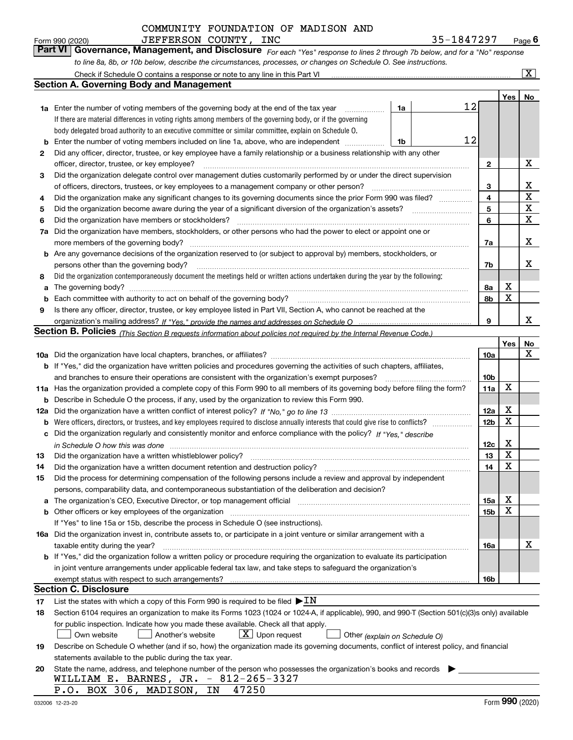| Form 990 (2020) | JEFFERSON COUNTY, INC                                                                                                       | 35-1847297 | $P$ <sub>age</sub> $6$   |
|-----------------|-----------------------------------------------------------------------------------------------------------------------------|------------|--------------------------|
|                 | Part VI Governance, Management, and Disclosure For each "Yes" response to lines 2 through 7b below, and for a "No" response |            |                          |
|                 | to line 8a, 8b, or 10b below, describe the circumstances, processes, or changes on Schedule O. See instructions.            |            |                          |
|                 |                                                                                                                             |            | $\overline{\phantom{a}}$ |

|     | Check if Schedule O contains a response or note to any line in this Part VI                                                                                           |    |    |                 |     | $\mathbf{x}$ |
|-----|-----------------------------------------------------------------------------------------------------------------------------------------------------------------------|----|----|-----------------|-----|--------------|
|     | Section A. Governing Body and Management                                                                                                                              |    |    |                 |     |              |
|     |                                                                                                                                                                       |    |    |                 | Yes | No           |
|     | 1a Enter the number of voting members of the governing body at the end of the tax year                                                                                | 1a | 12 |                 |     |              |
|     | If there are material differences in voting rights among members of the governing body, or if the governing                                                           |    |    |                 |     |              |
|     | body delegated broad authority to an executive committee or similar committee, explain on Schedule O.                                                                 |    |    |                 |     |              |
| b   | Enter the number of voting members included on line 1a, above, who are independent                                                                                    | 1b | 12 |                 |     |              |
| 2   | Did any officer, director, trustee, or key employee have a family relationship or a business relationship with any other                                              |    |    |                 |     |              |
|     | officer, director, trustee, or key employee?                                                                                                                          |    |    | 2               |     | х            |
| 3   | Did the organization delegate control over management duties customarily performed by or under the direct supervision                                                 |    |    |                 |     |              |
|     | of officers, directors, trustees, or key employees to a management company or other person?                                                                           |    |    | 3               |     | x            |
| 4   | Did the organization make any significant changes to its governing documents since the prior Form 990 was filed?                                                      |    |    | 4               |     | X            |
| 5   |                                                                                                                                                                       |    |    | 5               |     | X            |
| 6   | Did the organization have members or stockholders?                                                                                                                    |    |    | 6               |     | X            |
| 7a  | Did the organization have members, stockholders, or other persons who had the power to elect or appoint one or                                                        |    |    |                 |     |              |
|     | more members of the governing body?                                                                                                                                   |    |    | 7a              |     | х            |
|     | <b>b</b> Are any governance decisions of the organization reserved to (or subject to approval by) members, stockholders, or                                           |    |    |                 |     |              |
|     | persons other than the governing body?                                                                                                                                |    |    | 7b              |     | x            |
| 8   | Did the organization contemporaneously document the meetings held or written actions undertaken during the year by the following:                                     |    |    |                 |     |              |
| a   |                                                                                                                                                                       |    |    | 8а              | x   |              |
| b   | Each committee with authority to act on behalf of the governing body?                                                                                                 |    |    | 8b              | X   |              |
| 9   | Is there any officer, director, trustee, or key employee listed in Part VII, Section A, who cannot be reached at the                                                  |    |    |                 |     |              |
|     |                                                                                                                                                                       |    |    | 9               |     | x            |
|     | Section B. Policies <sub>(This Section B requests information about policies not required by the Internal Revenue Code.)</sub>                                        |    |    |                 |     |              |
|     |                                                                                                                                                                       |    |    |                 | Yes | No           |
|     |                                                                                                                                                                       |    |    | 10a             |     | x            |
|     | <b>b</b> If "Yes," did the organization have written policies and procedures governing the activities of such chapters, affiliates,                                   |    |    |                 |     |              |
|     | and branches to ensure their operations are consistent with the organization's exempt purposes?                                                                       |    |    | 10 <sub>b</sub> |     |              |
|     | 11a Has the organization provided a complete copy of this Form 990 to all members of its governing body before filing the form?                                       |    |    | 11a             | X   |              |
| b   | Describe in Schedule O the process, if any, used by the organization to review this Form 990.                                                                         |    |    |                 |     |              |
| 12a |                                                                                                                                                                       |    |    | 12a             | X   |              |
| b   |                                                                                                                                                                       |    |    | 12 <sub>b</sub> | X   |              |
| с   | Did the organization regularly and consistently monitor and enforce compliance with the policy? If "Yes." describe                                                    |    |    |                 |     |              |
|     | in Schedule O how this was done measured and contained a state of the state of the state of the state of the s                                                        |    |    | 12c             | х   |              |
| 13  | Did the organization have a written whistleblower policy?                                                                                                             |    |    | 13              | X   |              |
| 14  | Did the organization have a written document retention and destruction policy?                                                                                        |    |    | 14              | X   |              |
| 15  | Did the process for determining compensation of the following persons include a review and approval by independent                                                    |    |    |                 |     |              |
|     | persons, comparability data, and contemporaneous substantiation of the deliberation and decision?                                                                     |    |    |                 | Χ   |              |
| a   | The organization's CEO, Executive Director, or top management official manufactured content of the organization's CEO, Executive Director, or top management official |    |    | 15a             | X   |              |
|     |                                                                                                                                                                       |    |    | 15b             |     |              |
|     | If "Yes" to line 15a or 15b, describe the process in Schedule O (see instructions).                                                                                   |    |    |                 |     |              |
|     | 16a Did the organization invest in, contribute assets to, or participate in a joint venture or similar arrangement with a                                             |    |    |                 |     | х            |
|     | taxable entity during the year?<br>b If "Yes," did the organization follow a written policy or procedure requiring the organization to evaluate its participation     |    |    | 16a             |     |              |
|     | in joint venture arrangements under applicable federal tax law, and take steps to safeguard the organization's                                                        |    |    |                 |     |              |
|     | exempt status with respect to such arrangements?                                                                                                                      |    |    | 16b             |     |              |
|     | <b>Section C. Disclosure</b>                                                                                                                                          |    |    |                 |     |              |
| 17  | List the states with which a copy of this Form 990 is required to be filed $\blacktriangleright$ IN                                                                   |    |    |                 |     |              |
| 18  | Section 6104 requires an organization to make its Forms 1023 (1024 or 1024-A, if applicable), 990, and 990-T (Section 501(c)(3)s only) available                      |    |    |                 |     |              |
|     | for public inspection. Indicate how you made these available. Check all that apply.                                                                                   |    |    |                 |     |              |
|     | $X$ Upon request<br>Another's website<br>Own website<br>Other (explain on Schedule O)                                                                                 |    |    |                 |     |              |
| 19  | Describe on Schedule O whether (and if so, how) the organization made its governing documents, conflict of interest policy, and financial                             |    |    |                 |     |              |
|     | statements available to the public during the tax year.                                                                                                               |    |    |                 |     |              |
| 20  | State the name, address, and telephone number of the person who possesses the organization's books and records                                                        |    |    |                 |     |              |
|     | WILLIAM E. BARNES, JR. - 812-265-3327                                                                                                                                 |    |    |                 |     |              |
|     | P.O. BOX 306, MADISON, IN<br>47250                                                                                                                                    |    |    |                 |     |              |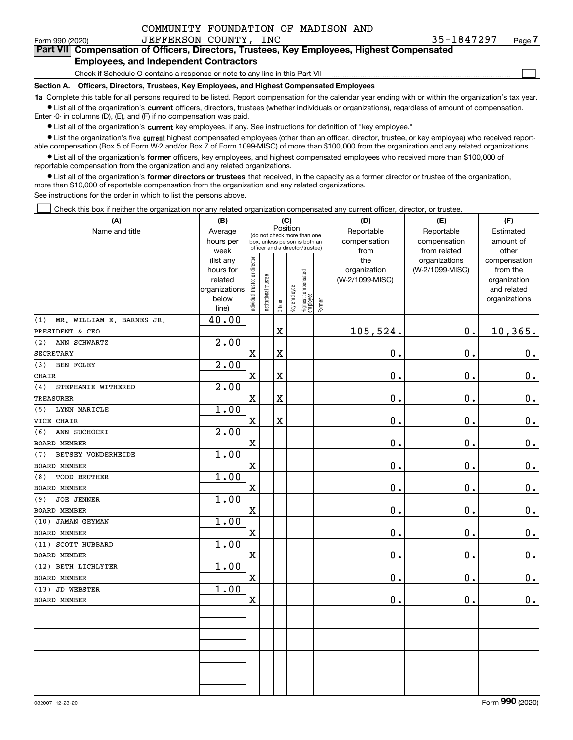$\mathcal{L}^{\text{max}}$ 

#### Form 990 (2020) JEFFERSON COUNTY, INC 35-1847297 Page **7Part VII Compensation of Officers, Directors, Trustees, Key Employees, Highest Compensated Employees, and Independent Contractors**

#### Check if Schedule O contains a response or note to any line in this Part VII

**Section A. Officers, Directors, Trustees, Key Employees, and Highest Compensated Employees**

**1a**  Complete this table for all persons required to be listed. Report compensation for the calendar year ending with or within the organization's tax year. **•** List all of the organization's current officers, directors, trustees (whether individuals or organizations), regardless of amount of compensation.

Enter -0- in columns (D), (E), and (F) if no compensation was paid.

 $\bullet$  List all of the organization's  $\,$ current key employees, if any. See instructions for definition of "key employee."

**•** List the organization's five current highest compensated employees (other than an officer, director, trustee, or key employee) who received reportable compensation (Box 5 of Form W-2 and/or Box 7 of Form 1099-MISC) of more than \$100,000 from the organization and any related organizations.

**•** List all of the organization's former officers, key employees, and highest compensated employees who received more than \$100,000 of reportable compensation from the organization and any related organizations.

**former directors or trustees**  ¥ List all of the organization's that received, in the capacity as a former director or trustee of the organization, more than \$10,000 of reportable compensation from the organization and any related organizations.

See instructions for the order in which to list the persons above.

Check this box if neither the organization nor any related organization compensated any current officer, director, or trustee.  $\mathcal{L}^{\text{max}}$ 

| (A)                              | (B)                  |                               |                                                              | (C)                     |              |                                  |        | (D)                        | (E)                        | (F)                    |
|----------------------------------|----------------------|-------------------------------|--------------------------------------------------------------|-------------------------|--------------|----------------------------------|--------|----------------------------|----------------------------|------------------------|
| Name and title                   | Average<br>hours per |                               | (do not check more than one<br>box, unless person is both an | Position                |              |                                  |        | Reportable<br>compensation | Reportable<br>compensation | Estimated<br>amount of |
|                                  | week                 |                               | officer and a director/trustee)                              |                         |              |                                  |        | from                       | from related               | other                  |
|                                  | (list any            |                               |                                                              |                         |              |                                  |        | the                        | organizations              | compensation           |
|                                  | hours for            |                               |                                                              |                         |              |                                  |        | organization               | (W-2/1099-MISC)            | from the               |
|                                  | related              |                               |                                                              |                         |              |                                  |        | (W-2/1099-MISC)            |                            | organization           |
|                                  | organizations        |                               |                                                              |                         |              |                                  |        |                            |                            | and related            |
|                                  | below<br>line)       | ndividual trustee or director | Institutional trustee                                        | Officer                 | Key employee | Highest compensated<br> employee | Former |                            |                            | organizations          |
| MR. WILLIAM E. BARNES JR.<br>(1) | 40.00                |                               |                                                              |                         |              |                                  |        |                            |                            |                        |
| PRESIDENT & CEO                  |                      |                               |                                                              | $\overline{\mathbf{X}}$ |              |                                  |        | 105,524.                   | 0.                         | 10,365.                |
| (2)<br>ANN SCHWARTZ              | 2.00                 |                               |                                                              |                         |              |                                  |        |                            |                            |                        |
| SECRETARY                        |                      | $\overline{\textbf{X}}$       |                                                              | $\overline{\textbf{X}}$ |              |                                  |        | 0.                         | 0.                         | $\mathbf 0$ .          |
| (3)<br><b>BEN FOLEY</b>          | 2.00                 |                               |                                                              |                         |              |                                  |        |                            |                            |                        |
| CHAIR                            |                      | $\mathbf x$                   |                                                              | $\overline{\mathbf{X}}$ |              |                                  |        | 0.                         | $\mathbf 0$ .              | $\mathbf 0$ .          |
| STEPHANIE WITHERED<br>(4)        | 2.00                 |                               |                                                              |                         |              |                                  |        |                            |                            |                        |
| TREASURER                        |                      | $\overline{\textbf{X}}$       |                                                              | $\overline{\textbf{X}}$ |              |                                  |        | 0.                         | 0.                         | $\mathbf 0$ .          |
| LYNN MARICLE<br>(5)              | 1.00                 |                               |                                                              |                         |              |                                  |        |                            |                            |                        |
| VICE CHAIR                       |                      | $\rm X$                       |                                                              | $\overline{\textbf{X}}$ |              |                                  |        | $0$ .                      | 0.                         | $\mathbf 0$ .          |
| (6)<br>ANN SUCHOCKI              | 2.00                 |                               |                                                              |                         |              |                                  |        |                            |                            |                        |
| <b>BOARD MEMBER</b>              |                      | X                             |                                                              |                         |              |                                  |        | 0.                         | 0.                         | $\mathbf 0$ .          |
| <b>BETSEY VONDERHEIDE</b><br>(7) | 1.00                 |                               |                                                              |                         |              |                                  |        |                            |                            |                        |
| <b>BOARD MEMBER</b>              |                      | $\mathbf X$                   |                                                              |                         |              |                                  |        | 0.                         | $\mathbf 0$ .              | $0_{.}$                |
| <b>TODD BRUTHER</b><br>(8)       | 1.00                 |                               |                                                              |                         |              |                                  |        |                            |                            |                        |
| BOARD MEMBER                     |                      | $\overline{\textbf{X}}$       |                                                              |                         |              |                                  |        | 0.                         | $\mathbf 0$ .              | $\mathbf 0$ .          |
| <b>JOE JENNER</b><br>(9)         | 1.00                 |                               |                                                              |                         |              |                                  |        |                            |                            |                        |
| BOARD MEMBER                     |                      | $\rm X$                       |                                                              |                         |              |                                  |        | 0.                         | $\mathbf 0$ .              | $\mathbf 0$ .          |
| (10) JAMAN GEYMAN                | 1.00                 |                               |                                                              |                         |              |                                  |        |                            |                            |                        |
| <b>BOARD MEMBER</b>              |                      | X                             |                                                              |                         |              |                                  |        | 0.                         | 0.                         | $\mathbf 0$ .          |
| (11) SCOTT HUBBARD               | 1.00                 |                               |                                                              |                         |              |                                  |        |                            |                            |                        |
| <b>BOARD MEMBER</b>              |                      | $\mathbf x$                   |                                                              |                         |              |                                  |        | 0.                         | $\mathbf{0}$ .             | $\mathbf 0$ .          |
| (12) BETH LICHLYTER              | 1.00                 |                               |                                                              |                         |              |                                  |        |                            |                            |                        |
| <b>BOARD MEMBER</b>              |                      | X                             |                                                              |                         |              |                                  |        | 0.                         | 0.                         | 0.                     |
| (13) JD WEBSTER                  | 1.00                 |                               |                                                              |                         |              |                                  |        |                            |                            |                        |
| BOARD MEMBER                     |                      | X                             |                                                              |                         |              |                                  |        | 0.                         | $\mathbf 0$ .              | 0.                     |
|                                  |                      |                               |                                                              |                         |              |                                  |        |                            |                            |                        |
|                                  |                      |                               |                                                              |                         |              |                                  |        |                            |                            |                        |
|                                  |                      |                               |                                                              |                         |              |                                  |        |                            |                            |                        |
|                                  |                      |                               |                                                              |                         |              |                                  |        |                            |                            |                        |
|                                  |                      |                               |                                                              |                         |              |                                  |        |                            |                            |                        |
|                                  |                      |                               |                                                              |                         |              |                                  |        |                            |                            |                        |
|                                  |                      |                               |                                                              |                         |              |                                  |        |                            |                            |                        |
|                                  |                      |                               |                                                              |                         |              |                                  |        |                            |                            |                        |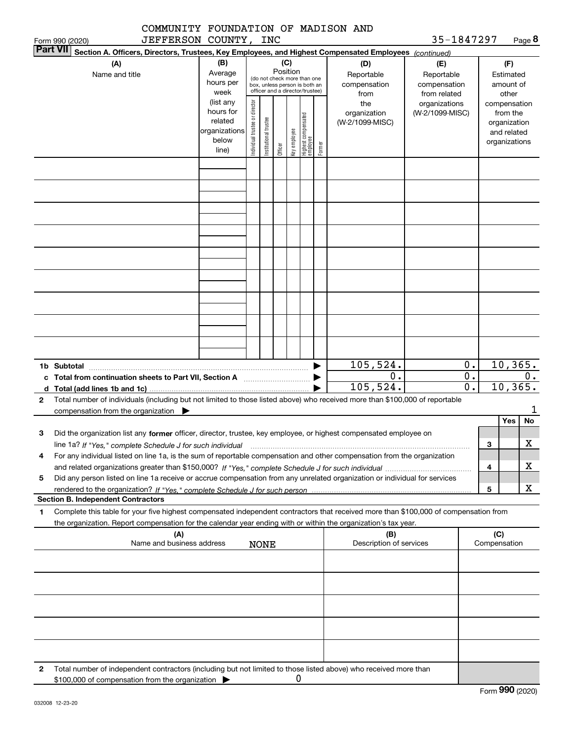|                              | COMMUNITY FOUNDATION OF MADISON AND<br>JEFFERSON COUNTY, INC                                                                                                                                                                                                |                                                                      |                                |                       |          |              |                                                                                                 |        |                                           | 35-1847297                                        |          |                     |                                                          | Page 8 |
|------------------------------|-------------------------------------------------------------------------------------------------------------------------------------------------------------------------------------------------------------------------------------------------------------|----------------------------------------------------------------------|--------------------------------|-----------------------|----------|--------------|-------------------------------------------------------------------------------------------------|--------|-------------------------------------------|---------------------------------------------------|----------|---------------------|----------------------------------------------------------|--------|
| Form 990 (2020)<br> Part VII | Section A. Officers, Directors, Trustees, Key Employees, and Highest Compensated Employees (continued)                                                                                                                                                      |                                                                      |                                |                       |          |              |                                                                                                 |        |                                           |                                                   |          |                     |                                                          |        |
|                              | (A)<br>Name and title                                                                                                                                                                                                                                       | (B)<br>Average<br>hours per<br>week                                  |                                |                       | Position | (C)          | (do not check more than one<br>box, unless person is both an<br>officer and a director/trustee) |        | (D)<br>Reportable<br>compensation<br>from | (E)<br>Reportable<br>compensation<br>from related |          |                     | (F)<br>Estimated<br>amount of<br>other                   |        |
|                              |                                                                                                                                                                                                                                                             | (list any<br>hours for<br>related<br>organizations<br>below<br>line) | Individual trustee or director | Institutional trustee | Officer  | Key employee | Highest compensated<br>  employee                                                               | Former | the<br>organization<br>(W-2/1099-MISC)    | organizations<br>(W-2/1099-MISC)                  |          | compensation        | from the<br>organization<br>and related<br>organizations |        |
|                              |                                                                                                                                                                                                                                                             |                                                                      |                                |                       |          |              |                                                                                                 |        |                                           |                                                   |          |                     |                                                          |        |
|                              |                                                                                                                                                                                                                                                             |                                                                      |                                |                       |          |              |                                                                                                 |        |                                           |                                                   |          |                     |                                                          |        |
|                              |                                                                                                                                                                                                                                                             |                                                                      |                                |                       |          |              |                                                                                                 |        |                                           |                                                   |          |                     |                                                          |        |
|                              |                                                                                                                                                                                                                                                             |                                                                      |                                |                       |          |              |                                                                                                 |        |                                           |                                                   |          |                     |                                                          |        |
|                              |                                                                                                                                                                                                                                                             |                                                                      |                                |                       |          |              |                                                                                                 |        |                                           |                                                   |          |                     |                                                          |        |
|                              |                                                                                                                                                                                                                                                             |                                                                      |                                |                       |          |              |                                                                                                 |        |                                           |                                                   |          |                     |                                                          |        |
|                              | 1b Subtotal                                                                                                                                                                                                                                                 |                                                                      |                                |                       |          |              |                                                                                                 |        | 105,524.                                  |                                                   | 0.       |                     | 10, 365.                                                 |        |
|                              | c Total from continuation sheets to Part VII, Section A <b>manufarity</b>                                                                                                                                                                                   |                                                                      |                                |                       |          |              |                                                                                                 |        | 0.<br>105, 524.                           |                                                   | 0.<br>0. |                     | 10, 365.                                                 | $0$ .  |
| $\mathbf{2}$                 | Total number of individuals (including but not limited to those listed above) who received more than \$100,000 of reportable<br>compensation from the organization $\blacktriangleright$                                                                    |                                                                      |                                |                       |          |              |                                                                                                 |        |                                           |                                                   |          |                     |                                                          | 1      |
|                              |                                                                                                                                                                                                                                                             |                                                                      |                                |                       |          |              |                                                                                                 |        |                                           |                                                   |          |                     | Yes                                                      | No     |
| 3                            | Did the organization list any former officer, director, trustee, key employee, or highest compensated employee on<br>line 1a? If "Yes," complete Schedule J for such individual manufactured contains and the Yes," complete Schedule J for such individual |                                                                      |                                |                       |          |              |                                                                                                 |        |                                           |                                                   |          | 3                   |                                                          | X      |
| 4                            | For any individual listed on line 1a, is the sum of reportable compensation and other compensation from the organization                                                                                                                                    |                                                                      |                                |                       |          |              |                                                                                                 |        |                                           |                                                   |          |                     |                                                          |        |
| 5                            | Did any person listed on line 1a receive or accrue compensation from any unrelated organization or individual for services                                                                                                                                  |                                                                      |                                |                       |          |              |                                                                                                 |        |                                           |                                                   |          | 4                   |                                                          | x      |
|                              |                                                                                                                                                                                                                                                             |                                                                      |                                |                       |          |              |                                                                                                 |        |                                           |                                                   |          | 5                   |                                                          | x      |
|                              | <b>Section B. Independent Contractors</b>                                                                                                                                                                                                                   |                                                                      |                                |                       |          |              |                                                                                                 |        |                                           |                                                   |          |                     |                                                          |        |
| 1                            | Complete this table for your five highest compensated independent contractors that received more than \$100,000 of compensation from<br>the organization. Report compensation for the calendar year ending with or within the organization's tax year.      |                                                                      |                                |                       |          |              |                                                                                                 |        |                                           |                                                   |          |                     |                                                          |        |
|                              | (A)<br>Name and business address                                                                                                                                                                                                                            |                                                                      |                                | <b>NONE</b>           |          |              |                                                                                                 |        | (B)<br>Description of services            |                                                   |          | (C)<br>Compensation |                                                          |        |
|                              |                                                                                                                                                                                                                                                             |                                                                      |                                |                       |          |              |                                                                                                 |        |                                           |                                                   |          |                     |                                                          |        |
|                              |                                                                                                                                                                                                                                                             |                                                                      |                                |                       |          |              |                                                                                                 |        |                                           |                                                   |          |                     |                                                          |        |
|                              |                                                                                                                                                                                                                                                             |                                                                      |                                |                       |          |              |                                                                                                 |        |                                           |                                                   |          |                     |                                                          |        |
|                              |                                                                                                                                                                                                                                                             |                                                                      |                                |                       |          |              |                                                                                                 |        |                                           |                                                   |          |                     |                                                          |        |
|                              |                                                                                                                                                                                                                                                             |                                                                      |                                |                       |          |              |                                                                                                 |        |                                           |                                                   |          |                     |                                                          |        |

**2**Total number of independent contractors (including but not limited to those listed above) who received more than \$100,000 of compensation from the organization 0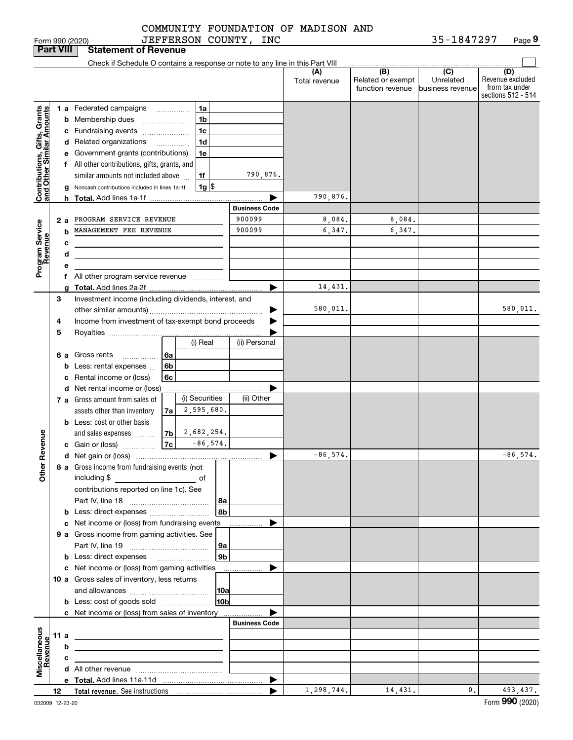|                                                                                         |      |    | Form 990 (2020)                                                               |    |                 | JEFFERSON COUNTY, INC |                      |                                              | 35-1847297                                              | Page 9                                                          |
|-----------------------------------------------------------------------------------------|------|----|-------------------------------------------------------------------------------|----|-----------------|-----------------------|----------------------|----------------------------------------------|---------------------------------------------------------|-----------------------------------------------------------------|
| <b>Part VIII</b>                                                                        |      |    | <b>Statement of Revenue</b>                                                   |    |                 |                       |                      |                                              |                                                         |                                                                 |
|                                                                                         |      |    | Check if Schedule O contains a response or note to any line in this Part VIII |    |                 |                       |                      |                                              |                                                         |                                                                 |
|                                                                                         |      |    |                                                                               |    |                 |                       | (A)<br>Total revenue | (B)<br>Related or exempt<br>function revenue | $\overline{C}$<br>Unrelated<br><b>Ibusiness revenue</b> | (D)<br>Revenue excluded<br>from tax under<br>sections 512 - 514 |
|                                                                                         |      |    | 1 a Federated campaigns                                                       |    | 1a              |                       |                      |                                              |                                                         |                                                                 |
| Contributions, Gifts, Grants<br>and Other Similar Amounts<br>Program Service<br>Revenue |      |    | <b>b</b> Membership dues                                                      |    | 1 <sub>b</sub>  |                       |                      |                                              |                                                         |                                                                 |
|                                                                                         |      |    | c Fundraising events                                                          |    | 1 <sub>c</sub>  |                       |                      |                                              |                                                         |                                                                 |
|                                                                                         |      |    | d Related organizations                                                       |    | 1 <sub>d</sub>  |                       |                      |                                              |                                                         |                                                                 |
|                                                                                         |      |    | e Government grants (contributions)                                           |    | 1e              |                       |                      |                                              |                                                         |                                                                 |
|                                                                                         |      |    | f All other contributions, gifts, grants, and                                 |    |                 |                       |                      |                                              |                                                         |                                                                 |
|                                                                                         |      |    | similar amounts not included above                                            |    | 1f              | 790,876.              |                      |                                              |                                                         |                                                                 |
|                                                                                         |      |    | g Noncash contributions included in lines 1a-1f                               |    | $1g$ \$         |                       |                      |                                              |                                                         |                                                                 |
|                                                                                         |      |    |                                                                               |    |                 |                       | 790,876.             |                                              |                                                         |                                                                 |
|                                                                                         |      |    |                                                                               |    |                 | <b>Business Code</b>  |                      |                                              |                                                         |                                                                 |
|                                                                                         |      | 2а | PROGRAM SERVICE REVENUE                                                       |    |                 | 900099                | 8,084.               | 8,084.                                       |                                                         |                                                                 |
|                                                                                         |      |    | MANAGEMENT FEE REVENUE                                                        |    |                 | 900099                | 6,347.               | 6,347.                                       |                                                         |                                                                 |
|                                                                                         |      | c  | <u> 1989 - Johann Barbara, martxa alemaniar a</u>                             |    |                 |                       |                      |                                              |                                                         |                                                                 |
|                                                                                         |      | d  |                                                                               |    |                 |                       |                      |                                              |                                                         |                                                                 |
|                                                                                         |      | е  |                                                                               |    |                 |                       |                      |                                              |                                                         |                                                                 |
|                                                                                         |      |    | f All other program service revenue                                           |    |                 |                       |                      |                                              |                                                         |                                                                 |
|                                                                                         |      |    |                                                                               |    |                 |                       | 14,431.              |                                              |                                                         |                                                                 |
|                                                                                         | З    |    | Investment income (including dividends, interest, and                         |    |                 |                       |                      |                                              |                                                         |                                                                 |
|                                                                                         |      |    |                                                                               |    |                 |                       | 580,011.             |                                              |                                                         | 580,011.                                                        |
|                                                                                         | 4    |    | Income from investment of tax-exempt bond proceeds                            |    |                 |                       |                      |                                              |                                                         |                                                                 |
|                                                                                         | 5    |    |                                                                               |    |                 |                       |                      |                                              |                                                         |                                                                 |
|                                                                                         |      |    |                                                                               |    | (i) Real        | (ii) Personal         |                      |                                              |                                                         |                                                                 |
|                                                                                         |      |    | 6 a Gross rents                                                               | 6a |                 |                       |                      |                                              |                                                         |                                                                 |
|                                                                                         |      |    | <b>b</b> Less: rental expenses                                                | 6b |                 |                       |                      |                                              |                                                         |                                                                 |
|                                                                                         |      |    | c Rental income or (loss)                                                     | 6c |                 |                       |                      |                                              |                                                         |                                                                 |
|                                                                                         |      |    | d Net rental income or (loss)                                                 |    |                 |                       |                      |                                              |                                                         |                                                                 |
|                                                                                         |      |    | <b>7 a</b> Gross amount from sales of                                         |    | (i) Securities  | (ii) Other            |                      |                                              |                                                         |                                                                 |
|                                                                                         |      |    | assets other than inventory                                                   | 7a | 2,595,680.      |                       |                      |                                              |                                                         |                                                                 |
|                                                                                         |      |    | <b>b</b> Less: cost or other basis                                            |    |                 |                       |                      |                                              |                                                         |                                                                 |
|                                                                                         |      |    | and sales expenses                                                            | 7b | 2,682,254.      |                       |                      |                                              |                                                         |                                                                 |
| evenue                                                                                  |      |    | c Gain or (loss)                                                              | 7c | $-86, 574.$     |                       |                      |                                              |                                                         |                                                                 |
| č                                                                                       |      |    |                                                                               |    |                 |                       | $-86,574.$           |                                              |                                                         | $-86,574.$                                                      |
| Other                                                                                   |      |    | 8 a Gross income from fundraising events (not                                 |    |                 |                       |                      |                                              |                                                         |                                                                 |
|                                                                                         |      |    | including \$<br><u>of</u> of                                                  |    |                 |                       |                      |                                              |                                                         |                                                                 |
|                                                                                         |      |    | contributions reported on line 1c). See                                       |    |                 |                       |                      |                                              |                                                         |                                                                 |
|                                                                                         |      |    |                                                                               |    | 8a              |                       |                      |                                              |                                                         |                                                                 |
|                                                                                         |      |    |                                                                               |    | 8 <sub>b</sub>  |                       |                      |                                              |                                                         |                                                                 |
|                                                                                         |      |    | c Net income or (loss) from fundraising events                                |    |                 |                       |                      |                                              |                                                         |                                                                 |
|                                                                                         |      |    | 9 a Gross income from gaming activities. See                                  |    |                 |                       |                      |                                              |                                                         |                                                                 |
|                                                                                         |      |    |                                                                               |    | 9a              |                       |                      |                                              |                                                         |                                                                 |
|                                                                                         |      |    |                                                                               |    | 9 <sub>b</sub>  |                       |                      |                                              |                                                         |                                                                 |
|                                                                                         |      |    | c Net income or (loss) from gaming activities                                 |    |                 |                       |                      |                                              |                                                         |                                                                 |
|                                                                                         |      |    | 10 a Gross sales of inventory, less returns                                   |    |                 |                       |                      |                                              |                                                         |                                                                 |
|                                                                                         |      |    |                                                                               |    |                 |                       |                      |                                              |                                                         |                                                                 |
|                                                                                         |      |    | <b>b</b> Less: cost of goods sold                                             |    | 10 <sub>b</sub> |                       |                      |                                              |                                                         |                                                                 |
|                                                                                         |      |    | c Net income or (loss) from sales of inventory                                |    |                 |                       |                      |                                              |                                                         |                                                                 |
|                                                                                         |      |    |                                                                               |    |                 | <b>Business Code</b>  |                      |                                              |                                                         |                                                                 |
|                                                                                         | 11 a |    |                                                                               |    |                 |                       |                      |                                              |                                                         |                                                                 |
|                                                                                         |      | b  |                                                                               |    |                 |                       |                      |                                              |                                                         |                                                                 |
| Miscellaneous<br>Revenue                                                                |      | c  |                                                                               |    |                 |                       |                      |                                              |                                                         |                                                                 |
|                                                                                         |      |    |                                                                               |    |                 |                       |                      |                                              |                                                         |                                                                 |
|                                                                                         |      |    |                                                                               |    |                 | ▶                     |                      |                                              |                                                         |                                                                 |
|                                                                                         | 12   |    |                                                                               |    |                 |                       | 1, 298, 744.         | 14, 431.                                     | $\mathbf{0}$ .                                          | 493,437.                                                        |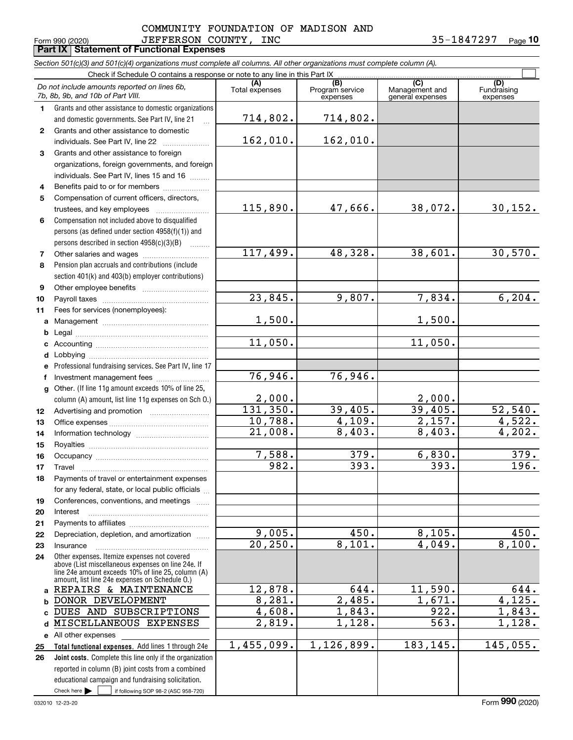#### Form 990 (2020) J EF F ERSON COUNTY, INC 5 5-I 8 4 7 2 9 7 Page JEFFERSON COUNTY, INC 35-1847297 COMMUNITY FOUNDATION OF MADISON AND

|  | Form 990 (2020) |  |
|--|-----------------|--|

**Part IX Statement of Functional Expenses**

|              | Section 501(c)(3) and 501(c)(4) organizations must complete all columns. All other organizations must complete column (A).                               |                       |                                    |                                           |                                |
|--------------|----------------------------------------------------------------------------------------------------------------------------------------------------------|-----------------------|------------------------------------|-------------------------------------------|--------------------------------|
|              | Check if Schedule O contains a response or note to any line in this Part IX                                                                              |                       |                                    |                                           |                                |
|              | Do not include amounts reported on lines 6b,<br>7b, 8b, 9b, and 10b of Part VIII.                                                                        | (A)<br>Total expenses | (B)<br>Program service<br>expenses | (C)<br>Management and<br>general expenses | (D)<br>Fundraising<br>expenses |
| $\mathbf 1$  | Grants and other assistance to domestic organizations                                                                                                    |                       |                                    |                                           |                                |
|              | and domestic governments. See Part IV, line 21                                                                                                           | 714,802.              | 714,802.                           |                                           |                                |
| $\mathbf{2}$ | Grants and other assistance to domestic                                                                                                                  |                       |                                    |                                           |                                |
|              | individuals. See Part IV, line 22                                                                                                                        | 162,010.              | 162,010.                           |                                           |                                |
| 3            | Grants and other assistance to foreign                                                                                                                   |                       |                                    |                                           |                                |
|              | organizations, foreign governments, and foreign                                                                                                          |                       |                                    |                                           |                                |
|              | individuals. See Part IV, lines 15 and 16                                                                                                                |                       |                                    |                                           |                                |
| 4            | Benefits paid to or for members                                                                                                                          |                       |                                    |                                           |                                |
| 5            | Compensation of current officers, directors,                                                                                                             |                       |                                    |                                           |                                |
|              | trustees, and key employees                                                                                                                              | 115,890.              | 47,666.                            | 38,072.                                   | 30, 152.                       |
| 6            | Compensation not included above to disqualified                                                                                                          |                       |                                    |                                           |                                |
|              | persons (as defined under section 4958(f)(1)) and                                                                                                        |                       |                                    |                                           |                                |
|              | persons described in section 4958(c)(3)(B)                                                                                                               |                       |                                    |                                           |                                |
| 7            | Other salaries and wages                                                                                                                                 | 117,499.              | 48,328.                            | 38,601.                                   | 30,570.                        |
| 8            | Pension plan accruals and contributions (include                                                                                                         |                       |                                    |                                           |                                |
|              | section 401(k) and 403(b) employer contributions)                                                                                                        |                       |                                    |                                           |                                |
| 9            |                                                                                                                                                          | 23,845.               | 9,807.                             | 7,834.                                    | 6, 204.                        |
| 10           |                                                                                                                                                          |                       |                                    |                                           |                                |
| 11           | Fees for services (nonemployees):                                                                                                                        | 1,500.                |                                    | 1,500.                                    |                                |
| a            |                                                                                                                                                          |                       |                                    |                                           |                                |
| b<br>c       |                                                                                                                                                          | 11,050.               |                                    | 11,050.                                   |                                |
| d            |                                                                                                                                                          |                       |                                    |                                           |                                |
| е            | Professional fundraising services. See Part IV, line 17                                                                                                  |                       |                                    |                                           |                                |
| f            | Investment management fees                                                                                                                               | 76,946.               | 76,946.                            |                                           |                                |
| g            | Other. (If line 11g amount exceeds 10% of line 25,                                                                                                       |                       |                                    |                                           |                                |
|              | column (A) amount, list line 11g expenses on Sch O.)                                                                                                     | 2,000.                |                                    | 2,000.                                    |                                |
| 12           |                                                                                                                                                          | 131,350.              | 39,405.                            | 39,405.                                   | 52,540.                        |
| 13           |                                                                                                                                                          | 10,788.               | 4,109.                             | 2,157.                                    | 4,522.                         |
| 14           |                                                                                                                                                          | 21,008.               | 8,403.                             | 8,403.                                    | 4,202.                         |
| 15           |                                                                                                                                                          |                       |                                    |                                           |                                |
| 16           |                                                                                                                                                          | 7,588.                | 379.                               | 6,830.                                    | 379.                           |
| 17           |                                                                                                                                                          | 982.                  | 393.                               | 393.                                      | $\overline{196}$ .             |
| 18           | Payments of travel or entertainment expenses                                                                                                             |                       |                                    |                                           |                                |
|              | for any federal, state, or local public officials                                                                                                        |                       |                                    |                                           |                                |
| 19           | Conferences, conventions, and meetings                                                                                                                   |                       |                                    |                                           |                                |
| 20           | Interest                                                                                                                                                 |                       |                                    |                                           |                                |
| 21           |                                                                                                                                                          |                       |                                    |                                           |                                |
| 22           | Depreciation, depletion, and amortization                                                                                                                | 9,005.                | 450.                               | 8,105.                                    | 450.                           |
| 23           | Insurance                                                                                                                                                | 20, 250.              | 8,101.                             | $\overline{4}$ , 049.                     | 8,100.                         |
| 24           | Other expenses. Itemize expenses not covered<br>above (List miscellaneous expenses on line 24e. If<br>line 24e amount exceeds 10% of line 25, column (A) |                       |                                    |                                           |                                |
|              | amount, list line 24e expenses on Schedule O.)                                                                                                           |                       |                                    |                                           |                                |
| a            | REPAIRS & MAINTENANCE                                                                                                                                    | 12,878.               | 644.                               | 11,590.                                   | 644.                           |
| b            | DONOR DEVELOPMENT                                                                                                                                        | 8,281.                | 2,485.                             | 1,671.                                    | 4,125.                         |
| c            | DUES AND SUBSCRIPTIONS                                                                                                                                   | 4,608.                | 1,843.                             | 922.                                      | 1,843.                         |
| d            | MISCELLANEOUS EXPENSES                                                                                                                                   | 2,819.                | 1,128.                             | 563.                                      | 1,128.                         |
| е            | All other expenses                                                                                                                                       |                       |                                    |                                           |                                |
| 25           | Total functional expenses. Add lines 1 through 24e                                                                                                       | 1,455,099.            | 1,126,899.                         | 183,145.                                  | 145,055.                       |
| 26           | Joint costs. Complete this line only if the organization                                                                                                 |                       |                                    |                                           |                                |
|              | reported in column (B) joint costs from a combined                                                                                                       |                       |                                    |                                           |                                |
|              | educational campaign and fundraising solicitation.                                                                                                       |                       |                                    |                                           |                                |

Check here  $\blacktriangleright$ 

Check here  $\bullet$  if following SOP 98-2 (ASC 958-720)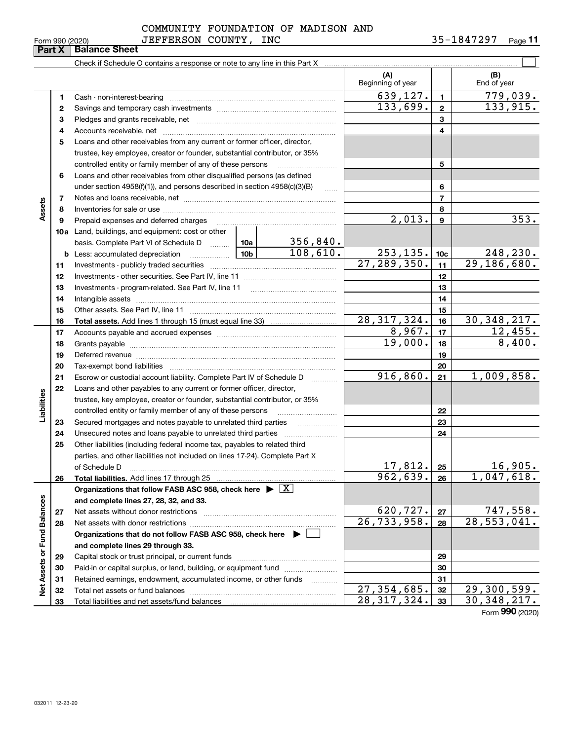| COMMUNITY FOUNDATION OF MADISON AND |  |  |
|-------------------------------------|--|--|
| JEFFERSON COUNTY INC                |  |  |

| Form 990 (2020) |                      | <b>JEFFERSON</b> | <b>COUNTY</b> | INC | 295<br>ΧД<br>$h -$<br>742 | $P$ age |
|-----------------|----------------------|------------------|---------------|-----|---------------------------|---------|
| Part X          | <b>Balance Sheet</b> |                  |               |     |                           |         |

|                             |    |                                                                                                                                                                                                                                |               |          | (A)<br>Beginning of year    |                  | (B)<br>End of year        |
|-----------------------------|----|--------------------------------------------------------------------------------------------------------------------------------------------------------------------------------------------------------------------------------|---------------|----------|-----------------------------|------------------|---------------------------|
|                             | 1  |                                                                                                                                                                                                                                |               |          | 639,127.                    | $\blacksquare$   | 779,039.                  |
|                             | 2  |                                                                                                                                                                                                                                |               |          | $\overline{133,699}$ .      | $\mathbf{2}$     | 133,915.                  |
|                             | 3  |                                                                                                                                                                                                                                |               |          |                             | 3                |                           |
|                             | 4  |                                                                                                                                                                                                                                |               |          |                             | 4                |                           |
|                             | 5  | Loans and other receivables from any current or former officer, director,                                                                                                                                                      |               |          |                             |                  |                           |
|                             |    | trustee, key employee, creator or founder, substantial contributor, or 35%                                                                                                                                                     |               |          |                             |                  |                           |
|                             |    | controlled entity or family member of any of these persons                                                                                                                                                                     |               |          |                             | 5                |                           |
|                             | 6  | Loans and other receivables from other disqualified persons (as defined                                                                                                                                                        |               |          |                             |                  |                           |
|                             |    | under section $4958(f)(1)$ , and persons described in section $4958(c)(3)(B)$                                                                                                                                                  |               | $\sim$   |                             | 6                |                           |
|                             | 7  |                                                                                                                                                                                                                                |               |          |                             | $\overline{7}$   |                           |
| Assets                      | 8  |                                                                                                                                                                                                                                |               |          |                             | 8                |                           |
|                             | 9  | Prepaid expenses and deferred charges                                                                                                                                                                                          |               |          | $\overline{2,013}$ .        | $\boldsymbol{9}$ | 353.                      |
|                             |    | 10a Land, buildings, and equipment: cost or other                                                                                                                                                                              |               |          |                             |                  |                           |
|                             |    | basis. Complete Part VI of Schedule D  10a                                                                                                                                                                                     |               | 356,840. |                             |                  |                           |
|                             |    | <u>  1</u> 0b<br><b>b</b> Less: accumulated depreciation                                                                                                                                                                       |               | 108,610. | 253, 135.                   | 10 <sub>c</sub>  | 248,230.                  |
|                             | 11 |                                                                                                                                                                                                                                | 27, 289, 350. | 11       | 29, 186, 680.               |                  |                           |
|                             | 12 |                                                                                                                                                                                                                                |               |          | 12                          |                  |                           |
|                             | 13 |                                                                                                                                                                                                                                |               | 13       |                             |                  |                           |
|                             | 14 |                                                                                                                                                                                                                                |               | 14       |                             |                  |                           |
|                             | 15 |                                                                                                                                                                                                                                |               |          |                             | 15               |                           |
|                             | 16 |                                                                                                                                                                                                                                |               |          | 28, 317, 324.               | 16               | 30, 348, 217.             |
|                             | 17 |                                                                                                                                                                                                                                |               |          | 8,967.                      | 17               | 12,455.                   |
|                             | 18 |                                                                                                                                                                                                                                |               | 19,000.  | 18                          | 8,400.           |                           |
|                             | 19 | Deferred revenue manual contracts and contracts are contracted and contract and contract are contracted and contract are contracted and contract are contracted and contract are contracted and contract are contracted and co |               | 19       |                             |                  |                           |
|                             | 20 |                                                                                                                                                                                                                                |               |          |                             | 20               |                           |
|                             | 21 | Escrow or custodial account liability. Complete Part IV of Schedule D                                                                                                                                                          |               |          | 916,860.                    | 21               | 1,009,858.                |
|                             | 22 | Loans and other payables to any current or former officer, director,                                                                                                                                                           |               |          |                             |                  |                           |
| Liabilities                 |    | trustee, key employee, creator or founder, substantial contributor, or 35%                                                                                                                                                     |               |          |                             |                  |                           |
|                             |    | controlled entity or family member of any of these persons                                                                                                                                                                     |               |          |                             | 22               |                           |
|                             | 23 | Secured mortgages and notes payable to unrelated third parties                                                                                                                                                                 |               |          |                             | 23               |                           |
|                             | 24 |                                                                                                                                                                                                                                |               |          |                             | 24               |                           |
|                             | 25 | Other liabilities (including federal income tax, payables to related third                                                                                                                                                     |               |          |                             |                  |                           |
|                             |    | parties, and other liabilities not included on lines 17-24). Complete Part X                                                                                                                                                   |               |          |                             |                  |                           |
|                             |    | of Schedule D                                                                                                                                                                                                                  |               |          | 17,812.                     | 25               | 16,905.                   |
|                             | 26 |                                                                                                                                                                                                                                |               |          | $\overline{962, 639.}$ 26   |                  | 1,047,618.                |
|                             |    | Organizations that follow FASB ASC 958, check here $\triangleright \lfloor X \rfloor$                                                                                                                                          |               |          |                             |                  |                           |
|                             |    | and complete lines 27, 28, 32, and 33.                                                                                                                                                                                         |               |          |                             |                  |                           |
|                             | 27 |                                                                                                                                                                                                                                |               |          | 620, 727.                   | 27               | 747,558.                  |
|                             | 28 |                                                                                                                                                                                                                                |               |          | $\overline{26, 733, 958}$ . | 28               | $\overline{28,553,041}$ . |
|                             |    | Organizations that do not follow FASB ASC 958, check here $\blacktriangleright$                                                                                                                                                |               |          |                             |                  |                           |
|                             |    | and complete lines 29 through 33.                                                                                                                                                                                              |               |          |                             |                  |                           |
|                             | 29 |                                                                                                                                                                                                                                |               |          |                             | 29               |                           |
|                             | 30 | Paid-in or capital surplus, or land, building, or equipment fund                                                                                                                                                               |               |          |                             | 30               |                           |
| Net Assets or Fund Balances | 31 | Retained earnings, endowment, accumulated income, or other funds                                                                                                                                                               |               |          | $\overline{27,354,685}$ .   | 31               | 29,300,599.               |
|                             | 32 |                                                                                                                                                                                                                                | 28, 317, 324. | 32       |                             |                  |                           |
|                             | 33 |                                                                                                                                                                                                                                |               |          |                             | 33               | 30, 348, 217.             |

Form (2020) **990**

**Part X Balance Sheet**<br>**Part X Balance Sheet**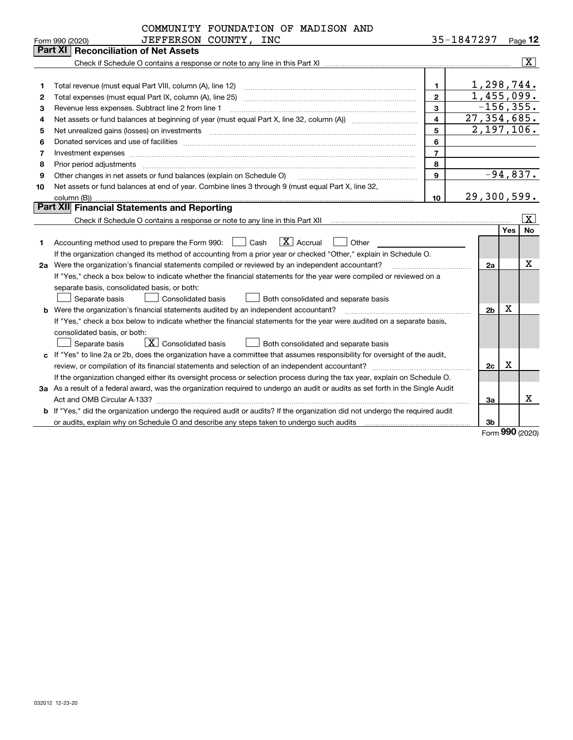|                | COMMUNITY FOUNDATION OF MADISON AND                                                                                                                                                                                                               |                |             |                |             |                         |  |  |
|----------------|---------------------------------------------------------------------------------------------------------------------------------------------------------------------------------------------------------------------------------------------------|----------------|-------------|----------------|-------------|-------------------------|--|--|
|                | JEFFERSON COUNTY, INC<br>Form 990 (2020)                                                                                                                                                                                                          |                | 35-1847297  |                |             | Page 12                 |  |  |
|                | Part XI<br><b>Reconciliation of Net Assets</b>                                                                                                                                                                                                    |                |             |                |             |                         |  |  |
|                |                                                                                                                                                                                                                                                   |                |             |                |             | $\overline{\mathbf{x}}$ |  |  |
|                |                                                                                                                                                                                                                                                   |                |             |                |             |                         |  |  |
| 1              | Total revenue (must equal Part VIII, column (A), line 12)                                                                                                                                                                                         | $\mathbf{1}$   |             |                |             | 1,298,744.              |  |  |
| $\overline{2}$ | Total expenses (must equal Part IX, column (A), line 25)                                                                                                                                                                                          | $\overline{2}$ |             |                |             | 1,455,099.              |  |  |
| 3              | Revenue less expenses. Subtract line 2 from line 1                                                                                                                                                                                                | 3              |             |                |             | $-156, 355.$            |  |  |
| 4              | 27, 354, 685.<br>$\overline{\mathbf{4}}$                                                                                                                                                                                                          |                |             |                |             |                         |  |  |
| 5              | 2,197,106.<br>5<br>Net unrealized gains (losses) on investments [11] matter continuum matter of the state of the state of the state of the state of the state of the state of the state of the state of the state of the state of the state of th |                |             |                |             |                         |  |  |
| 6              | 6                                                                                                                                                                                                                                                 |                |             |                |             |                         |  |  |
| 7              | Investment expenses www.communication.com/www.communication.com/www.communication.com/www.com                                                                                                                                                     | $\overline{7}$ |             |                |             |                         |  |  |
| 8              | Prior period adjustments                                                                                                                                                                                                                          | 8              |             |                |             |                         |  |  |
| 9              | Other changes in net assets or fund balances (explain on Schedule O)                                                                                                                                                                              | 9              |             |                |             | $-94,837.$              |  |  |
| 10             | Net assets or fund balances at end of year. Combine lines 3 through 9 (must equal Part X, line 32,                                                                                                                                                |                |             |                |             |                         |  |  |
|                |                                                                                                                                                                                                                                                   | 10             | 29,300,599. |                |             |                         |  |  |
|                | Part XII Financial Statements and Reporting                                                                                                                                                                                                       |                |             |                |             |                         |  |  |
|                |                                                                                                                                                                                                                                                   |                |             |                |             | $\lfloor x \rfloor$     |  |  |
|                |                                                                                                                                                                                                                                                   |                |             |                | Yes         | No                      |  |  |
| 1              | $\boxed{\mathbf{X}}$ Accrual<br>Accounting method used to prepare the Form 990: <u>II</u> Cash<br>Other                                                                                                                                           |                |             |                |             |                         |  |  |
|                | If the organization changed its method of accounting from a prior year or checked "Other," explain in Schedule O.                                                                                                                                 |                |             |                |             |                         |  |  |
|                | 2a Were the organization's financial statements compiled or reviewed by an independent accountant?                                                                                                                                                |                |             | 2a             |             | x                       |  |  |
|                | If "Yes," check a box below to indicate whether the financial statements for the year were compiled or reviewed on a                                                                                                                              |                |             |                |             |                         |  |  |
|                | separate basis, consolidated basis, or both:                                                                                                                                                                                                      |                |             |                |             |                         |  |  |
|                | Separate basis<br><b>Consolidated basis</b><br>Both consolidated and separate basis                                                                                                                                                               |                |             |                |             |                         |  |  |
|                | <b>b</b> Were the organization's financial statements audited by an independent accountant?                                                                                                                                                       |                |             | 2 <sub>b</sub> | $\mathbf X$ |                         |  |  |
|                | If "Yes," check a box below to indicate whether the financial statements for the year were audited on a separate basis,                                                                                                                           |                |             |                |             |                         |  |  |
|                | consolidated basis, or both:                                                                                                                                                                                                                      |                |             |                |             |                         |  |  |
|                | $\boxed{\textbf{X}}$ Consolidated basis<br>Separate basis<br>Both consolidated and separate basis                                                                                                                                                 |                |             |                |             |                         |  |  |
|                | c If "Yes" to line 2a or 2b, does the organization have a committee that assumes responsibility for oversight of the audit,                                                                                                                       |                |             |                |             |                         |  |  |
|                |                                                                                                                                                                                                                                                   |                |             | 2c             | x           |                         |  |  |
|                | If the organization changed either its oversight process or selection process during the tax year, explain on Schedule O.                                                                                                                         |                |             |                |             |                         |  |  |
|                | 3a As a result of a federal award, was the organization required to undergo an audit or audits as set forth in the Single Audit                                                                                                                   |                |             |                |             |                         |  |  |
|                |                                                                                                                                                                                                                                                   |                |             | За             |             | X                       |  |  |
|                | b If "Yes," did the organization undergo the required audit or audits? If the organization did not undergo the required audit                                                                                                                     |                |             |                |             |                         |  |  |
|                | or audits, explain why on Schedule O and describe any steps taken to undergo such audits matured contains the successive or and the successive or and the successive or and the successive or and the successive or and the su                    |                |             | Зb             | <u>nnn</u>  |                         |  |  |

Form (2020) **990**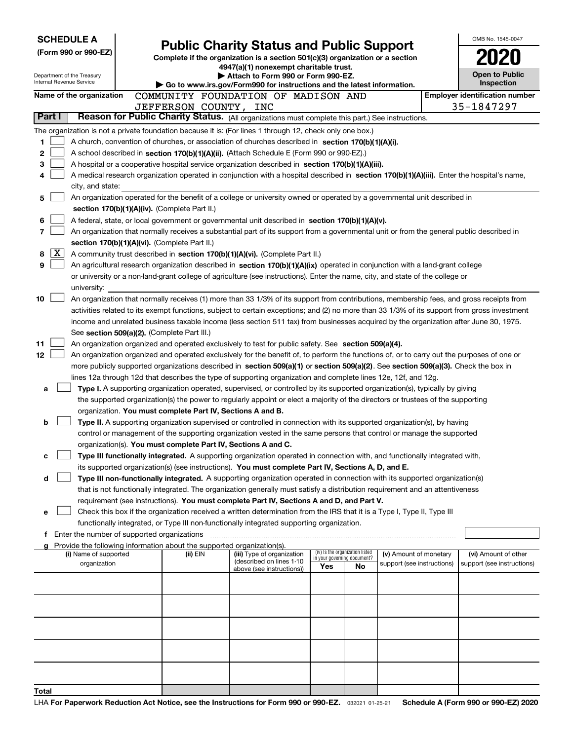| <b>SCHEDULE A</b><br><b>Public Charity Status and Public Support</b> |                                                                                                                                                                                                                                                                                  |                                                                                                                |                                                                |    |                            | OMB No. 1545-0047 |                                       |  |
|----------------------------------------------------------------------|----------------------------------------------------------------------------------------------------------------------------------------------------------------------------------------------------------------------------------------------------------------------------------|----------------------------------------------------------------------------------------------------------------|----------------------------------------------------------------|----|----------------------------|-------------------|---------------------------------------|--|
| (Form 990 or 990-EZ)                                                 |                                                                                                                                                                                                                                                                                  | Complete if the organization is a section 501(c)(3) organization or a section                                  |                                                                |    |                            |                   |                                       |  |
|                                                                      |                                                                                                                                                                                                                                                                                  | 4947(a)(1) nonexempt charitable trust.                                                                         |                                                                |    |                            |                   |                                       |  |
| Department of the Treasury<br>Internal Revenue Service               |                                                                                                                                                                                                                                                                                  | ▶ Attach to Form 990 or Form 990-EZ.<br>Go to www.irs.gov/Form990 for instructions and the latest information. |                                                                |    |                            |                   | <b>Open to Public</b><br>Inspection   |  |
| Name of the organization                                             | COMMUNITY FOUNDATION OF MADISON AND                                                                                                                                                                                                                                              |                                                                                                                |                                                                |    |                            |                   | <b>Employer identification number</b> |  |
|                                                                      | JEFFERSON COUNTY, INC                                                                                                                                                                                                                                                            |                                                                                                                |                                                                |    |                            |                   | 35-1847297                            |  |
| Part I                                                               | Reason for Public Charity Status. (All organizations must complete this part.) See instructions.                                                                                                                                                                                 |                                                                                                                |                                                                |    |                            |                   |                                       |  |
|                                                                      | The organization is not a private foundation because it is: (For lines 1 through 12, check only one box.)                                                                                                                                                                        |                                                                                                                |                                                                |    |                            |                   |                                       |  |
| 1                                                                    | A church, convention of churches, or association of churches described in section 170(b)(1)(A)(i).                                                                                                                                                                               |                                                                                                                |                                                                |    |                            |                   |                                       |  |
| 2                                                                    | A school described in section 170(b)(1)(A)(ii). (Attach Schedule E (Form 990 or 990-EZ).)                                                                                                                                                                                        |                                                                                                                |                                                                |    |                            |                   |                                       |  |
| 3<br>4                                                               | A hospital or a cooperative hospital service organization described in section 170(b)(1)(A)(iii).<br>A medical research organization operated in conjunction with a hospital described in section 170(b)(1)(A)(iii). Enter the hospital's name,                                  |                                                                                                                |                                                                |    |                            |                   |                                       |  |
| city, and state:                                                     |                                                                                                                                                                                                                                                                                  |                                                                                                                |                                                                |    |                            |                   |                                       |  |
| 5                                                                    | An organization operated for the benefit of a college or university owned or operated by a governmental unit described in                                                                                                                                                        |                                                                                                                |                                                                |    |                            |                   |                                       |  |
| section 170(b)(1)(A)(iv). (Complete Part II.)                        |                                                                                                                                                                                                                                                                                  |                                                                                                                |                                                                |    |                            |                   |                                       |  |
| 6                                                                    | A federal, state, or local government or governmental unit described in section 170(b)(1)(A)(v).                                                                                                                                                                                 |                                                                                                                |                                                                |    |                            |                   |                                       |  |
| 7                                                                    | An organization that normally receives a substantial part of its support from a governmental unit or from the general public described in                                                                                                                                        |                                                                                                                |                                                                |    |                            |                   |                                       |  |
|                                                                      | section 170(b)(1)(A)(vi). (Complete Part II.)                                                                                                                                                                                                                                    |                                                                                                                |                                                                |    |                            |                   |                                       |  |
| X<br>8<br>9                                                          | A community trust described in section 170(b)(1)(A)(vi). (Complete Part II.)                                                                                                                                                                                                     |                                                                                                                |                                                                |    |                            |                   |                                       |  |
|                                                                      | An agricultural research organization described in section 170(b)(1)(A)(ix) operated in conjunction with a land-grant college<br>or university or a non-land-grant college of agriculture (see instructions). Enter the name, city, and state of the college or                  |                                                                                                                |                                                                |    |                            |                   |                                       |  |
| university:                                                          |                                                                                                                                                                                                                                                                                  |                                                                                                                |                                                                |    |                            |                   |                                       |  |
| 10                                                                   | An organization that normally receives (1) more than 33 1/3% of its support from contributions, membership fees, and gross receipts from                                                                                                                                         |                                                                                                                |                                                                |    |                            |                   |                                       |  |
|                                                                      | activities related to its exempt functions, subject to certain exceptions; and (2) no more than 33 1/3% of its support from gross investment                                                                                                                                     |                                                                                                                |                                                                |    |                            |                   |                                       |  |
|                                                                      | income and unrelated business taxable income (less section 511 tax) from businesses acquired by the organization after June 30, 1975.                                                                                                                                            |                                                                                                                |                                                                |    |                            |                   |                                       |  |
|                                                                      | See section 509(a)(2). (Complete Part III.)                                                                                                                                                                                                                                      |                                                                                                                |                                                                |    |                            |                   |                                       |  |
| 11                                                                   | An organization organized and operated exclusively to test for public safety. See section 509(a)(4).                                                                                                                                                                             |                                                                                                                |                                                                |    |                            |                   |                                       |  |
| 12 <sub>2</sub>                                                      | An organization organized and operated exclusively for the benefit of, to perform the functions of, or to carry out the purposes of one or<br>more publicly supported organizations described in section 509(a)(1) or section 509(a)(2). See section 509(a)(3). Check the box in |                                                                                                                |                                                                |    |                            |                   |                                       |  |
|                                                                      | lines 12a through 12d that describes the type of supporting organization and complete lines 12e, 12f, and 12g.                                                                                                                                                                   |                                                                                                                |                                                                |    |                            |                   |                                       |  |
| а                                                                    | Type I. A supporting organization operated, supervised, or controlled by its supported organization(s), typically by giving                                                                                                                                                      |                                                                                                                |                                                                |    |                            |                   |                                       |  |
|                                                                      | the supported organization(s) the power to regularly appoint or elect a majority of the directors or trustees of the supporting                                                                                                                                                  |                                                                                                                |                                                                |    |                            |                   |                                       |  |
|                                                                      | organization. You must complete Part IV, Sections A and B.                                                                                                                                                                                                                       |                                                                                                                |                                                                |    |                            |                   |                                       |  |
| b                                                                    | Type II. A supporting organization supervised or controlled in connection with its supported organization(s), by having                                                                                                                                                          |                                                                                                                |                                                                |    |                            |                   |                                       |  |
|                                                                      | control or management of the supporting organization vested in the same persons that control or manage the supported<br>organization(s). You must complete Part IV, Sections A and C.                                                                                            |                                                                                                                |                                                                |    |                            |                   |                                       |  |
| с                                                                    | Type III functionally integrated. A supporting organization operated in connection with, and functionally integrated with,                                                                                                                                                       |                                                                                                                |                                                                |    |                            |                   |                                       |  |
|                                                                      | its supported organization(s) (see instructions). You must complete Part IV, Sections A, D, and E.                                                                                                                                                                               |                                                                                                                |                                                                |    |                            |                   |                                       |  |
| d                                                                    | Type III non-functionally integrated. A supporting organization operated in connection with its supported organization(s)                                                                                                                                                        |                                                                                                                |                                                                |    |                            |                   |                                       |  |
|                                                                      | that is not functionally integrated. The organization generally must satisfy a distribution requirement and an attentiveness                                                                                                                                                     |                                                                                                                |                                                                |    |                            |                   |                                       |  |
|                                                                      | requirement (see instructions). You must complete Part IV, Sections A and D, and Part V.                                                                                                                                                                                         |                                                                                                                |                                                                |    |                            |                   |                                       |  |
| е                                                                    | Check this box if the organization received a written determination from the IRS that it is a Type I, Type II, Type III                                                                                                                                                          |                                                                                                                |                                                                |    |                            |                   |                                       |  |
|                                                                      | functionally integrated, or Type III non-functionally integrated supporting organization.<br>Enter the number of supported organizations                                                                                                                                         |                                                                                                                |                                                                |    |                            |                   |                                       |  |
|                                                                      | Provide the following information about the supported organization(s).                                                                                                                                                                                                           |                                                                                                                |                                                                |    |                            |                   |                                       |  |
| (i) Name of supported                                                | (ii) EIN                                                                                                                                                                                                                                                                         | (iii) Type of organization<br>(described on lines 1-10                                                         | (iv) Is the organization listed<br>in your governing document? |    | (v) Amount of monetary     |                   | (vi) Amount of other                  |  |
| organization                                                         |                                                                                                                                                                                                                                                                                  | above (see instructions))                                                                                      | Yes                                                            | No | support (see instructions) |                   | support (see instructions)            |  |
|                                                                      |                                                                                                                                                                                                                                                                                  |                                                                                                                |                                                                |    |                            |                   |                                       |  |
|                                                                      |                                                                                                                                                                                                                                                                                  |                                                                                                                |                                                                |    |                            |                   |                                       |  |
|                                                                      |                                                                                                                                                                                                                                                                                  |                                                                                                                |                                                                |    |                            |                   |                                       |  |
|                                                                      |                                                                                                                                                                                                                                                                                  |                                                                                                                |                                                                |    |                            |                   |                                       |  |
|                                                                      |                                                                                                                                                                                                                                                                                  |                                                                                                                |                                                                |    |                            |                   |                                       |  |
|                                                                      |                                                                                                                                                                                                                                                                                  |                                                                                                                |                                                                |    |                            |                   |                                       |  |
|                                                                      |                                                                                                                                                                                                                                                                                  |                                                                                                                |                                                                |    |                            |                   |                                       |  |
|                                                                      |                                                                                                                                                                                                                                                                                  |                                                                                                                |                                                                |    |                            |                   |                                       |  |
| Total                                                                |                                                                                                                                                                                                                                                                                  |                                                                                                                |                                                                |    |                            |                   |                                       |  |
|                                                                      |                                                                                                                                                                                                                                                                                  |                                                                                                                |                                                                |    |                            |                   |                                       |  |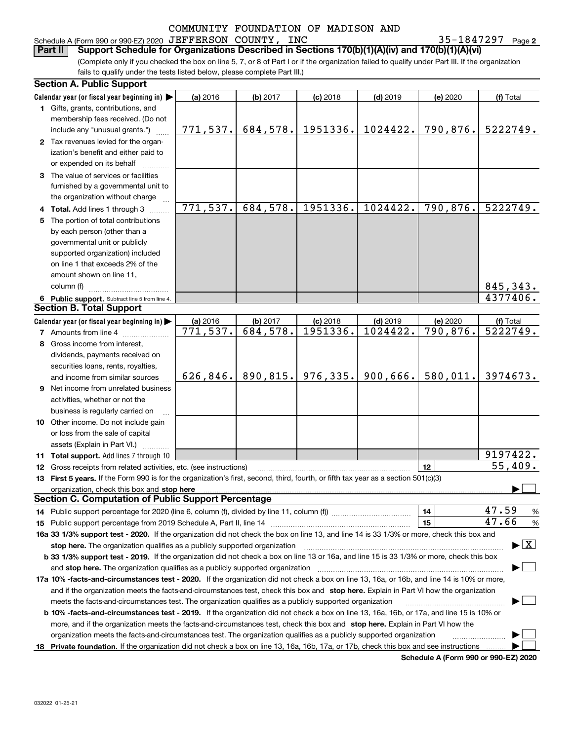Schedule A (Form 990 or 990-EZ) 2020 Page JEFFERSON COUNTY, INC 35-1847297

**2**

(Complete only if you checked the box on line 5, 7, or 8 of Part I or if the organization failed to qualify under Part III. If the organization fails to qualify under the tests listed below, please complete Part III.) **Part II Support Schedule for Organizations Described in Sections 170(b)(1)(A)(iv) and 170(b)(1)(A)(vi)**

|    | <b>Section A. Public Support</b>                                                                                                                                                                                                                                                    |                       |           |            |            |          |                                          |  |  |  |  |
|----|-------------------------------------------------------------------------------------------------------------------------------------------------------------------------------------------------------------------------------------------------------------------------------------|-----------------------|-----------|------------|------------|----------|------------------------------------------|--|--|--|--|
|    | Calendar year (or fiscal year beginning in) $\blacktriangleright$                                                                                                                                                                                                                   | (a) 2016              | (b) 2017  | $(c)$ 2018 | $(d)$ 2019 | (e) 2020 | (f) Total                                |  |  |  |  |
|    | 1 Gifts, grants, contributions, and                                                                                                                                                                                                                                                 |                       |           |            |            |          |                                          |  |  |  |  |
|    | membership fees received. (Do not                                                                                                                                                                                                                                                   |                       |           |            |            |          |                                          |  |  |  |  |
|    | include any "unusual grants.")                                                                                                                                                                                                                                                      | 771, 537.             | 684,578.  | 1951336.   | 1024422.   | 790,876. | 5222749.                                 |  |  |  |  |
|    | 2 Tax revenues levied for the organ-                                                                                                                                                                                                                                                |                       |           |            |            |          |                                          |  |  |  |  |
|    | ization's benefit and either paid to                                                                                                                                                                                                                                                |                       |           |            |            |          |                                          |  |  |  |  |
|    | or expended on its behalf                                                                                                                                                                                                                                                           |                       |           |            |            |          |                                          |  |  |  |  |
|    | 3 The value of services or facilities                                                                                                                                                                                                                                               |                       |           |            |            |          |                                          |  |  |  |  |
|    | furnished by a governmental unit to                                                                                                                                                                                                                                                 |                       |           |            |            |          |                                          |  |  |  |  |
|    | the organization without charge                                                                                                                                                                                                                                                     |                       |           |            |            |          |                                          |  |  |  |  |
|    | 4 Total. Add lines 1 through 3                                                                                                                                                                                                                                                      | 771,537.              | 684,578.  | 1951336.   | 1024422.   | 790,876. | 5222749.                                 |  |  |  |  |
| 5. | The portion of total contributions                                                                                                                                                                                                                                                  |                       |           |            |            |          |                                          |  |  |  |  |
|    | by each person (other than a                                                                                                                                                                                                                                                        |                       |           |            |            |          |                                          |  |  |  |  |
|    | governmental unit or publicly                                                                                                                                                                                                                                                       |                       |           |            |            |          |                                          |  |  |  |  |
|    | supported organization) included                                                                                                                                                                                                                                                    |                       |           |            |            |          |                                          |  |  |  |  |
|    | on line 1 that exceeds 2% of the                                                                                                                                                                                                                                                    |                       |           |            |            |          |                                          |  |  |  |  |
|    | amount shown on line 11,                                                                                                                                                                                                                                                            |                       |           |            |            |          |                                          |  |  |  |  |
|    | column (f)                                                                                                                                                                                                                                                                          |                       |           |            |            |          | 845,343.                                 |  |  |  |  |
|    | 6 Public support. Subtract line 5 from line 4.                                                                                                                                                                                                                                      |                       |           |            |            |          | $\overline{4377406}$ .                   |  |  |  |  |
|    | <b>Section B. Total Support</b>                                                                                                                                                                                                                                                     |                       |           |            |            |          |                                          |  |  |  |  |
|    | Calendar year (or fiscal year beginning in)                                                                                                                                                                                                                                         | (a) 2016              | (b) 2017  | $(c)$ 2018 | $(d)$ 2019 | (e) 2020 | (f) Total                                |  |  |  |  |
|    | <b>7</b> Amounts from line 4                                                                                                                                                                                                                                                        | $\overline{771,}537.$ | 684,578.  | 1951336.   | 1024422.   | 790,876. | 5222749.                                 |  |  |  |  |
|    | 8 Gross income from interest,                                                                                                                                                                                                                                                       |                       |           |            |            |          |                                          |  |  |  |  |
|    | dividends, payments received on                                                                                                                                                                                                                                                     |                       |           |            |            |          |                                          |  |  |  |  |
|    | securities loans, rents, royalties,                                                                                                                                                                                                                                                 |                       |           |            |            |          |                                          |  |  |  |  |
|    | and income from similar sources                                                                                                                                                                                                                                                     | 626,846.              | 890, 815. | 976,335.   | 900,666.   | 580,011. | 3974673.                                 |  |  |  |  |
|    | 9 Net income from unrelated business                                                                                                                                                                                                                                                |                       |           |            |            |          |                                          |  |  |  |  |
|    | activities, whether or not the                                                                                                                                                                                                                                                      |                       |           |            |            |          |                                          |  |  |  |  |
|    | business is regularly carried on                                                                                                                                                                                                                                                    |                       |           |            |            |          |                                          |  |  |  |  |
|    | 10 Other income. Do not include gain                                                                                                                                                                                                                                                |                       |           |            |            |          |                                          |  |  |  |  |
|    |                                                                                                                                                                                                                                                                                     |                       |           |            |            |          |                                          |  |  |  |  |
|    | or loss from the sale of capital<br>assets (Explain in Part VI.)                                                                                                                                                                                                                    |                       |           |            |            |          |                                          |  |  |  |  |
|    | <b>11 Total support.</b> Add lines 7 through 10                                                                                                                                                                                                                                     |                       |           |            |            |          | 9197422.                                 |  |  |  |  |
|    |                                                                                                                                                                                                                                                                                     |                       |           |            |            | 12       | 55,409.                                  |  |  |  |  |
|    | <b>12</b> Gross receipts from related activities, etc. (see instructions)<br>13 First 5 years. If the Form 990 is for the organization's first, second, third, fourth, or fifth tax year as a section 501(c)(3)                                                                     |                       |           |            |            |          |                                          |  |  |  |  |
|    |                                                                                                                                                                                                                                                                                     |                       |           |            |            |          |                                          |  |  |  |  |
|    | organization, check this box and stop here<br><b>Section C. Computation of Public Support Percentage</b>                                                                                                                                                                            |                       |           |            |            |          |                                          |  |  |  |  |
|    | 14 Public support percentage for 2020 (line 6, column (f), divided by line 11, column (f) <i>mummumumum</i>                                                                                                                                                                         |                       |           |            |            | 14       | 47.59<br>%                               |  |  |  |  |
|    |                                                                                                                                                                                                                                                                                     |                       |           |            |            | 15       | 47.66<br>%                               |  |  |  |  |
|    | 16a 33 1/3% support test - 2020. If the organization did not check the box on line 13, and line 14 is 33 1/3% or more, check this box and                                                                                                                                           |                       |           |            |            |          |                                          |  |  |  |  |
|    |                                                                                                                                                                                                                                                                                     |                       |           |            |            |          | $\blacktriangleright$ $\boxed{\text{X}}$ |  |  |  |  |
|    | stop here. The organization qualifies as a publicly supported organization<br>b 33 1/3% support test - 2019. If the organization did not check a box on line 13 or 16a, and line 15 is 33 1/3% or more, check this box                                                              |                       |           |            |            |          |                                          |  |  |  |  |
|    |                                                                                                                                                                                                                                                                                     |                       |           |            |            |          |                                          |  |  |  |  |
|    | and stop here. The organization qualifies as a publicly supported organization                                                                                                                                                                                                      |                       |           |            |            |          |                                          |  |  |  |  |
|    | 17a 10% -facts-and-circumstances test - 2020. If the organization did not check a box on line 13, 16a, or 16b, and line 14 is 10% or more,<br>and if the organization meets the facts-and-circumstances test, check this box and stop here. Explain in Part VI how the organization |                       |           |            |            |          |                                          |  |  |  |  |
|    |                                                                                                                                                                                                                                                                                     |                       |           |            |            |          |                                          |  |  |  |  |
|    | meets the facts-and-circumstances test. The organization qualifies as a publicly supported organization                                                                                                                                                                             |                       |           |            |            |          |                                          |  |  |  |  |
|    | <b>b 10% -facts-and-circumstances test - 2019.</b> If the organization did not check a box on line 13, 16a, 16b, or 17a, and line 15 is 10% or                                                                                                                                      |                       |           |            |            |          |                                          |  |  |  |  |
|    | more, and if the organization meets the facts-and-circumstances test, check this box and stop here. Explain in Part VI how the                                                                                                                                                      |                       |           |            |            |          |                                          |  |  |  |  |
|    | organization meets the facts-and-circumstances test. The organization qualifies as a publicly supported organization                                                                                                                                                                |                       |           |            |            |          |                                          |  |  |  |  |
|    | 18 Private foundation. If the organization did not check a box on line 13, 16a, 16b, 17a, or 17b, check this box and see instructions                                                                                                                                               |                       |           |            |            |          |                                          |  |  |  |  |

**Schedule A (Form 990 or 990-EZ) 2020**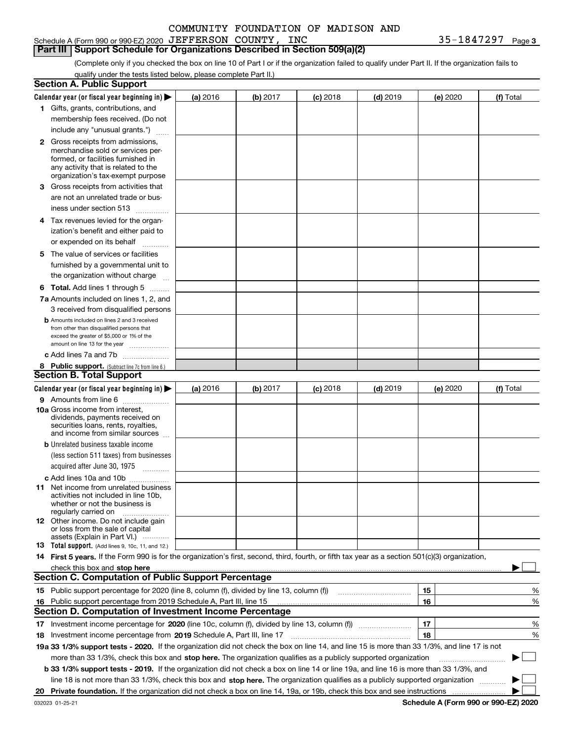Schedule A (Form 990 or 990-EZ) 2020 Page JEFFERSON COUNTY, INC 35-1847297

**Part III Support Schedule for Organizations Described in Section 509(a)(2)** 

(Complete only if you checked the box on line 10 of Part I or if the organization failed to qualify under Part II. If the organization fails to qualify under the tests listed below, please complete Part II.)

|     | <b>Section A. Public Support</b>                                                                                                                                                                                               |          |          |            |            |          |           |
|-----|--------------------------------------------------------------------------------------------------------------------------------------------------------------------------------------------------------------------------------|----------|----------|------------|------------|----------|-----------|
|     | Calendar year (or fiscal year beginning in) $\blacktriangleright$                                                                                                                                                              | (a) 2016 | (b) 2017 | $(c)$ 2018 | $(d)$ 2019 | (e) 2020 | (f) Total |
|     | 1 Gifts, grants, contributions, and                                                                                                                                                                                            |          |          |            |            |          |           |
|     | membership fees received. (Do not                                                                                                                                                                                              |          |          |            |            |          |           |
|     | include any "unusual grants.")                                                                                                                                                                                                 |          |          |            |            |          |           |
|     | <b>2</b> Gross receipts from admissions,                                                                                                                                                                                       |          |          |            |            |          |           |
|     | merchandise sold or services per-                                                                                                                                                                                              |          |          |            |            |          |           |
|     | formed, or facilities furnished in                                                                                                                                                                                             |          |          |            |            |          |           |
|     | any activity that is related to the<br>organization's tax-exempt purpose                                                                                                                                                       |          |          |            |            |          |           |
|     | 3 Gross receipts from activities that                                                                                                                                                                                          |          |          |            |            |          |           |
|     | are not an unrelated trade or bus-                                                                                                                                                                                             |          |          |            |            |          |           |
|     | iness under section 513                                                                                                                                                                                                        |          |          |            |            |          |           |
|     | 4 Tax revenues levied for the organ-                                                                                                                                                                                           |          |          |            |            |          |           |
|     | ization's benefit and either paid to                                                                                                                                                                                           |          |          |            |            |          |           |
|     | or expended on its behalf                                                                                                                                                                                                      |          |          |            |            |          |           |
|     | .                                                                                                                                                                                                                              |          |          |            |            |          |           |
|     | 5 The value of services or facilities<br>furnished by a governmental unit to                                                                                                                                                   |          |          |            |            |          |           |
|     |                                                                                                                                                                                                                                |          |          |            |            |          |           |
|     | the organization without charge                                                                                                                                                                                                |          |          |            |            |          |           |
|     | <b>6 Total.</b> Add lines 1 through 5                                                                                                                                                                                          |          |          |            |            |          |           |
|     | 7a Amounts included on lines 1, 2, and                                                                                                                                                                                         |          |          |            |            |          |           |
|     | 3 received from disqualified persons                                                                                                                                                                                           |          |          |            |            |          |           |
|     | <b>b</b> Amounts included on lines 2 and 3 received<br>from other than disqualified persons that                                                                                                                               |          |          |            |            |          |           |
|     | exceed the greater of \$5,000 or 1% of the                                                                                                                                                                                     |          |          |            |            |          |           |
|     | amount on line 13 for the year                                                                                                                                                                                                 |          |          |            |            |          |           |
|     | c Add lines 7a and 7b                                                                                                                                                                                                          |          |          |            |            |          |           |
|     | 8 Public support. (Subtract line 7c from line 6.)                                                                                                                                                                              |          |          |            |            |          |           |
|     | <b>Section B. Total Support</b>                                                                                                                                                                                                |          |          |            |            |          |           |
|     | Calendar year (or fiscal year beginning in) $\blacktriangleright$                                                                                                                                                              | (a) 2016 | (b) 2017 | $(c)$ 2018 | $(d)$ 2019 | (e) 2020 | (f) Total |
|     | 9 Amounts from line 6                                                                                                                                                                                                          |          |          |            |            |          |           |
|     | <b>10a</b> Gross income from interest,<br>dividends, payments received on                                                                                                                                                      |          |          |            |            |          |           |
|     | securities loans, rents, royalties,                                                                                                                                                                                            |          |          |            |            |          |           |
|     | and income from similar sources                                                                                                                                                                                                |          |          |            |            |          |           |
|     | <b>b</b> Unrelated business taxable income                                                                                                                                                                                     |          |          |            |            |          |           |
|     | (less section 511 taxes) from businesses                                                                                                                                                                                       |          |          |            |            |          |           |
|     | acquired after June 30, 1975                                                                                                                                                                                                   |          |          |            |            |          |           |
|     | c Add lines 10a and 10b                                                                                                                                                                                                        |          |          |            |            |          |           |
|     | 11 Net income from unrelated business                                                                                                                                                                                          |          |          |            |            |          |           |
|     | activities not included in line 10b,<br>whether or not the business is                                                                                                                                                         |          |          |            |            |          |           |
|     | regularly carried on                                                                                                                                                                                                           |          |          |            |            |          |           |
|     | <b>12</b> Other income. Do not include gain                                                                                                                                                                                    |          |          |            |            |          |           |
|     | or loss from the sale of capital                                                                                                                                                                                               |          |          |            |            |          |           |
|     | assets (Explain in Part VI.)<br>13 Total support. (Add lines 9, 10c, 11, and 12.)                                                                                                                                              |          |          |            |            |          |           |
|     | 14 First 5 years. If the Form 990 is for the organization's first, second, third, fourth, or fifth tax year as a section 501(c)(3) organization,                                                                               |          |          |            |            |          |           |
|     | check this box and stop here measurements and contain the state of the state of the state of the state of the state of the state of the state of the state of the state of the state of the state of the state of the state of |          |          |            |            |          |           |
|     | <b>Section C. Computation of Public Support Percentage</b>                                                                                                                                                                     |          |          |            |            |          |           |
|     |                                                                                                                                                                                                                                |          |          |            |            | 15       | %         |
| 16. | Public support percentage from 2019 Schedule A, Part III, line 15                                                                                                                                                              |          |          |            |            | 16       | %         |
|     | <b>Section D. Computation of Investment Income Percentage</b>                                                                                                                                                                  |          |          |            |            |          |           |
|     | 17 Investment income percentage for 2020 (line 10c, column (f), divided by line 13, column (f))                                                                                                                                |          |          |            |            | 17       | %         |
|     | 18 Investment income percentage from 2019 Schedule A, Part III, line 17                                                                                                                                                        |          |          |            |            | 18       | %         |
|     | 19a 33 1/3% support tests - 2020. If the organization did not check the box on line 14, and line 15 is more than 33 1/3%, and line 17 is not                                                                                   |          |          |            |            |          |           |
|     |                                                                                                                                                                                                                                |          |          |            |            |          | $\sim$    |
|     | more than 33 1/3%, check this box and stop here. The organization qualifies as a publicly supported organization                                                                                                               |          |          |            |            |          | ▶         |
|     | b 33 1/3% support tests - 2019. If the organization did not check a box on line 14 or line 19a, and line 16 is more than 33 1/3%, and                                                                                          |          |          |            |            |          |           |
|     | line 18 is not more than 33 1/3%, check this box and stop here. The organization qualifies as a publicly supported organization                                                                                                |          |          |            |            |          |           |
| 20  |                                                                                                                                                                                                                                |          |          |            |            |          |           |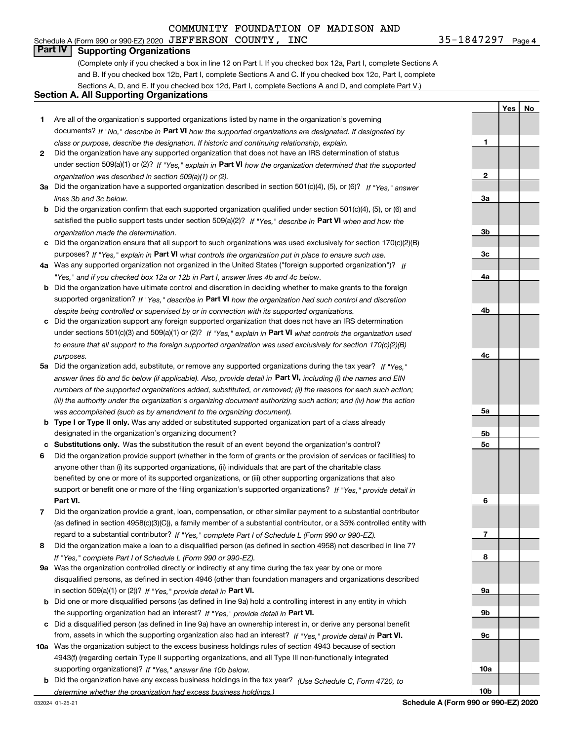**1**

**Yes**

**No**

# **Part IV Supporting Organizations**

(Complete only if you checked a box in line 12 on Part I. If you checked box 12a, Part I, complete Sections A and B. If you checked box 12b, Part I, complete Sections A and C. If you checked box 12c, Part I, complete Sections A, D, and E. If you checked box 12d, Part I, complete Sections A and D, and complete Part V.)

### **Section A. All Supporting Organizations**

- **1** Are all of the organization's supported organizations listed by name in the organization's governing documents? If "No," describe in **Part VI** how the supported organizations are designated. If designated by *class or purpose, describe the designation. If historic and continuing relationship, explain.*
- **2** Did the organization have any supported organization that does not have an IRS determination of status under section 509(a)(1) or (2)? If "Yes," explain in Part VI how the organization determined that the supported *organization was described in section 509(a)(1) or (2).*
- **3a** Did the organization have a supported organization described in section 501(c)(4), (5), or (6)? If "Yes," answer *lines 3b and 3c below.*
- **b** Did the organization confirm that each supported organization qualified under section 501(c)(4), (5), or (6) and satisfied the public support tests under section 509(a)(2)? If "Yes," describe in **Part VI** when and how the *organization made the determination.*
- **c**Did the organization ensure that all support to such organizations was used exclusively for section 170(c)(2)(B) purposes? If "Yes," explain in **Part VI** what controls the organization put in place to ensure such use.
- **4a***If* Was any supported organization not organized in the United States ("foreign supported organization")? *"Yes," and if you checked box 12a or 12b in Part I, answer lines 4b and 4c below.*
- **b** Did the organization have ultimate control and discretion in deciding whether to make grants to the foreign supported organization? If "Yes," describe in **Part VI** how the organization had such control and discretion *despite being controlled or supervised by or in connection with its supported organizations.*
- **c** Did the organization support any foreign supported organization that does not have an IRS determination under sections 501(c)(3) and 509(a)(1) or (2)? If "Yes," explain in **Part VI** what controls the organization used *to ensure that all support to the foreign supported organization was used exclusively for section 170(c)(2)(B) purposes.*
- **5a***If "Yes,"* Did the organization add, substitute, or remove any supported organizations during the tax year? answer lines 5b and 5c below (if applicable). Also, provide detail in **Part VI,** including (i) the names and EIN *numbers of the supported organizations added, substituted, or removed; (ii) the reasons for each such action; (iii) the authority under the organization's organizing document authorizing such action; and (iv) how the action was accomplished (such as by amendment to the organizing document).*
- **b** Type I or Type II only. Was any added or substituted supported organization part of a class already designated in the organization's organizing document?
- **cSubstitutions only.**  Was the substitution the result of an event beyond the organization's control?
- **6** Did the organization provide support (whether in the form of grants or the provision of services or facilities) to **Part VI.** *If "Yes," provide detail in* support or benefit one or more of the filing organization's supported organizations? anyone other than (i) its supported organizations, (ii) individuals that are part of the charitable class benefited by one or more of its supported organizations, or (iii) other supporting organizations that also
- **7**Did the organization provide a grant, loan, compensation, or other similar payment to a substantial contributor *If "Yes," complete Part I of Schedule L (Form 990 or 990-EZ).* regard to a substantial contributor? (as defined in section 4958(c)(3)(C)), a family member of a substantial contributor, or a 35% controlled entity with
- **8** Did the organization make a loan to a disqualified person (as defined in section 4958) not described in line 7? *If "Yes," complete Part I of Schedule L (Form 990 or 990-EZ).*
- **9a** Was the organization controlled directly or indirectly at any time during the tax year by one or more in section 509(a)(1) or (2))? If "Yes," *provide detail in* <code>Part VI.</code> disqualified persons, as defined in section 4946 (other than foundation managers and organizations described
- **b** Did one or more disqualified persons (as defined in line 9a) hold a controlling interest in any entity in which the supporting organization had an interest? If "Yes," provide detail in P**art VI**.
- **c**Did a disqualified person (as defined in line 9a) have an ownership interest in, or derive any personal benefit from, assets in which the supporting organization also had an interest? If "Yes," provide detail in P**art VI.**
- **10a** Was the organization subject to the excess business holdings rules of section 4943 because of section supporting organizations)? If "Yes," answer line 10b below. 4943(f) (regarding certain Type II supporting organizations, and all Type III non-functionally integrated
- **b** Did the organization have any excess business holdings in the tax year? (Use Schedule C, Form 4720, to *determine whether the organization had excess business holdings.)*

**23a3b3c4a4b4c5a5b5c6789a 9b9c**

**10a**

**10b**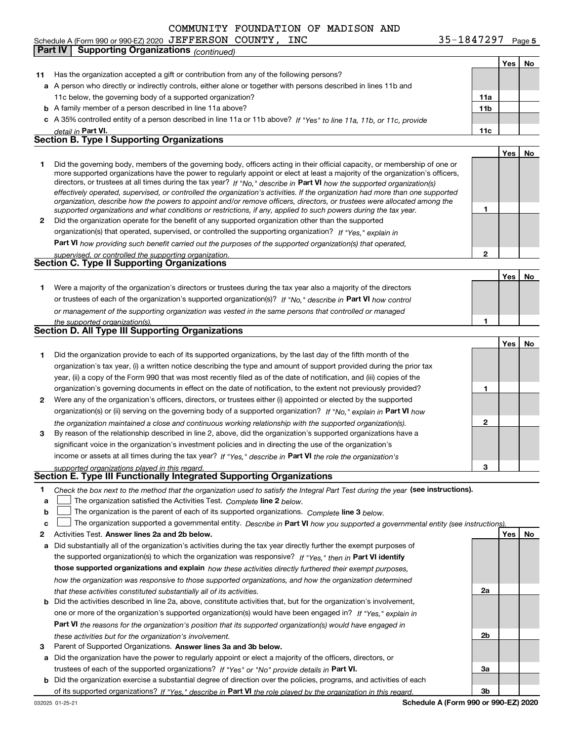**Yes No 11** Has the organization accepted a gift or contribution from any of the following persons? **a**A person who directly or indirectly controls, either alone or together with persons described in lines 11b and **b** A family member of a person described in line 11a above? **c** A 35% controlled entity of a person described in line 11a or 11b above? If "Yes" to line 11a, 11b, or 11c, provide **11a11bPart VI. 11c Yes No 12** Did the organization operate for the benefit of any supported organization other than the supported directors, or trustees at all times during the tax year? If "No," describe in **Part VI** how the supported organization(s) **12Part VI**  *how providing such benefit carried out the purposes of the supported organization(s) that operated,* **Yes No 1** Were a majority of the organization's directors or trustees during the tax year also a majority of the directors or trustees of each of the organization's supported organization(s)? If "No," describe in **Part VI** how control **1Yes No 1** Did the organization provide to each of its supported organizations, by the last day of the fifth month of the **2** Were any of the organization's officers, directors, or trustees either (i) appointed or elected by the supported **3123**organization(s) or (ii) serving on the governing body of a supported organization? If "No," explain in **Part VI** how income or assets at all times during the tax year? If "Yes," describe in **Part VI** the role the organization's **1**Check the box next to the method that the organization used to satisfy the Integral Part Test during the year (see instructions). **alinupy** The organization satisfied the Activities Test. Complete line 2 below. *detail in effectively operated, supervised, or controlled the organization's activities. If the organization had more than one supported organization, describe how the powers to appoint and/or remove officers, directors, or trustees were allocated among the supported organizations and what conditions or restrictions, if any, applied to such powers during the tax year. If "Yes," explain in* organization(s) that operated, supervised, or controlled the supporting organization? *supervised, or controlled the supporting organization. or management of the supporting organization was vested in the same persons that controlled or managed the supported organization(s). the organization maintained a close and continuous working relationship with the supported organization(s). supported organizations played in this regard.* Schedule A (Form 990 or 990-EZ) 2020 Page JEFFERSON COUNTY, INC 35-1847297 11c below, the governing body of a supported organization? Did the governing body, members of the governing body, officers acting in their official capacity, or membership of one or more supported organizations have the power to regularly appoint or elect at least a majority of the organization's officers, organization's tax year, (i) a written notice describing the type and amount of support provided during the prior tax year, (ii) a copy of the Form 990 that was most recently filed as of the date of notification, and (iii) copies of the organization's governing documents in effect on the date of notification, to the extent not previously provided? By reason of the relationship described in line 2, above, did the organization's supported organizations have a significant voice in the organization's investment policies and in directing the use of the organization's **Part IV Supporting Organizations** *(continued)* **Section B. Type I Supporting Organizations Section C. Type II Supporting Organizations Section D. All Type III Supporting Organizations Section E. Type III Functionally Integrated Supporting Organizations**  $\mathcal{L}^{\text{max}}$ 

**b**The organization is the parent of each of its supported organizations. *Complete* line 3 *below.* 

|  |  | The organization supported a governmental entity. Describe in Part VI how you supported a governmental entity (see instructions). |  |
|--|--|-----------------------------------------------------------------------------------------------------------------------------------|--|
|--|--|-----------------------------------------------------------------------------------------------------------------------------------|--|

- **2Answer lines 2a and 2b below. Yes No** Activities Test. **a** Did substantially all of the organization's activities during the tax year directly further the exempt purposes of the supported organization(s) to which the organization was responsive? If "Yes," then in **Part VI identify those supported organizations and explain**  *how these activities directly furthered their exempt purposes, how the organization was responsive to those supported organizations, and how the organization determined that these activities constituted substantially all of its activities.*
- **b** Did the activities described in line 2a, above, constitute activities that, but for the organization's involvement, **Part VI**  *the reasons for the organization's position that its supported organization(s) would have engaged in* one or more of the organization's supported organization(s) would have been engaged in? If "Yes," e*xplain in these activities but for the organization's involvement.*
- **3** Parent of Supported Organizations. Answer lines 3a and 3b below.
- **a** Did the organization have the power to regularly appoint or elect a majority of the officers, directors, or trustees of each of the supported organizations? If "Yes" or "No" provide details in **Part VI.**
- **b** Did the organization exercise a substantial degree of direction over the policies, programs, and activities of each of its supported organizations? If "Yes," describe in Part VI the role played by the organization in this regard.

**Schedule A (Form 990 or 990-EZ) 2020**

**2a**

**2b**

**3a**

**3b**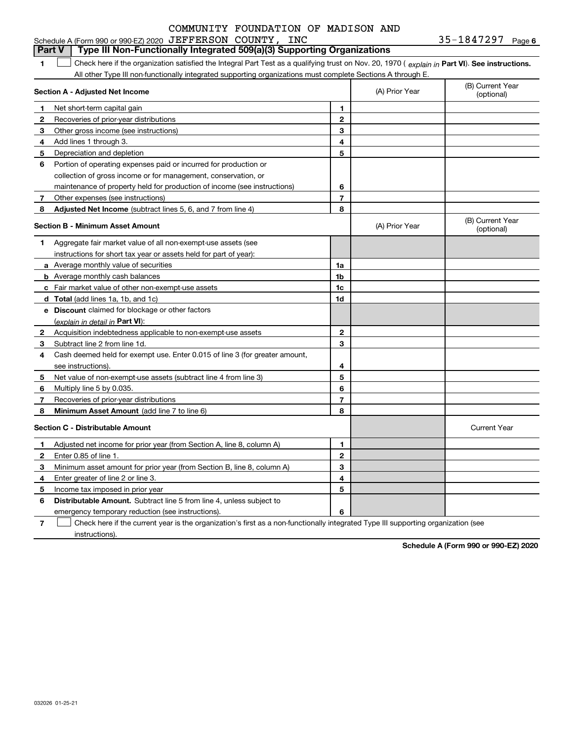#### **1Part VI** Check here if the organization satisfied the Integral Part Test as a qualifying trust on Nov. 20, 1970 ( explain in Part **VI**). See instructions. **Section A - Adjusted Net Income 123** Other gross income (see instructions) **4**Add lines 1 through 3. **56** Portion of operating expenses paid or incurred for production or **7** Other expenses (see instructions) **8** Adjusted Net Income (subtract lines 5, 6, and 7 from line 4) **8 8 1234567Section B - Minimum Asset Amount 1**Aggregate fair market value of all non-exempt-use assets (see **2**Acquisition indebtedness applicable to non-exempt-use assets **3** Subtract line 2 from line 1d. **4**Cash deemed held for exempt use. Enter 0.015 of line 3 (for greater amount, **5** Net value of non-exempt-use assets (subtract line 4 from line 3) **678a** Average monthly value of securities **b** Average monthly cash balances **c**Fair market value of other non-exempt-use assets **dTotal**  (add lines 1a, 1b, and 1c) **eDiscount** claimed for blockage or other factors **1a1b1c1d2345678**(explain in detail in Part VI): **Minimum Asset Amount**  (add line 7 to line 6) **Section C - Distributable Amount 123456123456Distributable Amount.** Subtract line 5 from line 4, unless subject to All other Type III non-functionally integrated supporting organizations must complete Sections A through E. (B) Current Year (optional)(A) Prior Year Net short-term capital gain Recoveries of prior-year distributions Depreciation and depletion collection of gross income or for management, conservation, or maintenance of property held for production of income (see instructions) (B) Current Year (optional)(A) Prior Year instructions for short tax year or assets held for part of year): see instructions). Multiply line 5 by 0.035. Recoveries of prior-year distributions Current Year Adjusted net income for prior year (from Section A, line 8, column A) Enter 0.85 of line 1. Minimum asset amount for prior year (from Section B, line 8, column A) Enter greater of line 2 or line 3. Income tax imposed in prior year emergency temporary reduction (see instructions). **Part V Type III Non-Functionally Integrated 509(a)(3) Supporting Organizations**   $\mathcal{L}^{\text{max}}$

**7**Check here if the current year is the organization's first as a non-functionally integrated Type III supporting organization (see instructions). $\mathcal{L}^{\text{max}}$ 

**Schedule A (Form 990 or 990-EZ) 2020**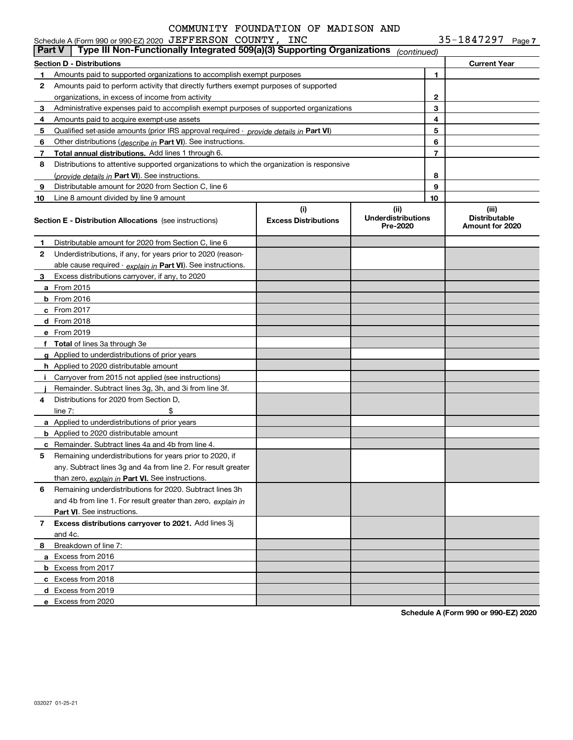|               | Schedule A (Form 990 or 990-EZ) 2020 JEFFERSON COUNTY, INC                                    |                                    |                                               |    | $35 - 1847297$ Page 7                            |
|---------------|-----------------------------------------------------------------------------------------------|------------------------------------|-----------------------------------------------|----|--------------------------------------------------|
| <b>Part V</b> | Type III Non-Functionally Integrated 509(a)(3) Supporting Organizations                       |                                    | (continued)                                   |    |                                                  |
|               | Section D - Distributions                                                                     |                                    |                                               |    | <b>Current Year</b>                              |
| 1.            | Amounts paid to supported organizations to accomplish exempt purposes                         |                                    |                                               | 1  |                                                  |
| 2             | Amounts paid to perform activity that directly furthers exempt purposes of supported          |                                    |                                               |    |                                                  |
|               | organizations, in excess of income from activity                                              |                                    | 2                                             |    |                                                  |
| 3             | Administrative expenses paid to accomplish exempt purposes of supported organizations         |                                    |                                               | 3  |                                                  |
| 4             | Amounts paid to acquire exempt-use assets                                                     |                                    |                                               | 4  |                                                  |
| 5             | Qualified set-aside amounts (prior IRS approval required - <i>provide details in</i> Part VI) |                                    |                                               | 5  |                                                  |
| 6             | Other distributions (describe in Part VI). See instructions.                                  |                                    |                                               | 6  |                                                  |
| 7             | Total annual distributions. Add lines 1 through 6.                                            |                                    |                                               | 7  |                                                  |
| 8             | Distributions to attentive supported organizations to which the organization is responsive    |                                    |                                               |    |                                                  |
|               | ( <i>provide details in</i> Part VI). See instructions.                                       |                                    |                                               | 8  |                                                  |
| 9             | Distributable amount for 2020 from Section C, line 6                                          |                                    |                                               | 9  |                                                  |
| 10            | Line 8 amount divided by line 9 amount                                                        |                                    |                                               | 10 |                                                  |
|               | <b>Section E - Distribution Allocations</b> (see instructions)                                | (i)<br><b>Excess Distributions</b> | (ii)<br><b>Underdistributions</b><br>Pre-2020 |    | (iii)<br><b>Distributable</b><br>Amount for 2020 |
| 1.            | Distributable amount for 2020 from Section C, line 6                                          |                                    |                                               |    |                                                  |
| 2             | Underdistributions, if any, for years prior to 2020 (reason-                                  |                                    |                                               |    |                                                  |
|               | able cause required $\cdot$ explain in Part VI). See instructions.                            |                                    |                                               |    |                                                  |
| 3             | Excess distributions carryover, if any, to 2020                                               |                                    |                                               |    |                                                  |
|               | <b>a</b> From 2015                                                                            |                                    |                                               |    |                                                  |
|               | <b>b</b> From 2016                                                                            |                                    |                                               |    |                                                  |
|               | <b>c</b> From 2017                                                                            |                                    |                                               |    |                                                  |
|               | d From 2018                                                                                   |                                    |                                               |    |                                                  |
|               | e From 2019                                                                                   |                                    |                                               |    |                                                  |
|               | f Total of lines 3a through 3e                                                                |                                    |                                               |    |                                                  |
|               | g Applied to underdistributions of prior years                                                |                                    |                                               |    |                                                  |
|               | <b>h</b> Applied to 2020 distributable amount                                                 |                                    |                                               |    |                                                  |
| Ť.            | Carryover from 2015 not applied (see instructions)                                            |                                    |                                               |    |                                                  |
|               | Remainder. Subtract lines 3g, 3h, and 3i from line 3f.                                        |                                    |                                               |    |                                                  |
| 4             | Distributions for 2020 from Section D.                                                        |                                    |                                               |    |                                                  |
|               | \$<br>line $7:$                                                                               |                                    |                                               |    |                                                  |
|               | a Applied to underdistributions of prior years                                                |                                    |                                               |    |                                                  |
|               | <b>b</b> Applied to 2020 distributable amount                                                 |                                    |                                               |    |                                                  |
|               | <b>c</b> Remainder. Subtract lines 4a and 4b from line 4.                                     |                                    |                                               |    |                                                  |
|               | Remaining underdistributions for years prior to 2020, if                                      |                                    |                                               |    |                                                  |
|               | any. Subtract lines 3g and 4a from line 2. For result greater                                 |                                    |                                               |    |                                                  |
|               | than zero, explain in Part VI. See instructions.                                              |                                    |                                               |    |                                                  |
| 6             | Remaining underdistributions for 2020. Subtract lines 3h                                      |                                    |                                               |    |                                                  |
|               | and 4b from line 1. For result greater than zero, explain in                                  |                                    |                                               |    |                                                  |
|               | <b>Part VI.</b> See instructions.                                                             |                                    |                                               |    |                                                  |
| 7             | Excess distributions carryover to 2021. Add lines 3j                                          |                                    |                                               |    |                                                  |
|               | and 4c.                                                                                       |                                    |                                               |    |                                                  |
| 8             | Breakdown of line 7:                                                                          |                                    |                                               |    |                                                  |
|               | a Excess from 2016                                                                            |                                    |                                               |    |                                                  |
|               | <b>b</b> Excess from 2017                                                                     |                                    |                                               |    |                                                  |
|               | c Excess from 2018                                                                            |                                    |                                               |    |                                                  |
|               | d Excess from 2019                                                                            |                                    |                                               |    |                                                  |
|               | e Excess from 2020                                                                            |                                    |                                               |    |                                                  |

**Schedule A (Form 990 or 990-EZ) 2020**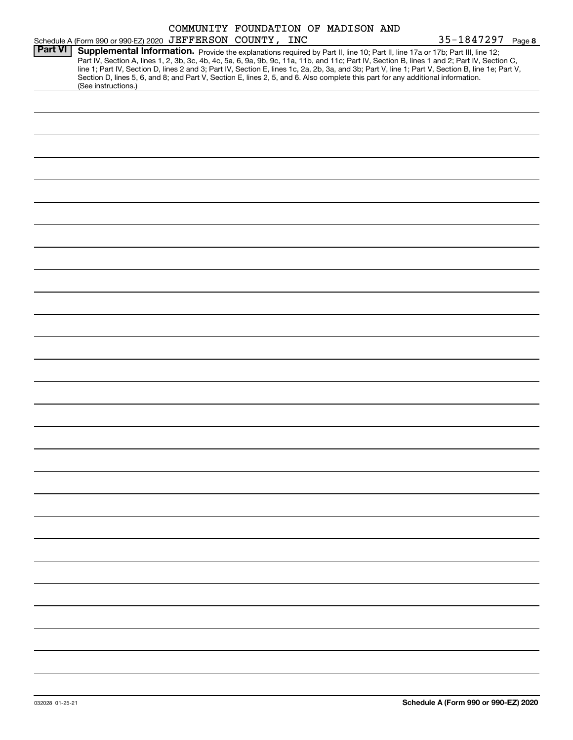|                |                                                                                                                                                                                                                                                                                                                                                                                                                                                                                                                                                                                             | COMMUNITY FOUNDATION OF MADISON AND |  |  |                   |  |
|----------------|---------------------------------------------------------------------------------------------------------------------------------------------------------------------------------------------------------------------------------------------------------------------------------------------------------------------------------------------------------------------------------------------------------------------------------------------------------------------------------------------------------------------------------------------------------------------------------------------|-------------------------------------|--|--|-------------------|--|
|                | Schedule A (Form 990 or 990-EZ) 2020 JEFFERSON COUNTY, INC                                                                                                                                                                                                                                                                                                                                                                                                                                                                                                                                  |                                     |  |  | 35-1847297 Page 8 |  |
| <b>Part VI</b> | Supplemental Information. Provide the explanations required by Part II, line 10; Part II, line 17a or 17b; Part III, line 12;<br>Part IV, Section A, lines 1, 2, 3b, 3c, 4b, 4c, 5a, 6, 9a, 9b, 9c, 11a, 11b, and 11c; Part IV, Section B, lines 1 and 2; Part IV, Section C,<br>line 1; Part IV, Section D, lines 2 and 3; Part IV, Section E, lines 1c, 2a, 2b, 3a, and 3b; Part V, line 1; Part V, Section B, line 1e; Part V,<br>Section D, lines 5, 6, and 8; and Part V, Section E, lines 2, 5, and 6. Also complete this part for any additional information.<br>(See instructions.) |                                     |  |  |                   |  |
|                |                                                                                                                                                                                                                                                                                                                                                                                                                                                                                                                                                                                             |                                     |  |  |                   |  |
|                |                                                                                                                                                                                                                                                                                                                                                                                                                                                                                                                                                                                             |                                     |  |  |                   |  |
|                |                                                                                                                                                                                                                                                                                                                                                                                                                                                                                                                                                                                             |                                     |  |  |                   |  |
|                |                                                                                                                                                                                                                                                                                                                                                                                                                                                                                                                                                                                             |                                     |  |  |                   |  |
|                |                                                                                                                                                                                                                                                                                                                                                                                                                                                                                                                                                                                             |                                     |  |  |                   |  |
|                |                                                                                                                                                                                                                                                                                                                                                                                                                                                                                                                                                                                             |                                     |  |  |                   |  |
|                |                                                                                                                                                                                                                                                                                                                                                                                                                                                                                                                                                                                             |                                     |  |  |                   |  |
|                |                                                                                                                                                                                                                                                                                                                                                                                                                                                                                                                                                                                             |                                     |  |  |                   |  |
|                |                                                                                                                                                                                                                                                                                                                                                                                                                                                                                                                                                                                             |                                     |  |  |                   |  |
|                |                                                                                                                                                                                                                                                                                                                                                                                                                                                                                                                                                                                             |                                     |  |  |                   |  |
|                |                                                                                                                                                                                                                                                                                                                                                                                                                                                                                                                                                                                             |                                     |  |  |                   |  |
|                |                                                                                                                                                                                                                                                                                                                                                                                                                                                                                                                                                                                             |                                     |  |  |                   |  |
|                |                                                                                                                                                                                                                                                                                                                                                                                                                                                                                                                                                                                             |                                     |  |  |                   |  |
|                |                                                                                                                                                                                                                                                                                                                                                                                                                                                                                                                                                                                             |                                     |  |  |                   |  |
|                |                                                                                                                                                                                                                                                                                                                                                                                                                                                                                                                                                                                             |                                     |  |  |                   |  |
|                |                                                                                                                                                                                                                                                                                                                                                                                                                                                                                                                                                                                             |                                     |  |  |                   |  |
|                |                                                                                                                                                                                                                                                                                                                                                                                                                                                                                                                                                                                             |                                     |  |  |                   |  |
|                |                                                                                                                                                                                                                                                                                                                                                                                                                                                                                                                                                                                             |                                     |  |  |                   |  |
|                |                                                                                                                                                                                                                                                                                                                                                                                                                                                                                                                                                                                             |                                     |  |  |                   |  |
|                |                                                                                                                                                                                                                                                                                                                                                                                                                                                                                                                                                                                             |                                     |  |  |                   |  |
|                |                                                                                                                                                                                                                                                                                                                                                                                                                                                                                                                                                                                             |                                     |  |  |                   |  |
|                |                                                                                                                                                                                                                                                                                                                                                                                                                                                                                                                                                                                             |                                     |  |  |                   |  |
|                |                                                                                                                                                                                                                                                                                                                                                                                                                                                                                                                                                                                             |                                     |  |  |                   |  |
|                |                                                                                                                                                                                                                                                                                                                                                                                                                                                                                                                                                                                             |                                     |  |  |                   |  |
|                |                                                                                                                                                                                                                                                                                                                                                                                                                                                                                                                                                                                             |                                     |  |  |                   |  |
|                |                                                                                                                                                                                                                                                                                                                                                                                                                                                                                                                                                                                             |                                     |  |  |                   |  |
|                |                                                                                                                                                                                                                                                                                                                                                                                                                                                                                                                                                                                             |                                     |  |  |                   |  |
|                |                                                                                                                                                                                                                                                                                                                                                                                                                                                                                                                                                                                             |                                     |  |  |                   |  |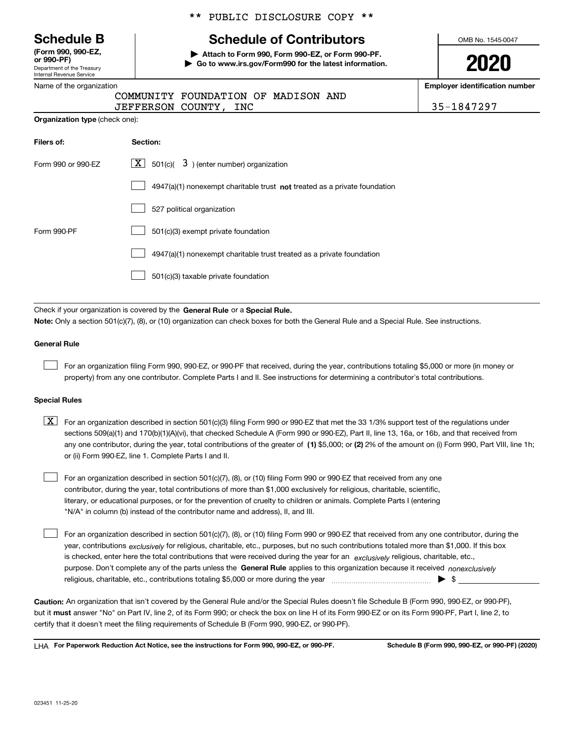|  | <b>Schedule B</b> |  |
|--|-------------------|--|
|--|-------------------|--|

Department of the Treasury Internal Revenue Service **(Form 990, 990-EZ, or 990-PF)**

|  | Name of the organization |
|--|--------------------------|
|  |                          |

\*\* PUBLIC DISCLOSURE COPY \*\*

# **Schedule of Contributors**

**| Attach to Form 990, Form 990-EZ, or Form 990-PF. | Go to www.irs.gov/Form990 for the latest information.** OMB No. 1545-0047

**2020**

**Employer identification number**

|  |  |  |  |  |  | 35-1847297 |  |  |  |  |
|--|--|--|--|--|--|------------|--|--|--|--|
|--|--|--|--|--|--|------------|--|--|--|--|

| <b>Organization type</b> (check one): |  |  |
|---------------------------------------|--|--|
|                                       |  |  |

| Filers of:         | Section:                                                                    |
|--------------------|-----------------------------------------------------------------------------|
| Form 990 or 990-EZ | $\lfloor \mathbf{X} \rfloor$ 501(c)( 3) (enter number) organization         |
|                    | $4947(a)(1)$ nonexempt charitable trust not treated as a private foundation |
|                    | 527 political organization                                                  |
| Form 990-PF        | 501(c)(3) exempt private foundation                                         |
|                    | 4947(a)(1) nonexempt charitable trust treated as a private foundation       |
|                    | 501(c)(3) taxable private foundation                                        |

COMMUNITY FOUNDATION OF MADISON AND

JEFFERSON COUNTY, INC

Check if your organization is covered by the **General Rule** or a **Special Rule. Note:**  Only a section 501(c)(7), (8), or (10) organization can check boxes for both the General Rule and a Special Rule. See instructions.

#### **General Rule**

 $\mathcal{L}^{\text{max}}$ 

For an organization filing Form 990, 990-EZ, or 990-PF that received, during the year, contributions totaling \$5,000 or more (in money or property) from any one contributor. Complete Parts I and II. See instructions for determining a contributor's total contributions.

#### **Special Rules**

any one contributor, during the year, total contributions of the greater of  $\,$  (1) \$5,000; or **(2)** 2% of the amount on (i) Form 990, Part VIII, line 1h;  $\boxed{\textbf{X}}$  For an organization described in section 501(c)(3) filing Form 990 or 990-EZ that met the 33 1/3% support test of the regulations under sections 509(a)(1) and 170(b)(1)(A)(vi), that checked Schedule A (Form 990 or 990-EZ), Part II, line 13, 16a, or 16b, and that received from or (ii) Form 990-EZ, line 1. Complete Parts I and II.

For an organization described in section 501(c)(7), (8), or (10) filing Form 990 or 990-EZ that received from any one contributor, during the year, total contributions of more than \$1,000 exclusively for religious, charitable, scientific, literary, or educational purposes, or for the prevention of cruelty to children or animals. Complete Parts I (entering "N/A" in column (b) instead of the contributor name and address), II, and III.  $\mathcal{L}^{\text{max}}$ 

purpose. Don't complete any of the parts unless the **General Rule** applies to this organization because it received *nonexclusively* year, contributions <sub>exclusively</sub> for religious, charitable, etc., purposes, but no such contributions totaled more than \$1,000. If this box is checked, enter here the total contributions that were received during the year for an  $\;$ exclusively religious, charitable, etc., For an organization described in section 501(c)(7), (8), or (10) filing Form 990 or 990-EZ that received from any one contributor, during the religious, charitable, etc., contributions totaling \$5,000 or more during the year  $\Box$ — $\Box$   $\Box$  $\mathcal{L}^{\text{max}}$ 

**Caution:**  An organization that isn't covered by the General Rule and/or the Special Rules doesn't file Schedule B (Form 990, 990-EZ, or 990-PF),  **must** but it answer "No" on Part IV, line 2, of its Form 990; or check the box on line H of its Form 990-EZ or on its Form 990-PF, Part I, line 2, to certify that it doesn't meet the filing requirements of Schedule B (Form 990, 990-EZ, or 990-PF).

**For Paperwork Reduction Act Notice, see the instructions for Form 990, 990-EZ, or 990-PF. Schedule B (Form 990, 990-EZ, or 990-PF) (2020)** LHA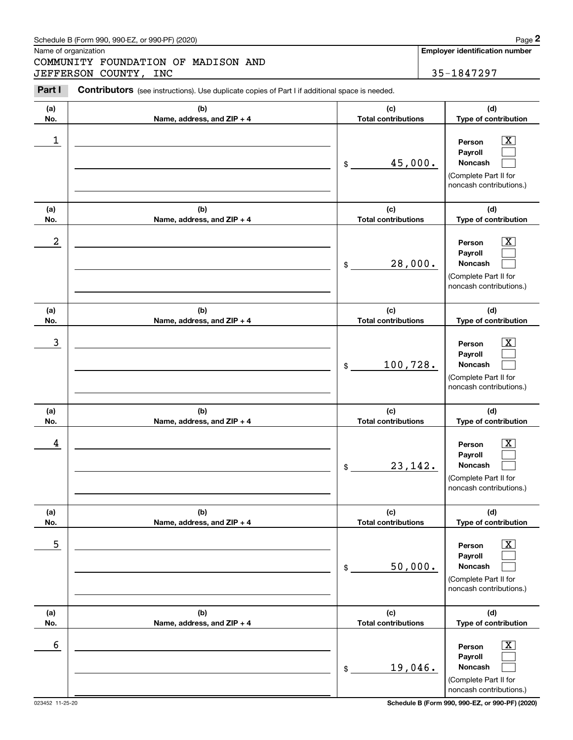# Schedule B (Form 990, 990-EZ, or 990-PF) (2020) Page 2

|                  | Schedule B (Form 990, 990-EZ, or 990-PF) (2020)                                                |                                   | Page 2                                                                                                        |
|------------------|------------------------------------------------------------------------------------------------|-----------------------------------|---------------------------------------------------------------------------------------------------------------|
|                  | Name of organization<br>COMMUNITY FOUNDATION OF MADISON AND<br>JEFFERSON COUNTY, INC           |                                   | <b>Employer identification number</b><br>35-1847297                                                           |
| Part I           | Contributors (see instructions). Use duplicate copies of Part I if additional space is needed. |                                   |                                                                                                               |
| (a)<br>No.       | (b)<br>Name, address, and ZIP + 4                                                              | (c)<br><b>Total contributions</b> | (d)<br>Type of contribution                                                                                   |
| 1                |                                                                                                | 45,000.<br>\$                     | $\mathbf{X}$<br>Person<br>Payroll<br>Noncash<br>(Complete Part II for<br>noncash contributions.)              |
| (a)<br>No.       | (b)<br>Name, address, and ZIP + 4                                                              | (c)<br><b>Total contributions</b> | (d)<br>Type of contribution                                                                                   |
| $\boldsymbol{2}$ |                                                                                                | 28,000.<br>\$                     | $\mathbf{X}$<br>Person<br>Payroll<br>Noncash<br>(Complete Part II for<br>noncash contributions.)              |
| (a)<br>No.       | (b)<br>Name, address, and ZIP + 4                                                              | (c)<br><b>Total contributions</b> | (d)<br>Type of contribution                                                                                   |
| 3                |                                                                                                | 100,728.<br>\$                    | $\mathbf{X}$<br>Person<br>Payroll<br>Noncash<br>(Complete Part II for<br>noncash contributions.)              |
| (a)<br>No.       | (b)<br>Name, address, and ZIP + 4                                                              | (c)<br><b>Total contributions</b> | (d)<br>Type of contribution                                                                                   |
| 4                |                                                                                                | 23, 142.<br>\$                    | $\mathbf{X}$<br>Person<br>Payroll<br>Noncash<br>(Complete Part II for<br>noncash contributions.)              |
| (a)<br>No.       | (b)<br>Name, address, and ZIP + 4                                                              | (c)<br><b>Total contributions</b> | (d)<br>Type of contribution                                                                                   |
| 5                |                                                                                                | 50,000.<br>\$                     | $\boxed{\text{X}}$<br>Person<br>Payroll<br><b>Noncash</b><br>(Complete Part II for<br>noncash contributions.) |
| (a)<br>No.       | (b)<br>Name, address, and ZIP + 4                                                              | (c)<br><b>Total contributions</b> | (d)<br>Type of contribution                                                                                   |
| 6                |                                                                                                | 19,046.<br>\$                     | $\boxed{\text{X}}$<br>Person<br>Payroll<br>Noncash<br>(Complete Part II for<br>noncash contributions.)        |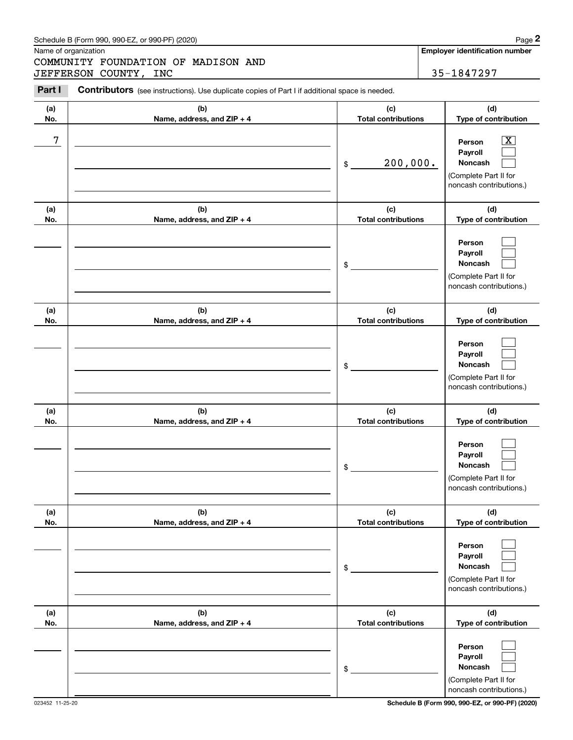# Schedule B (Form 990, 990-EZ, or 990-PF) (2020) Page 2

Name of organization

Chedule B (Form 990, 990-EZ, or 990-PF) (2020)<br>
Iame of organization<br> **2PART II CONNTANT COUNTY**, INC **2PART III** Contributors (see instructions). Use duplicate copies of Part I if additional space is needed.<br>
2PART I Cont COMMUNITY FOUNDATION OF MADISON AND JEFFERSON COUNTY, INC 35-1847297

| Part I     | <b>Contributors</b> (see instructions). Use duplicate copies of Part I if additional space is needed. |                                   |                                                                                                             |
|------------|-------------------------------------------------------------------------------------------------------|-----------------------------------|-------------------------------------------------------------------------------------------------------------|
| (a)<br>No. | (b)<br>Name, address, and ZIP + 4                                                                     | (c)<br><b>Total contributions</b> | (d)<br>Type of contribution                                                                                 |
| 7          |                                                                                                       | 200,000.<br>\$                    | $\overline{\texttt{X}}$<br>Person<br>Payroll<br>Noncash<br>(Complete Part II for<br>noncash contributions.) |
| (a)<br>No. | (b)<br>Name, address, and ZIP + 4                                                                     | (c)<br><b>Total contributions</b> | (d)<br>Type of contribution                                                                                 |
|            |                                                                                                       | \$                                | Person<br>Payroll<br>Noncash<br>(Complete Part II for<br>noncash contributions.)                            |
| (a)<br>No. | (b)<br>Name, address, and ZIP + 4                                                                     | (c)<br><b>Total contributions</b> | (d)<br>Type of contribution                                                                                 |
|            |                                                                                                       | $$\circ$$                         | Person<br>Payroll<br>Noncash<br>(Complete Part II for<br>noncash contributions.)                            |
| (a)        | (b)                                                                                                   | (c)                               | (d)                                                                                                         |
| No.        | Name, address, and ZIP + 4                                                                            | <b>Total contributions</b><br>\$  | Type of contribution<br>Person<br>Payroll<br>Noncash<br>(Complete Part II for<br>noncash contributions.)    |
| (a)<br>No. | (b)<br>Name, address, and ZIP + 4                                                                     | (c)<br><b>Total contributions</b> | (d)<br>Type of contribution                                                                                 |
|            |                                                                                                       | \$                                | Person<br>Payroll<br>Noncash<br>(Complete Part II for<br>noncash contributions.)                            |
| (a)<br>No. | (b)<br>Name, address, and ZIP + 4                                                                     | (c)<br><b>Total contributions</b> | (d)<br>Type of contribution                                                                                 |
|            |                                                                                                       | \$                                | Person<br>Payroll<br>Noncash<br>(Complete Part II for<br>noncash contributions.)                            |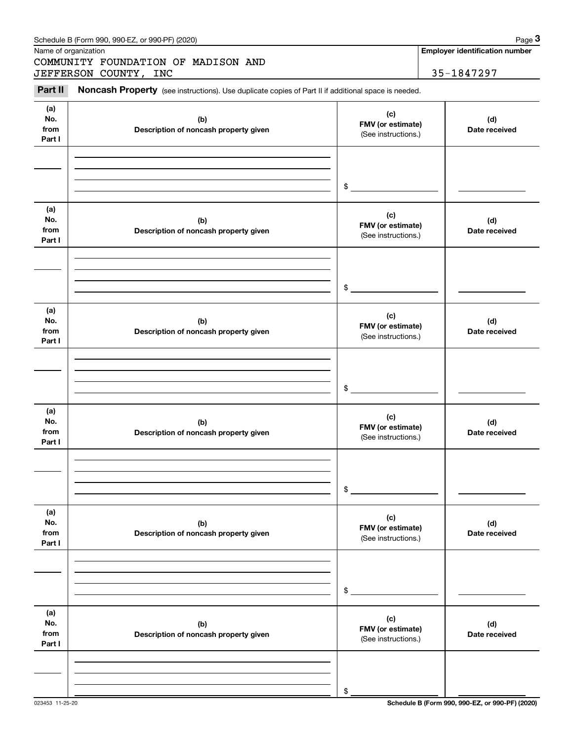| Schedule B (Form 990, 990-EZ, or 990-PF) (2020) | Page |
|-------------------------------------------------|------|
|-------------------------------------------------|------|

Name of organization

Chedule B (Form 990, 990-EZ, or 990-PF) (2020)<br>
Iame of organization<br> **2000 COUNDATION OF MADISON AND<br>
ISEFERSON COUNTY, INC 35-1847297<br>
Part II <b>Noncash Property** (see instructions). Use duplicate copies of Part II if add COMMUNITY FOUNDATION OF MADISON AND JEFFERSON COUNTY, INC 35-1847297

**Employer identification number**

#### **(a)No.fromPart I (c) FMV (or estimate) (b) Description of noncash property given (d) Date received (a)No.fromPart I (c) FMV (or estimate) (b) Description of noncash property given (d) Date received (a)No.fromPart I (c)FMV (or estimate) (b) Description of noncash property given (d) Date received (a) No.fromPart I (c) FMV (or estimate) (b)Description of noncash property given (d)Date received (a) No.fromPart I (c) FMV (or estimate) (b) Description of noncash property given (d) Date received (a) No.fromPart I (c)FMV (or estimate) (b)Description of noncash property given (d)Date received** (See instructions.) \$(See instructions.) \$(See instructions.) \$(See instructions.) \$(See instructions.) \$(See instructions.) \$

023453 11-25-20 **Schedule B (Form 990, 990-EZ, or 990-PF) (2020)**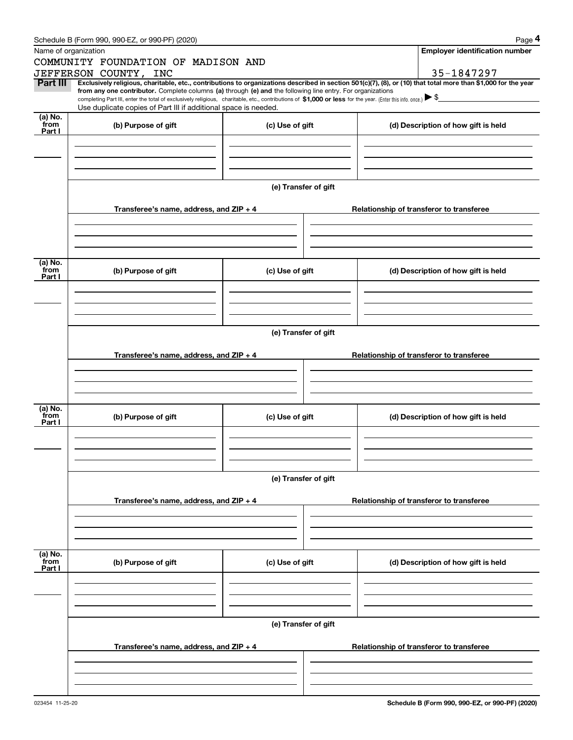|                 | Schedule B (Form 990, 990-EZ, or 990-PF) (2020)                                                                                                                                                                                                      |                      | Page 4                                                                                                                                                         |  |  |  |  |
|-----------------|------------------------------------------------------------------------------------------------------------------------------------------------------------------------------------------------------------------------------------------------------|----------------------|----------------------------------------------------------------------------------------------------------------------------------------------------------------|--|--|--|--|
|                 | Name of organization                                                                                                                                                                                                                                 |                      | <b>Employer identification number</b>                                                                                                                          |  |  |  |  |
|                 | COMMUNITY FOUNDATION OF MADISON AND                                                                                                                                                                                                                  |                      |                                                                                                                                                                |  |  |  |  |
| Part III        | JEFFERSON COUNTY, INC                                                                                                                                                                                                                                |                      | 35-1847297                                                                                                                                                     |  |  |  |  |
|                 | from any one contributor. Complete columns (a) through (e) and the following line entry. For organizations                                                                                                                                           |                      | Exclusively religious, charitable, etc., contributions to organizations described in section 501(c)(7), (8), or (10) that total more than \$1,000 for the year |  |  |  |  |
|                 | completing Part III, enter the total of exclusively religious, charitable, etc., contributions of \$1,000 or less for the year. (Enter this info. once.) $\blacktriangleright$ \$<br>Use duplicate copies of Part III if additional space is needed. |                      |                                                                                                                                                                |  |  |  |  |
| $(a)$ No.       |                                                                                                                                                                                                                                                      |                      |                                                                                                                                                                |  |  |  |  |
| from<br>Part I  | (b) Purpose of gift                                                                                                                                                                                                                                  | (c) Use of gift      | (d) Description of how gift is held                                                                                                                            |  |  |  |  |
|                 |                                                                                                                                                                                                                                                      |                      |                                                                                                                                                                |  |  |  |  |
|                 |                                                                                                                                                                                                                                                      |                      |                                                                                                                                                                |  |  |  |  |
|                 |                                                                                                                                                                                                                                                      |                      |                                                                                                                                                                |  |  |  |  |
|                 |                                                                                                                                                                                                                                                      |                      |                                                                                                                                                                |  |  |  |  |
|                 |                                                                                                                                                                                                                                                      | (e) Transfer of gift |                                                                                                                                                                |  |  |  |  |
|                 | Transferee's name, address, and ZIP + 4                                                                                                                                                                                                              |                      | Relationship of transferor to transferee                                                                                                                       |  |  |  |  |
|                 |                                                                                                                                                                                                                                                      |                      |                                                                                                                                                                |  |  |  |  |
|                 |                                                                                                                                                                                                                                                      |                      |                                                                                                                                                                |  |  |  |  |
|                 |                                                                                                                                                                                                                                                      |                      |                                                                                                                                                                |  |  |  |  |
|                 |                                                                                                                                                                                                                                                      |                      |                                                                                                                                                                |  |  |  |  |
| (a) No.<br>from | (b) Purpose of gift                                                                                                                                                                                                                                  | (c) Use of gift      | (d) Description of how gift is held                                                                                                                            |  |  |  |  |
| Part I          |                                                                                                                                                                                                                                                      |                      |                                                                                                                                                                |  |  |  |  |
|                 |                                                                                                                                                                                                                                                      |                      |                                                                                                                                                                |  |  |  |  |
|                 |                                                                                                                                                                                                                                                      |                      |                                                                                                                                                                |  |  |  |  |
|                 |                                                                                                                                                                                                                                                      |                      |                                                                                                                                                                |  |  |  |  |
|                 | (e) Transfer of gift                                                                                                                                                                                                                                 |                      |                                                                                                                                                                |  |  |  |  |
|                 |                                                                                                                                                                                                                                                      |                      |                                                                                                                                                                |  |  |  |  |
|                 | Transferee's name, address, and ZIP + 4                                                                                                                                                                                                              |                      | Relationship of transferor to transferee                                                                                                                       |  |  |  |  |
|                 |                                                                                                                                                                                                                                                      |                      |                                                                                                                                                                |  |  |  |  |
|                 |                                                                                                                                                                                                                                                      |                      |                                                                                                                                                                |  |  |  |  |
|                 |                                                                                                                                                                                                                                                      |                      |                                                                                                                                                                |  |  |  |  |
| (a) No.<br>from | (b) Purpose of gift                                                                                                                                                                                                                                  | (c) Use of gift      | (d) Description of how gift is held                                                                                                                            |  |  |  |  |
| Part I          |                                                                                                                                                                                                                                                      |                      |                                                                                                                                                                |  |  |  |  |
|                 |                                                                                                                                                                                                                                                      |                      |                                                                                                                                                                |  |  |  |  |
|                 |                                                                                                                                                                                                                                                      |                      |                                                                                                                                                                |  |  |  |  |
|                 |                                                                                                                                                                                                                                                      |                      |                                                                                                                                                                |  |  |  |  |
|                 | (e) Transfer of gift                                                                                                                                                                                                                                 |                      |                                                                                                                                                                |  |  |  |  |
|                 |                                                                                                                                                                                                                                                      |                      |                                                                                                                                                                |  |  |  |  |
|                 | Transferee's name, address, and $ZIP + 4$                                                                                                                                                                                                            |                      | Relationship of transferor to transferee                                                                                                                       |  |  |  |  |
|                 |                                                                                                                                                                                                                                                      |                      |                                                                                                                                                                |  |  |  |  |
|                 |                                                                                                                                                                                                                                                      |                      |                                                                                                                                                                |  |  |  |  |
|                 |                                                                                                                                                                                                                                                      |                      |                                                                                                                                                                |  |  |  |  |
| (a) No.<br>from |                                                                                                                                                                                                                                                      |                      |                                                                                                                                                                |  |  |  |  |
| Part I          | (b) Purpose of gift                                                                                                                                                                                                                                  | (c) Use of gift      | (d) Description of how gift is held                                                                                                                            |  |  |  |  |
|                 |                                                                                                                                                                                                                                                      |                      |                                                                                                                                                                |  |  |  |  |
|                 |                                                                                                                                                                                                                                                      |                      |                                                                                                                                                                |  |  |  |  |
|                 |                                                                                                                                                                                                                                                      |                      |                                                                                                                                                                |  |  |  |  |
|                 | (e) Transfer of gift                                                                                                                                                                                                                                 |                      |                                                                                                                                                                |  |  |  |  |
|                 |                                                                                                                                                                                                                                                      |                      |                                                                                                                                                                |  |  |  |  |
|                 | Transferee's name, address, and $ZIP + 4$                                                                                                                                                                                                            |                      | Relationship of transferor to transferee                                                                                                                       |  |  |  |  |
|                 |                                                                                                                                                                                                                                                      |                      |                                                                                                                                                                |  |  |  |  |
|                 |                                                                                                                                                                                                                                                      |                      |                                                                                                                                                                |  |  |  |  |
|                 |                                                                                                                                                                                                                                                      |                      |                                                                                                                                                                |  |  |  |  |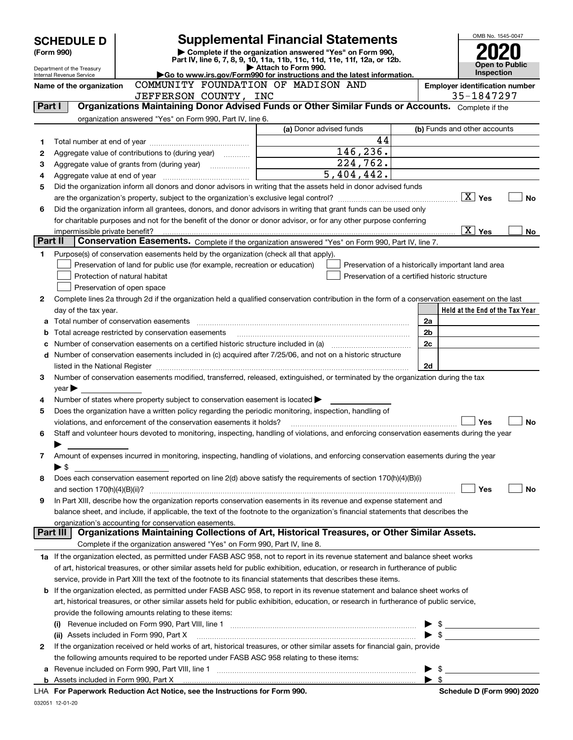|         | <b>SCHEDULE D</b>                                      |                                                                                                        | <b>Supplemental Financial Statements</b>                                                                                                       |                         | OMB No. 1545-0047                                                                                                                                                                                                                                                                                                                               |  |  |
|---------|--------------------------------------------------------|--------------------------------------------------------------------------------------------------------|------------------------------------------------------------------------------------------------------------------------------------------------|-------------------------|-------------------------------------------------------------------------------------------------------------------------------------------------------------------------------------------------------------------------------------------------------------------------------------------------------------------------------------------------|--|--|
|         | (Form 990)                                             |                                                                                                        | Complete if the organization answered "Yes" on Form 990,                                                                                       |                         |                                                                                                                                                                                                                                                                                                                                                 |  |  |
|         |                                                        |                                                                                                        | Part IV, line 6, 7, 8, 9, 10, 11a, 11b, 11c, 11d, 11e, 11f, 12a, or 12b.<br>Attach to Form 990.                                                |                         | Open to Public                                                                                                                                                                                                                                                                                                                                  |  |  |
|         | Department of the Treasury<br>Internal Revenue Service |                                                                                                        | Go to www.irs.gov/Form990 for instructions and the latest information.                                                                         |                         | <b>Inspection</b>                                                                                                                                                                                                                                                                                                                               |  |  |
|         | Name of the organization                               | COMMUNITY FOUNDATION OF MADISON AND<br><b>Employer identification number</b>                           |                                                                                                                                                |                         |                                                                                                                                                                                                                                                                                                                                                 |  |  |
|         |                                                        | JEFFERSON COUNTY, INC                                                                                  |                                                                                                                                                |                         | 35-1847297                                                                                                                                                                                                                                                                                                                                      |  |  |
| Part I  |                                                        |                                                                                                        | Organizations Maintaining Donor Advised Funds or Other Similar Funds or Accounts. Complete if the                                              |                         |                                                                                                                                                                                                                                                                                                                                                 |  |  |
|         |                                                        | organization answered "Yes" on Form 990, Part IV, line 6.                                              |                                                                                                                                                |                         |                                                                                                                                                                                                                                                                                                                                                 |  |  |
|         |                                                        |                                                                                                        | (a) Donor advised funds                                                                                                                        |                         | (b) Funds and other accounts                                                                                                                                                                                                                                                                                                                    |  |  |
| 1       |                                                        |                                                                                                        | 44<br>146, 236.                                                                                                                                |                         |                                                                                                                                                                                                                                                                                                                                                 |  |  |
| 2       |                                                        |                                                                                                        | 224,762.                                                                                                                                       |                         |                                                                                                                                                                                                                                                                                                                                                 |  |  |
| 3       |                                                        |                                                                                                        | $\overline{5,404,442.}$                                                                                                                        |                         |                                                                                                                                                                                                                                                                                                                                                 |  |  |
| 4<br>5  |                                                        |                                                                                                        | Did the organization inform all donors and donor advisors in writing that the assets held in donor advised funds                               |                         |                                                                                                                                                                                                                                                                                                                                                 |  |  |
|         |                                                        |                                                                                                        |                                                                                                                                                |                         | <b>No</b>                                                                                                                                                                                                                                                                                                                                       |  |  |
| 6       |                                                        |                                                                                                        | Did the organization inform all grantees, donors, and donor advisors in writing that grant funds can be used only                              |                         |                                                                                                                                                                                                                                                                                                                                                 |  |  |
|         |                                                        |                                                                                                        | for charitable purposes and not for the benefit of the donor or donor advisor, or for any other purpose conferring                             |                         |                                                                                                                                                                                                                                                                                                                                                 |  |  |
|         | impermissible private benefit?                         |                                                                                                        |                                                                                                                                                |                         | $\boxed{\text{X}}$ Yes<br>No                                                                                                                                                                                                                                                                                                                    |  |  |
| Part II |                                                        |                                                                                                        | Conservation Easements. Complete if the organization answered "Yes" on Form 990, Part IV, line 7.                                              |                         |                                                                                                                                                                                                                                                                                                                                                 |  |  |
| 1       |                                                        | Purpose(s) of conservation easements held by the organization (check all that apply).                  |                                                                                                                                                |                         |                                                                                                                                                                                                                                                                                                                                                 |  |  |
|         |                                                        | Preservation of land for public use (for example, recreation or education)                             | Preservation of a historically important land area                                                                                             |                         |                                                                                                                                                                                                                                                                                                                                                 |  |  |
|         |                                                        | Protection of natural habitat                                                                          | Preservation of a certified historic structure                                                                                                 |                         |                                                                                                                                                                                                                                                                                                                                                 |  |  |
|         |                                                        | Preservation of open space                                                                             |                                                                                                                                                |                         |                                                                                                                                                                                                                                                                                                                                                 |  |  |
| 2       |                                                        |                                                                                                        | Complete lines 2a through 2d if the organization held a qualified conservation contribution in the form of a conservation easement on the last |                         |                                                                                                                                                                                                                                                                                                                                                 |  |  |
|         | day of the tax year.                                   |                                                                                                        |                                                                                                                                                |                         | Held at the End of the Tax Year                                                                                                                                                                                                                                                                                                                 |  |  |
| а       |                                                        |                                                                                                        |                                                                                                                                                | 2a                      |                                                                                                                                                                                                                                                                                                                                                 |  |  |
| b       |                                                        | Total acreage restricted by conservation easements                                                     |                                                                                                                                                | 2b                      |                                                                                                                                                                                                                                                                                                                                                 |  |  |
| с       |                                                        |                                                                                                        | Number of conservation easements on a certified historic structure included in (a) manufacture included in (a)                                 | 2c                      |                                                                                                                                                                                                                                                                                                                                                 |  |  |
| d       |                                                        |                                                                                                        | Number of conservation easements included in (c) acquired after 7/25/06, and not on a historic structure                                       |                         |                                                                                                                                                                                                                                                                                                                                                 |  |  |
|         |                                                        |                                                                                                        |                                                                                                                                                | 2d                      |                                                                                                                                                                                                                                                                                                                                                 |  |  |
| 3       |                                                        |                                                                                                        | Number of conservation easements modified, transferred, released, extinguished, or terminated by the organization during the tax               |                         |                                                                                                                                                                                                                                                                                                                                                 |  |  |
|         | $year \blacktriangleright$                             |                                                                                                        |                                                                                                                                                |                         |                                                                                                                                                                                                                                                                                                                                                 |  |  |
| 4       |                                                        | Number of states where property subject to conservation easement is located >                          |                                                                                                                                                |                         |                                                                                                                                                                                                                                                                                                                                                 |  |  |
| 5       |                                                        | Does the organization have a written policy regarding the periodic monitoring, inspection, handling of |                                                                                                                                                |                         |                                                                                                                                                                                                                                                                                                                                                 |  |  |
|         |                                                        | violations, and enforcement of the conservation easements it holds?                                    |                                                                                                                                                |                         | <b>No</b><br>Yes                                                                                                                                                                                                                                                                                                                                |  |  |
| 6       |                                                        |                                                                                                        | Staff and volunteer hours devoted to monitoring, inspecting, handling of violations, and enforcing conservation easements during the year      |                         |                                                                                                                                                                                                                                                                                                                                                 |  |  |
|         |                                                        |                                                                                                        |                                                                                                                                                |                         |                                                                                                                                                                                                                                                                                                                                                 |  |  |
| 7       |                                                        |                                                                                                        | Amount of expenses incurred in monitoring, inspecting, handling of violations, and enforcing conservation easements during the year            |                         |                                                                                                                                                                                                                                                                                                                                                 |  |  |
|         | ▶ \$                                                   |                                                                                                        |                                                                                                                                                |                         |                                                                                                                                                                                                                                                                                                                                                 |  |  |
| 8       |                                                        |                                                                                                        | Does each conservation easement reported on line 2(d) above satisfy the requirements of section 170(h)(4)(B)(i)                                |                         |                                                                                                                                                                                                                                                                                                                                                 |  |  |
|         |                                                        |                                                                                                        |                                                                                                                                                |                         | Yes<br>No                                                                                                                                                                                                                                                                                                                                       |  |  |
| 9       |                                                        |                                                                                                        | In Part XIII, describe how the organization reports conservation easements in its revenue and expense statement and                            |                         |                                                                                                                                                                                                                                                                                                                                                 |  |  |
|         |                                                        |                                                                                                        | balance sheet, and include, if applicable, the text of the footnote to the organization's financial statements that describes the              |                         |                                                                                                                                                                                                                                                                                                                                                 |  |  |
|         | Part III                                               | organization's accounting for conservation easements.                                                  | Organizations Maintaining Collections of Art, Historical Treasures, or Other Similar Assets.                                                   |                         |                                                                                                                                                                                                                                                                                                                                                 |  |  |
|         |                                                        | Complete if the organization answered "Yes" on Form 990, Part IV, line 8.                              |                                                                                                                                                |                         |                                                                                                                                                                                                                                                                                                                                                 |  |  |
|         |                                                        |                                                                                                        | 1a If the organization elected, as permitted under FASB ASC 958, not to report in its revenue statement and balance sheet works                |                         |                                                                                                                                                                                                                                                                                                                                                 |  |  |
|         |                                                        |                                                                                                        | of art, historical treasures, or other similar assets held for public exhibition, education, or research in furtherance of public              |                         |                                                                                                                                                                                                                                                                                                                                                 |  |  |
|         |                                                        |                                                                                                        | service, provide in Part XIII the text of the footnote to its financial statements that describes these items.                                 |                         |                                                                                                                                                                                                                                                                                                                                                 |  |  |
|         |                                                        |                                                                                                        | <b>b</b> If the organization elected, as permitted under FASB ASC 958, to report in its revenue statement and balance sheet works of           |                         |                                                                                                                                                                                                                                                                                                                                                 |  |  |
|         |                                                        |                                                                                                        | art, historical treasures, or other similar assets held for public exhibition, education, or research in furtherance of public service,        |                         |                                                                                                                                                                                                                                                                                                                                                 |  |  |
|         |                                                        | provide the following amounts relating to these items:                                                 |                                                                                                                                                |                         |                                                                                                                                                                                                                                                                                                                                                 |  |  |
|         |                                                        |                                                                                                        |                                                                                                                                                |                         | $\triangleright$ \$                                                                                                                                                                                                                                                                                                                             |  |  |
|         |                                                        | (ii) Assets included in Form 990, Part X                                                               |                                                                                                                                                |                         |                                                                                                                                                                                                                                                                                                                                                 |  |  |
| 2       |                                                        |                                                                                                        | If the organization received or held works of art, historical treasures, or other similar assets for financial gain, provide                   |                         |                                                                                                                                                                                                                                                                                                                                                 |  |  |
|         |                                                        | the following amounts required to be reported under FASB ASC 958 relating to these items:              |                                                                                                                                                |                         |                                                                                                                                                                                                                                                                                                                                                 |  |  |
| а       |                                                        |                                                                                                        |                                                                                                                                                |                         | $\mathfrak s$ and $\mathfrak s$ and $\mathfrak s$ and $\mathfrak s$ and $\mathfrak s$ and $\mathfrak s$ and $\mathfrak s$ and $\mathfrak s$ and $\mathfrak s$ and $\mathfrak s$ and $\mathfrak s$ and $\mathfrak s$ and $\mathfrak s$ and $\mathfrak s$ and $\mathfrak s$ and $\mathfrak s$ and $\mathfrak s$ and $\mathfrak s$ and $\mathfrak$ |  |  |
| b       |                                                        |                                                                                                        | Assets included in Form 990, Part X [11, 2008] [2010] [2010] [2010] [2010] [2010] [2010] [2010] [2010] [2010] [                                | $\blacktriangleright$ s |                                                                                                                                                                                                                                                                                                                                                 |  |  |
|         |                                                        | LHA For Paperwork Reduction Act Notice, see the Instructions for Form 990.                             |                                                                                                                                                |                         | Schedule D (Form 990) 2020                                                                                                                                                                                                                                                                                                                      |  |  |
|         |                                                        |                                                                                                        |                                                                                                                                                |                         |                                                                                                                                                                                                                                                                                                                                                 |  |  |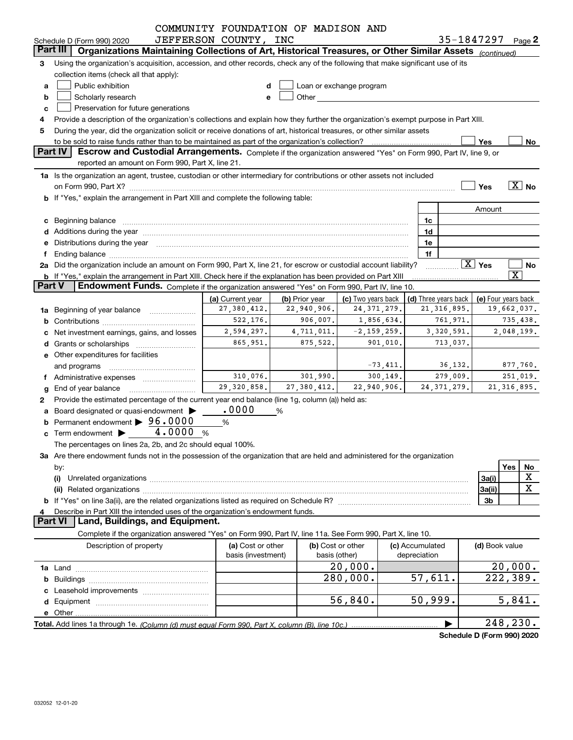|               | Schedule D (Form 990) 2020                                                                                                                                                                                                     | COMMUNITY FOUNDATION OF MADISON AND<br>JEFFERSON COUNTY, INC |                |                                                                                                                                                                                                                                |                                 |               | 35-1847297 $_{Page}$ 2 |                                       |
|---------------|--------------------------------------------------------------------------------------------------------------------------------------------------------------------------------------------------------------------------------|--------------------------------------------------------------|----------------|--------------------------------------------------------------------------------------------------------------------------------------------------------------------------------------------------------------------------------|---------------------------------|---------------|------------------------|---------------------------------------|
|               | Part III<br>Organizations Maintaining Collections of Art, Historical Treasures, or Other Similar Assets (continued)                                                                                                            |                                                              |                |                                                                                                                                                                                                                                |                                 |               |                        |                                       |
|               |                                                                                                                                                                                                                                |                                                              |                |                                                                                                                                                                                                                                |                                 |               |                        |                                       |
| 3             | Using the organization's acquisition, accession, and other records, check any of the following that make significant use of its<br>collection items (check all that apply):                                                    |                                                              |                |                                                                                                                                                                                                                                |                                 |               |                        |                                       |
| a             | Public exhibition                                                                                                                                                                                                              |                                                              |                | Loan or exchange program                                                                                                                                                                                                       |                                 |               |                        |                                       |
|               | Scholarly research                                                                                                                                                                                                             |                                                              |                | Other and the control of the control of the control of the control of the control of the control of the control of the control of the control of the control of the control of the control of the control of the control of th |                                 |               |                        |                                       |
| b             | Preservation for future generations                                                                                                                                                                                            |                                                              |                |                                                                                                                                                                                                                                |                                 |               |                        |                                       |
| c             |                                                                                                                                                                                                                                |                                                              |                |                                                                                                                                                                                                                                |                                 |               |                        |                                       |
|               | Provide a description of the organization's collections and explain how they further the organization's exempt purpose in Part XIII.                                                                                           |                                                              |                |                                                                                                                                                                                                                                |                                 |               |                        |                                       |
| 5             | During the year, did the organization solicit or receive donations of art, historical treasures, or other similar assets<br>to be sold to raise funds rather than to be maintained as part of the organization's collection?   |                                                              |                |                                                                                                                                                                                                                                |                                 |               | Yes                    | No                                    |
|               | <b>Part IV</b><br>Escrow and Custodial Arrangements. Complete if the organization answered "Yes" on Form 990, Part IV, line 9, or                                                                                              |                                                              |                |                                                                                                                                                                                                                                |                                 |               |                        |                                       |
|               | reported an amount on Form 990, Part X, line 21.                                                                                                                                                                               |                                                              |                |                                                                                                                                                                                                                                |                                 |               |                        |                                       |
|               | 1a Is the organization an agent, trustee, custodian or other intermediary for contributions or other assets not included                                                                                                       |                                                              |                |                                                                                                                                                                                                                                |                                 |               |                        |                                       |
|               | on Form 990, Part X? [11] matter contracts and contracts and contracts are contracted and contracts are contracted and contract and contract of the contract of the contract of the contract of the contract of the contract o |                                                              |                |                                                                                                                                                                                                                                |                                 |               | Yes                    | $\boxed{\text{X}}$ No                 |
|               | b If "Yes," explain the arrangement in Part XIII and complete the following table:                                                                                                                                             |                                                              |                |                                                                                                                                                                                                                                |                                 |               |                        |                                       |
|               |                                                                                                                                                                                                                                |                                                              |                |                                                                                                                                                                                                                                |                                 |               | Amount                 |                                       |
|               | c Beginning balance measurements and the state of the state of the state of the state of the state of the state of the state of the state of the state of the state of the state of the state of the state of the state of the |                                                              |                |                                                                                                                                                                                                                                | 1c                              |               |                        |                                       |
|               |                                                                                                                                                                                                                                |                                                              |                |                                                                                                                                                                                                                                | 1d                              |               |                        |                                       |
|               | e Distributions during the year manufactured and continuum and control of the control of the control of the control of the control of the control of the control of the control of the control of the control of the control o |                                                              |                |                                                                                                                                                                                                                                | 1e                              |               |                        |                                       |
| f             |                                                                                                                                                                                                                                |                                                              |                |                                                                                                                                                                                                                                | 1f                              |               |                        |                                       |
|               | 2a Did the organization include an amount on Form 990, Part X, line 21, for escrow or custodial account liability?                                                                                                             |                                                              |                |                                                                                                                                                                                                                                |                                 |               | $\boxed{\text{X}}$ Yes | No                                    |
|               | b If "Yes," explain the arrangement in Part XIII. Check here if the explanation has been provided on Part XIII                                                                                                                 |                                                              |                |                                                                                                                                                                                                                                |                                 |               |                        | $\overline{\text{X}}$                 |
| <b>Part V</b> | <b>Endowment Funds.</b> Complete if the organization answered "Yes" on Form 990, Part IV, line 10.                                                                                                                             |                                                              |                |                                                                                                                                                                                                                                |                                 |               |                        |                                       |
|               |                                                                                                                                                                                                                                | (a) Current year                                             | (b) Prior year | (c) Two years back                                                                                                                                                                                                             | (d) Three years back            |               | (e) Four years back    |                                       |
|               | <b>1a</b> Beginning of year balance <i>manument</i>                                                                                                                                                                            | 27, 380, 412.                                                | 22,940,906.    | 24,371,279.                                                                                                                                                                                                                    |                                 | 21, 316, 895. |                        | 19,662,037.                           |
|               |                                                                                                                                                                                                                                | 522, 176.                                                    | 906,007.       | 1,856,634.                                                                                                                                                                                                                     |                                 | 761,971.      |                        | 735,438.                              |
|               | Net investment earnings, gains, and losses                                                                                                                                                                                     | 2,594,297.                                                   | 4,711,011.     | $-2, 159, 259.$                                                                                                                                                                                                                |                                 | 3,320,591.    |                        | 2,048,199.                            |
|               |                                                                                                                                                                                                                                | 865,951.                                                     | 875,522.       | 901,010.                                                                                                                                                                                                                       |                                 | 713,037.      |                        |                                       |
|               | e Other expenditures for facilities                                                                                                                                                                                            |                                                              |                |                                                                                                                                                                                                                                |                                 |               |                        |                                       |
|               | and programs                                                                                                                                                                                                                   |                                                              |                | $-73,411.$                                                                                                                                                                                                                     |                                 | 36,132.       |                        | 877,760.                              |
|               | f Administrative expenses <i></i>                                                                                                                                                                                              | 310,076.                                                     | 301,990.       | 300, 149.                                                                                                                                                                                                                      |                                 | 279,009.      |                        | 251,019.                              |
| g             | End of year balance                                                                                                                                                                                                            | 29, 320, 858.                                                | 27,380,412.    | 22,940,906.                                                                                                                                                                                                                    |                                 | 24, 371, 279. |                        | 21, 316, 895.                         |
| 2             | Provide the estimated percentage of the current year end balance (line 1g, column (a)) held as:                                                                                                                                |                                                              |                |                                                                                                                                                                                                                                |                                 |               |                        |                                       |
|               | a Board designated or quasi-endowment >                                                                                                                                                                                        | .0000                                                        | %              |                                                                                                                                                                                                                                |                                 |               |                        |                                       |
|               | Permanent endowment > 96.0000                                                                                                                                                                                                  | %                                                            |                |                                                                                                                                                                                                                                |                                 |               |                        |                                       |
|               | c Term endowment $\blacktriangleright$ $\boxed{4.0000}$                                                                                                                                                                        | %                                                            |                |                                                                                                                                                                                                                                |                                 |               |                        |                                       |
|               | The percentages on lines 2a, 2b, and 2c should equal 100%.                                                                                                                                                                     |                                                              |                |                                                                                                                                                                                                                                |                                 |               |                        |                                       |
|               | 3a Are there endowment funds not in the possession of the organization that are held and administered for the organization                                                                                                     |                                                              |                |                                                                                                                                                                                                                                |                                 |               |                        |                                       |
|               | by:                                                                                                                                                                                                                            |                                                              |                |                                                                                                                                                                                                                                |                                 |               |                        | Yes<br>No                             |
|               | (i)                                                                                                                                                                                                                            |                                                              |                |                                                                                                                                                                                                                                |                                 |               | 3a(i)                  | х                                     |
|               |                                                                                                                                                                                                                                |                                                              |                |                                                                                                                                                                                                                                |                                 |               | 3a(ii)                 | X                                     |
|               |                                                                                                                                                                                                                                |                                                              |                |                                                                                                                                                                                                                                |                                 |               | 3b                     |                                       |
| 4             | Describe in Part XIII the intended uses of the organization's endowment funds.                                                                                                                                                 |                                                              |                |                                                                                                                                                                                                                                |                                 |               |                        |                                       |
|               | Land, Buildings, and Equipment.<br><b>Part VI</b>                                                                                                                                                                              |                                                              |                |                                                                                                                                                                                                                                |                                 |               |                        |                                       |
|               | Complete if the organization answered "Yes" on Form 990, Part IV, line 11a. See Form 990, Part X, line 10.                                                                                                                     |                                                              |                |                                                                                                                                                                                                                                |                                 |               |                        |                                       |
|               | Description of property                                                                                                                                                                                                        | (a) Cost or other<br>basis (investment)                      |                | (b) Cost or other<br>basis (other)                                                                                                                                                                                             | (c) Accumulated<br>depreciation |               | (d) Book value         |                                       |
|               |                                                                                                                                                                                                                                |                                                              |                | 20,000.                                                                                                                                                                                                                        |                                 |               |                        | 20,000.                               |
|               |                                                                                                                                                                                                                                |                                                              |                | 280,000.                                                                                                                                                                                                                       | 57,611.                         |               |                        | 222, 389.                             |
|               |                                                                                                                                                                                                                                |                                                              |                |                                                                                                                                                                                                                                |                                 |               |                        |                                       |
|               |                                                                                                                                                                                                                                |                                                              |                | 56,840.                                                                                                                                                                                                                        | 50,999.                         |               |                        | 5,841.                                |
|               |                                                                                                                                                                                                                                |                                                              |                |                                                                                                                                                                                                                                |                                 |               |                        |                                       |
|               |                                                                                                                                                                                                                                |                                                              |                |                                                                                                                                                                                                                                |                                 |               |                        | 248,230.                              |
|               |                                                                                                                                                                                                                                |                                                              |                |                                                                                                                                                                                                                                |                                 |               |                        | $J = 5$ D $(T_{\text{num}}$ 000) 0000 |

**Schedule D (Form 990) 2020**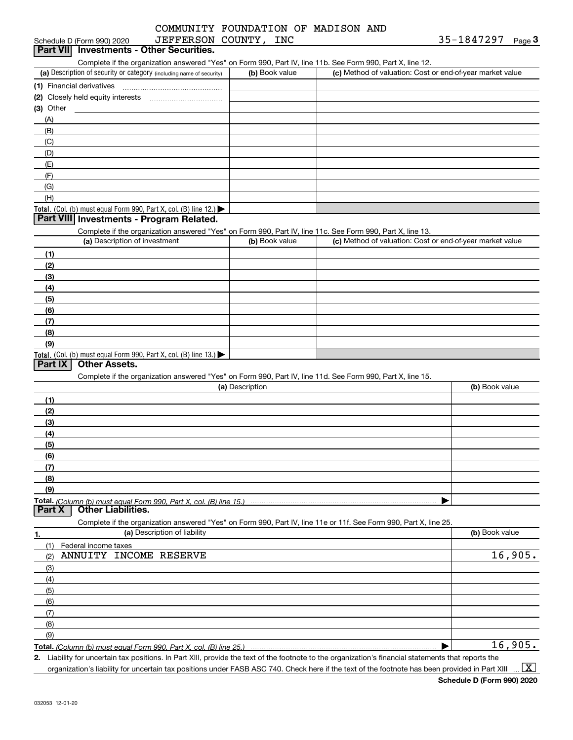#### (a) Description of security or category (including name of security)  $\vert$  (b) Book value  $\vert$  (c) Total. (Col. (b) must equal Form 990, Part X, col. (B) line 12.) Total. (Col. (b) must equal Form 990, Part X, col. (B) line 13.) **(1)** Financial derivatives ~~~~~~~~~~~~~~~ **(2)** Closely held equity interests ~~~~~~~~~~~ **(3)** Other (a) Description of investment **b (b)** Book value **(1)(2)(3)(4) (5)(6)(7)(8)(9)(a) (b)**  Description**(1)(2) (3)(4)(5) (6)(7)(8)(9)Total.**  *(Column (b) must equal Form 990, Part X, col. (B) line 15.)* **1.(a)** Description of liability **Book value** Book value Book value Book value Book value Schedule D (Form 990) 2020 JEFFERSON COUNTY,INC 35-1847297 Page Complete if the organization answered "Yes" on Form 990, Part IV, line 11b. See Form 990, Part X, line 12.  $(b)$  Book value  $\vert$  (c) Method of valuation: Cost or end-of-year market value (A)(B)(C)(D)(E)(F)(G)(H)Complete if the organization answered "Yes" on Form 990, Part IV, line 11c. See Form 990, Part X, line 13. (c) Method of valuation: Cost or end-of-year market value Complete if the organization answered "Yes" on Form 990, Part IV, line 11d. See Form 990, Part X, line 15. (b) Book value  $\blacktriangleright$ Complete if the organization answered "Yes" on Form 990, Part IV, line 11e or 11f. See Form 990, Part X, line 25. (1)(2)(3)(4)(5)(6)(7)(8)Federal income taxes Schedule D (Form 990) 2020 **JEFFERSON COUNTY, INC**<br>**Part VII Investments - Other Securities. Part VIII Investments - Program Related. Part IX Other Assets. Part X Other Liabilities.** ANNUITY INCOME RESERVE 16,905.

**Total.**  *(Column (b) must equal Form 990, Part X, col. (B) line 25.)* 

**2.**Liability for uncertain tax positions. In Part XIII, provide the text of the footnote to the organization's financial statements that reports the

organization's liability for uncertain tax positions under FASB ASC 740. Check here if the text of the footnote has been provided in Part XIII

 $\vert$  X  $\vert$ 

16,905.

 $\blacktriangleright$ 

(9)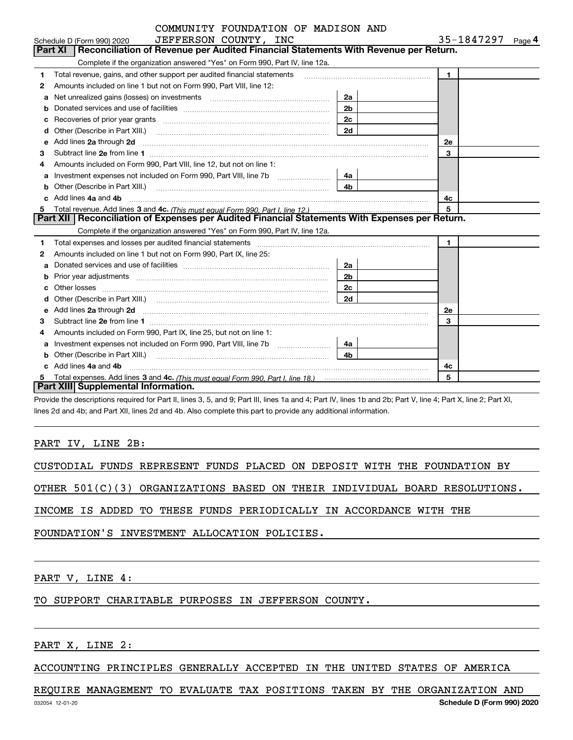|   | COMMUNITY FOUNDATION OF MADISON AND                                                                                                                                                                                                  |                |                                 |
|---|--------------------------------------------------------------------------------------------------------------------------------------------------------------------------------------------------------------------------------------|----------------|---------------------------------|
|   | JEFFERSON COUNTY, INC<br>Schedule D (Form 990) 2020                                                                                                                                                                                  |                | 35-1847297<br>Page <sup>4</sup> |
|   | <b>Part XI</b><br>Reconciliation of Revenue per Audited Financial Statements With Revenue per Return.                                                                                                                                |                |                                 |
|   | Complete if the organization answered "Yes" on Form 990, Part IV, line 12a.                                                                                                                                                          |                |                                 |
| 1 | Total revenue, gains, and other support per audited financial statements                                                                                                                                                             |                | $\mathbf{1}$                    |
| 2 | Amounts included on line 1 but not on Form 990, Part VIII, line 12:                                                                                                                                                                  |                |                                 |
| a | Net unrealized gains (losses) on investments [11] matter contracts and the unrealized gains (losses) on investments                                                                                                                  |                |                                 |
| b |                                                                                                                                                                                                                                      | 2 <sub>b</sub> |                                 |
|   | Recoveries of prior year grants <i>manual content of the coveries</i> of prior year grants                                                                                                                                           | 2c             |                                 |
| d |                                                                                                                                                                                                                                      | 2d             |                                 |
| e | Add lines 2a through 2d                                                                                                                                                                                                              |                | 2e                              |
| 3 |                                                                                                                                                                                                                                      |                | 3                               |
| 4 | Amounts included on Form 990, Part VIII, line 12, but not on line 1:                                                                                                                                                                 |                |                                 |
| a | Investment expenses not included on Form 990, Part VIII, line 7b [111] [11] [12]                                                                                                                                                     | 4a l           |                                 |
| b | Other (Describe in Part XIII.) <b>Construction Contract Construction</b> Chern Construction Construction Construction                                                                                                                |                |                                 |
|   | Add lines 4a and 4b                                                                                                                                                                                                                  | 4c             |                                 |
| 5 |                                                                                                                                                                                                                                      |                | 5                               |
|   | Part XII   Reconciliation of Expenses per Audited Financial Statements With Expenses per Return.                                                                                                                                     |                |                                 |
|   | Complete if the organization answered "Yes" on Form 990, Part IV, line 12a.                                                                                                                                                          |                |                                 |
| 1 | Total expenses and losses per audited financial statements [11] [12] manuscription control expenses and losses per audited financial statements [11] [12] manuscription of the statements [12] manuscription of the statements       |                | $\blacksquare$                  |
| 2 | Amounts included on line 1 but not on Form 990, Part IX, line 25:                                                                                                                                                                    |                |                                 |
|   |                                                                                                                                                                                                                                      | 2a             |                                 |
|   |                                                                                                                                                                                                                                      | 2 <sub>b</sub> |                                 |
| с |                                                                                                                                                                                                                                      | 2c             |                                 |
| d |                                                                                                                                                                                                                                      | 2d             |                                 |
| е | Add lines 2a through 2d <b>contained a contained a contained a contained a contained a contained a contained a contained a contact a contact a contact a contact a contact a contact a contact a contact a contact a contact a c</b> |                | 2e                              |
| 3 |                                                                                                                                                                                                                                      |                | 3                               |
| 4 | Amounts included on Form 990, Part IX, line 25, but not on line 1:                                                                                                                                                                   |                |                                 |
|   | Investment expenses not included on Form 990, Part VIII, line 7b [                                                                                                                                                                   | 4a             |                                 |
| b | Other (Describe in Part XIII.) <b>Construction Contract Construction</b> Chemical Construction Chemical Chemical Chemical Chemical Chemical Chemical Chemical Chemical Chemical Chemical Chemical Chemical Chemical Chemical Chemic  | 4 <sub>b</sub> |                                 |
|   | c Add lines 4a and 4b                                                                                                                                                                                                                |                | 4c                              |
|   |                                                                                                                                                                                                                                      |                | 5                               |
|   | Part XIII Supplemental Information.                                                                                                                                                                                                  |                |                                 |

Provide the descriptions required for Part II, lines 3, 5, and 9; Part III, lines 1a and 4; Part IV, lines 1b and 2b; Part V, line 4; Part X, line 2; Part XI, lines 2d and 4b; and Part XII, lines 2d and 4b. Also complete this part to provide any additional information.

### PART IV, LINE 2B:

CUSTODIAL FUNDS REPRESENT FUNDS PLACED ON DEPOSIT WITH THE FOUNDATION BY

OTHER 501(C)(3) ORGANIZATIONS BASED ON THEIR INDIVIDUAL BOARD RESOLUTIONS.

INCOME IS ADDED TO THESE FUNDS PERIODICALLY IN ACCORDANCE WITH THE

FOUNDATION'S INVESTMENT ALLOCATION POLICIES.

PART V, LINE 4:

# TO SUPPORT CHARITABLE PURPOSES IN JEFFERSON COUNTY.

PART X, LINE 2:

ACCOUNTING PRINCIPLES GENERALLY ACCEPTED IN THE UNITED STATES OF AMERICA

### REQUIRE MANAGEMENT TO EVALUATE TAX POSITIONS TAKEN BY THE ORGANIZATION AND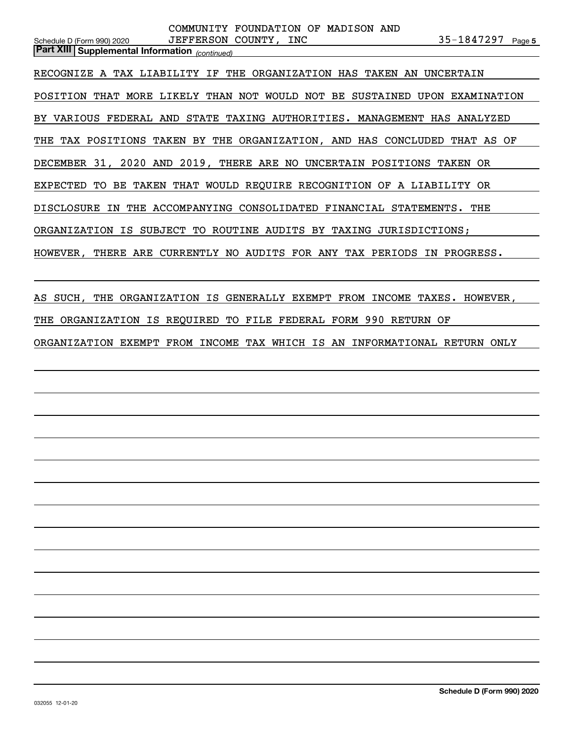|                                                                           | COMMUNITY FOUNDATION OF MADISON AND |                                                         |  |
|---------------------------------------------------------------------------|-------------------------------------|---------------------------------------------------------|--|
| Schedule D (Form 990) 2020                                                | JEFFERSON COUNTY, INC               | 35-1847297 Page 5                                       |  |
| <b>Part XIII Supplemental Information</b> (continued)                     |                                     |                                                         |  |
| RECOGNIZE A TAX LIABILITY IF THE ORGANIZATION HAS TAKEN AN UNCERTAIN      |                                     |                                                         |  |
| POSITION THAT MORE LIKELY THAN NOT WOULD NOT BE SUSTAINED                 |                                     | UPON EXAMINATION                                        |  |
| BY VARIOUS FEDERAL AND STATE TAXING AUTHORITIES. MANAGEMENT HAS ANALYZED  |                                     |                                                         |  |
| THE TAX POSITIONS TAKEN BY THE ORGANIZATION, AND HAS CONCLUDED THAT AS OF |                                     |                                                         |  |
| DECEMBER 31, 2020 AND 2019, THERE ARE NO UNCERTAIN POSITIONS TAKEN OR     |                                     |                                                         |  |
| EXPECTED TO BE TAKEN THAT WOULD REQUIRE RECOGNITION OF A LIABILITY OR     |                                     |                                                         |  |
| <b>DISCLOSURE</b><br>IN                                                   |                                     | THE ACCOMPANYING CONSOLIDATED FINANCIAL STATEMENTS. THE |  |
| ORGANIZATION IS SUBJECT TO ROUTINE AUDITS BY TAXING JURISDICTIONS;        |                                     |                                                         |  |
| HOWEVER, THERE ARE CURRENTLY NO AUDITS FOR ANY TAX PERIODS IN             |                                     | PROGRESS.                                               |  |
|                                                                           |                                     |                                                         |  |

AS SUCH, THE ORGANIZATION IS GENERALLY EXEMPT FROM INCOME TAXES. HOWEVER, THE ORGANIZATION IS REQUIRED TO FILE FEDERAL FORM 990 RETURN OF

ORGANIZATION EXEMPT FROM INCOME TAX WHICH IS AN INFORMATIONAL RETURN ONLY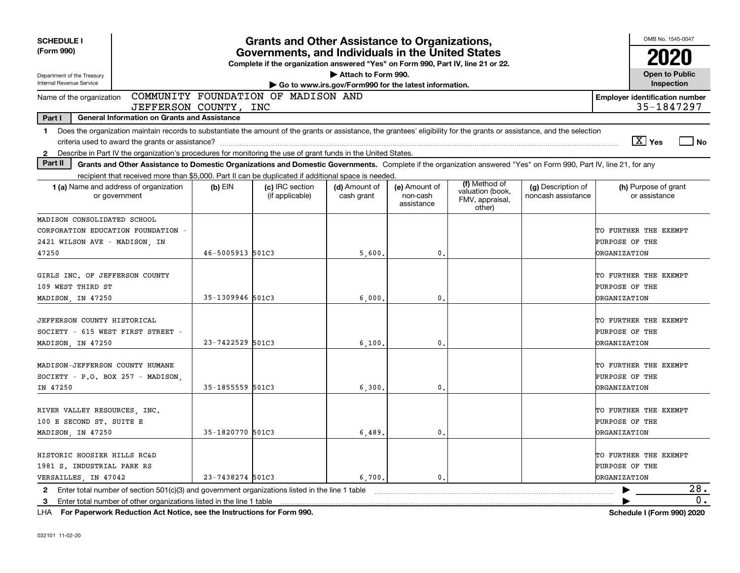| <b>SCHEDULE I</b>                                                                                                                                                                                                                                                         |                  | <b>Grants and Other Assistance to Organizations,</b>                                                                                  |                                                                              |                                         |                                                                |                                          | OMB No. 1545-0047                                              |
|---------------------------------------------------------------------------------------------------------------------------------------------------------------------------------------------------------------------------------------------------------------------------|------------------|---------------------------------------------------------------------------------------------------------------------------------------|------------------------------------------------------------------------------|-----------------------------------------|----------------------------------------------------------------|------------------------------------------|----------------------------------------------------------------|
| (Form 990)                                                                                                                                                                                                                                                                |                  | Governments, and Individuals in the United States<br>Complete if the organization answered "Yes" on Form 990, Part IV, line 21 or 22. |                                                                              |                                         |                                                                |                                          | 2020                                                           |
| Department of the Treasury<br>Internal Revenue Service                                                                                                                                                                                                                    |                  |                                                                                                                                       | Attach to Form 990.<br>Go to www.irs.gov/Form990 for the latest information. |                                         |                                                                |                                          | <b>Open to Public</b><br>Inspection                            |
| Name of the organization<br>JEFFERSON COUNTY, INC                                                                                                                                                                                                                         |                  | COMMUNITY FOUNDATION OF MADISON AND                                                                                                   |                                                                              |                                         |                                                                |                                          | <b>Employer identification number</b><br>35-1847297            |
| Part I<br><b>General Information on Grants and Assistance</b>                                                                                                                                                                                                             |                  |                                                                                                                                       |                                                                              |                                         |                                                                |                                          |                                                                |
| Does the organization maintain records to substantiate the amount of the grants or assistance, the grantees' eligibility for the grants or assistance, and the selection<br>$\mathbf 1$                                                                                   |                  |                                                                                                                                       |                                                                              |                                         |                                                                |                                          | $\boxed{\text{X}}$ Yes<br>  No                                 |
| Describe in Part IV the organization's procedures for monitoring the use of grant funds in the United States.<br>$\mathbf{2}$<br>Part II                                                                                                                                  |                  |                                                                                                                                       |                                                                              |                                         |                                                                |                                          |                                                                |
| Grants and Other Assistance to Domestic Organizations and Domestic Governments. Complete if the organization answered "Yes" on Form 990, Part IV, line 21, for any<br>recipient that received more than \$5,000. Part II can be duplicated if additional space is needed. |                  |                                                                                                                                       |                                                                              |                                         |                                                                |                                          |                                                                |
| 1 (a) Name and address of organization<br>or government                                                                                                                                                                                                                   | (b) EIN          | (c) IRC section<br>(if applicable)                                                                                                    | (d) Amount of<br>cash grant                                                  | (e) Amount of<br>non-cash<br>assistance | (f) Method of<br>valuation (book,<br>FMV, appraisal,<br>other) | (g) Description of<br>noncash assistance | (h) Purpose of grant<br>or assistance                          |
| MADISON CONSOLIDATED SCHOOL                                                                                                                                                                                                                                               |                  |                                                                                                                                       |                                                                              |                                         |                                                                |                                          |                                                                |
| CORPORATION EDUCATION FOUNDATION -                                                                                                                                                                                                                                        |                  |                                                                                                                                       |                                                                              |                                         |                                                                |                                          | TO FURTHER THE EXEMPT                                          |
| 2421 WILSON AVE - MADISON, IN                                                                                                                                                                                                                                             |                  |                                                                                                                                       |                                                                              |                                         |                                                                |                                          | PURPOSE OF THE                                                 |
| 47250                                                                                                                                                                                                                                                                     | 46-5005913 501C3 |                                                                                                                                       | 5,600.                                                                       | 0.                                      |                                                                |                                          | <b>DRGANIZATION</b>                                            |
| GIRLS INC. OF JEFFERSON COUNTY<br>109 WEST THIRD ST                                                                                                                                                                                                                       |                  |                                                                                                                                       |                                                                              |                                         |                                                                |                                          | TO FURTHER THE EXEMPT<br>PURPOSE OF THE                        |
| MADISON, IN 47250                                                                                                                                                                                                                                                         | 35-1309946 501C3 |                                                                                                                                       | 6,000                                                                        | 0                                       |                                                                |                                          | <b>ORGANIZATION</b>                                            |
| JEFFERSON COUNTY HISTORICAL<br>SOCIETY - 615 WEST FIRST STREET -<br>MADISON, IN 47250                                                                                                                                                                                     | 23-7422529 501C3 |                                                                                                                                       | 6,100                                                                        | 0.                                      |                                                                |                                          | TO FURTHER THE EXEMPT<br>PURPOSE OF THE<br><b>ORGANIZATION</b> |
| MADISON-JEFFERSON COUNTY HUMANE<br>SOCIETY - P.O. BOX 257 - MADISON.<br>IN 47250                                                                                                                                                                                          | 35-1855559 501C3 |                                                                                                                                       | 6,300                                                                        | $\mathbf{0}$ .                          |                                                                |                                          | TO FURTHER THE EXEMPT<br>PURPOSE OF THE<br><b>ORGANIZATION</b> |
| RIVER VALLEY RESOURCES, INC.<br>100 E SECOND ST. SUITE E<br>MADISON, IN 47250                                                                                                                                                                                             | 35-1820770 501C3 |                                                                                                                                       | 6,489                                                                        | 0.                                      |                                                                |                                          | TO FURTHER THE EXEMPT<br>PURPOSE OF THE<br><b>ORGANIZATION</b> |
| HISTORIC HOOSIER HILLS RC&D<br>1981 S. INDUSTRIAL PARK RS<br>VERSAILLES, IN 47042                                                                                                                                                                                         | 23-7438274 501C3 |                                                                                                                                       | 6,700.                                                                       | $\mathbf{0}$ .                          |                                                                |                                          | TO FURTHER THE EXEMPT<br>PURPOSE OF THE<br><b>ORGANIZATION</b> |
| 2 Enter total number of section 501(c)(3) and government organizations listed in the line 1 table                                                                                                                                                                         |                  |                                                                                                                                       |                                                                              |                                         |                                                                |                                          | 28.                                                            |
| Enter total number of other organizations listed in the line 1 table<br>3                                                                                                                                                                                                 |                  |                                                                                                                                       |                                                                              |                                         |                                                                |                                          | 0.                                                             |

**For Paperwork Reduction Act Notice, see the Instructions for Form 990. Schedule I (Form 990) 2020** LHA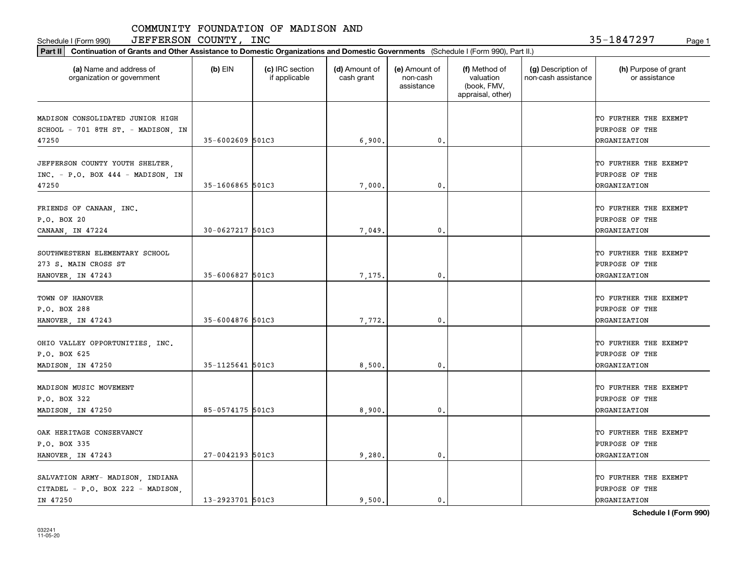Schedule I (Form 990)  ${\rm JEFFERSON}$  COUNTY,  ${\rm INC}$  35-1847297 Page 1

| Part II   Continuation of Grants and Other Assistance to Domestic Organizations and Domestic Governments (Schedule I (Form 990), Part II.) |                  |                                  |                             |                                         |                                                                |                                           |                                                                |
|--------------------------------------------------------------------------------------------------------------------------------------------|------------------|----------------------------------|-----------------------------|-----------------------------------------|----------------------------------------------------------------|-------------------------------------------|----------------------------------------------------------------|
| (a) Name and address of<br>organization or government                                                                                      | $(b)$ EIN        | (c) IRC section<br>if applicable | (d) Amount of<br>cash grant | (e) Amount of<br>non-cash<br>assistance | (f) Method of<br>valuation<br>(book, FMV,<br>appraisal, other) | (g) Description of<br>non-cash assistance | (h) Purpose of grant<br>or assistance                          |
| MADISON CONSOLIDATED JUNIOR HIGH<br>SCHOOL - 701 8TH ST. - MADISON, IN                                                                     |                  |                                  |                             |                                         |                                                                |                                           | TO FURTHER THE EXEMPT<br>PURPOSE OF THE                        |
| 47250                                                                                                                                      | 35-6002609 501C3 |                                  | 6,900.                      | 0.                                      |                                                                |                                           | <b>DRGANIZATION</b>                                            |
| JEFFERSON COUNTY YOUTH SHELTER,<br>INC. - P.O. BOX 444 - MADISON, IN<br>47250                                                              | 35-1606865 501C3 |                                  | 7,000,                      | 0.                                      |                                                                |                                           | TO FURTHER THE EXEMPT<br>PURPOSE OF THE<br><b>DRGANIZATION</b> |
| FRIENDS OF CANAAN, INC.<br>P.O. BOX 20                                                                                                     | 30-0627217 501C3 |                                  |                             | $\mathbf{0}$ .                          |                                                                |                                           | TO FURTHER THE EXEMPT<br>PURPOSE OF THE                        |
| CANAAN, IN 47224                                                                                                                           |                  |                                  | 7,049                       |                                         |                                                                |                                           | <b>DRGANIZATION</b>                                            |
| SOUTHWESTERN ELEMENTARY SCHOOL<br>273 S. MAIN CROSS ST                                                                                     |                  |                                  |                             |                                         |                                                                |                                           | TO FURTHER THE EXEMPT<br>PURPOSE OF THE                        |
| HANOVER, IN 47243                                                                                                                          | 35-6006827 501C3 |                                  | 7,175.                      | 0.                                      |                                                                |                                           | <b>DRGANIZATION</b>                                            |
| TOWN OF HANOVER<br>P.O. BOX 288                                                                                                            |                  |                                  |                             |                                         |                                                                |                                           | TO FURTHER THE EXEMPT<br>PURPOSE OF THE                        |
| HANOVER, IN 47243                                                                                                                          | 35-6004876 501C3 |                                  | 7,772.                      | 0.                                      |                                                                |                                           | <b>DRGANIZATION</b>                                            |
| OHIO VALLEY OPPORTUNITIES, INC.<br>P.O. BOX 625<br>MADISON, IN 47250                                                                       | 35-1125641 501C3 |                                  | 8,500,                      | 0.                                      |                                                                |                                           | TO FURTHER THE EXEMPT<br>PURPOSE OF THE<br><b>DRGANIZATION</b> |
| MADISON MUSIC MOVEMENT<br>P.O. BOX 322                                                                                                     |                  |                                  |                             |                                         |                                                                |                                           | TO FURTHER THE EXEMPT<br>PURPOSE OF THE                        |
| MADISON, IN 47250                                                                                                                          | 85-0574175 501C3 |                                  | 8,900,                      | 0.                                      |                                                                |                                           | <b>DRGANIZATION</b>                                            |
| OAK HERITAGE CONSERVANCY<br>P.O. BOX 335                                                                                                   |                  |                                  |                             |                                         |                                                                |                                           | TO FURTHER THE EXEMPT<br>PURPOSE OF THE                        |
| HANOVER, IN 47243                                                                                                                          | 27-0042193 501C3 |                                  | 9,280.                      | 0.                                      |                                                                |                                           | <b>ORGANIZATION</b>                                            |
| SALVATION ARMY- MADISON, INDIANA<br>CITADEL - P.O. BOX 222 - MADISON,<br>IN 47250                                                          | 13-2923701 501C3 |                                  | 9.500.                      | $\mathfrak{o}$ .                        |                                                                |                                           | TO FURTHER THE EXEMPT<br>PURPOSE OF THE<br><b>ORGANIZATION</b> |

**Schedule I (Form 990)**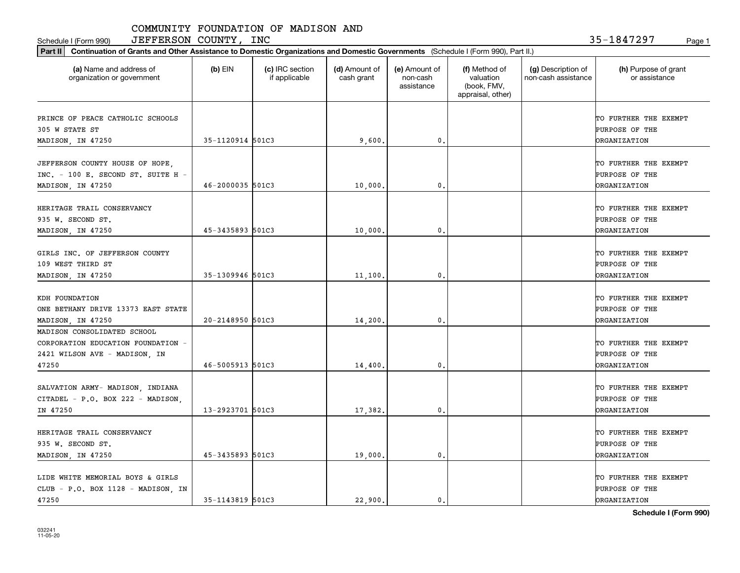Schedule I (Form 990)  ${\rm JEFFERSON}$  COUNTY,  ${\rm INC}$  35-1847297 Page 1

| (a) Name and address of<br>organization or government                                                       | $(b)$ EIN        | (c) IRC section<br>if applicable | (d) Amount of<br>cash grant | (e) Amount of<br>non-cash<br>assistance | (f) Method of<br>valuation<br>(book, FMV,<br>appraisal, other) | (g) Description of<br>non-cash assistance | (h) Purpose of grant<br>or assistance                          |
|-------------------------------------------------------------------------------------------------------------|------------------|----------------------------------|-----------------------------|-----------------------------------------|----------------------------------------------------------------|-------------------------------------------|----------------------------------------------------------------|
| PRINCE OF PEACE CATHOLIC SCHOOLS<br>305 W STATE ST                                                          |                  |                                  |                             |                                         |                                                                |                                           | TO FURTHER THE EXEMPT<br>PURPOSE OF THE                        |
| MADISON, IN 47250                                                                                           | 35-1120914 501C3 |                                  | 9,600                       | 0.                                      |                                                                |                                           | <b>DRGANIZATION</b>                                            |
| JEFFERSON COUNTY HOUSE OF HOPE,<br>INC. - 100 E. SECOND ST. SUITE H -<br>MADISON, IN 47250                  | 46-2000035 501C3 |                                  | 10,000                      | 0.                                      |                                                                |                                           | TO FURTHER THE EXEMPT<br>PURPOSE OF THE<br><b>DRGANIZATION</b> |
| HERITAGE TRAIL CONSERVANCY<br>935 W. SECOND ST.<br>MADISON, IN 47250                                        | 45-3435893 501C3 |                                  | 10,000                      | $\mathbf{0}$ .                          |                                                                |                                           | TO FURTHER THE EXEMPT<br>PURPOSE OF THE<br><b>DRGANIZATION</b> |
| GIRLS INC. OF JEFFERSON COUNTY<br>109 WEST THIRD ST<br>MADISON, IN 47250                                    | 35-1309946 501C3 |                                  | 11,100                      | 0.                                      |                                                                |                                           | TO FURTHER THE EXEMPT<br>PURPOSE OF THE<br><b>ORGANIZATION</b> |
| KDH FOUNDATION<br>ONE BETHANY DRIVE 13373 EAST STATE<br>MADISON, IN 47250                                   | 20-2148950 501C3 |                                  | 14,200                      | 0.                                      |                                                                |                                           | TO FURTHER THE EXEMPT<br>PURPOSE OF THE<br><b>ORGANIZATION</b> |
| MADISON CONSOLIDATED SCHOOL<br>CORPORATION EDUCATION FOUNDATION -<br>2421 WILSON AVE - MADISON, IN<br>47250 | 46-5005913 501C3 |                                  | 14,400                      | 0.                                      |                                                                |                                           | TO FURTHER THE EXEMPT<br>PURPOSE OF THE<br><b>DRGANIZATION</b> |
| SALVATION ARMY- MADISON, INDIANA<br>CITADEL - P.O. BOX 222 - MADISON,<br>IN 47250                           | 13-2923701 501C3 |                                  | 17,382.                     | $\mathbf{0}$ .                          |                                                                |                                           | TO FURTHER THE EXEMPT<br>PURPOSE OF THE<br><b>DRGANIZATION</b> |
| HERITAGE TRAIL CONSERVANCY<br>935 W. SECOND ST.<br>MADISON, IN 47250                                        | 45-3435893 501C3 |                                  | 19,000.                     | $\mathbf{0}$ .                          |                                                                |                                           | TO FURTHER THE EXEMPT<br>PURPOSE OF THE<br><b>ORGANIZATION</b> |
| LIDE WHITE MEMORIAL BOYS & GIRLS<br>CLUB - P.O. BOX 1128 - MADISON, IN<br>47250                             | 35-1143819 501C3 |                                  | 22.900.                     | $\mathbf{0}$ .                          |                                                                |                                           | TO FURTHER THE EXEMPT<br>PURPOSE OF THE<br><b>ORGANIZATION</b> |

**Schedule I (Form 990)**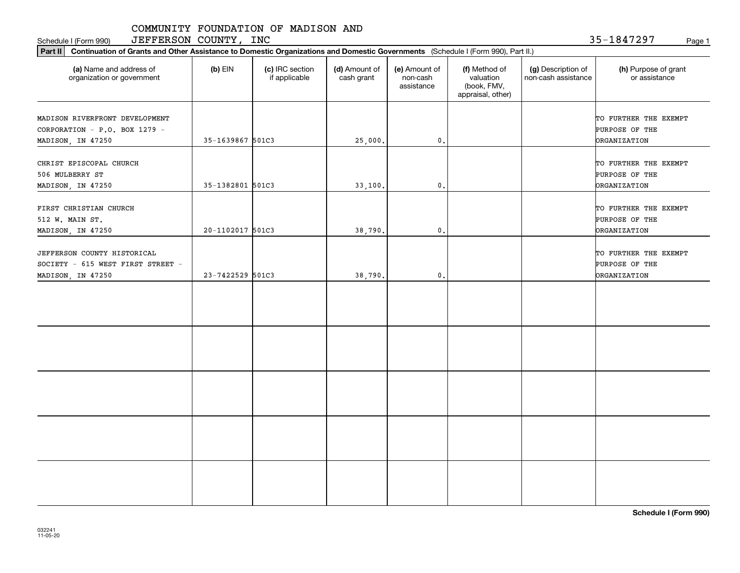Schedule I (Form 990) Page 1 JEFFERSON COUNTY, INC

35-1847297

| Part II   Continuation of Grants and Other Assistance to Domestic Organizations and Domestic Governments (Schedule I (Form 990), Part II.) |                  |                                  |                             |                                         |                                                                |                                           |                                                                |
|--------------------------------------------------------------------------------------------------------------------------------------------|------------------|----------------------------------|-----------------------------|-----------------------------------------|----------------------------------------------------------------|-------------------------------------------|----------------------------------------------------------------|
| (a) Name and address of<br>organization or government                                                                                      | $(b)$ EIN        | (c) IRC section<br>if applicable | (d) Amount of<br>cash grant | (e) Amount of<br>non-cash<br>assistance | (f) Method of<br>valuation<br>(book, FMV,<br>appraisal, other) | (g) Description of<br>non-cash assistance | (h) Purpose of grant<br>or assistance                          |
| MADISON RIVERFRONT DEVELOPMENT<br>CORPORATION - P.O. BOX 1279 -                                                                            |                  |                                  |                             |                                         |                                                                |                                           | TO FURTHER THE EXEMPT<br>PURPOSE OF THE                        |
| MADISON, IN 47250                                                                                                                          | 35-1639867 501C3 |                                  | 25,000.                     | $\mathbf{0}$ .                          |                                                                |                                           | <b>ORGANIZATION</b>                                            |
| CHRIST EPISCOPAL CHURCH<br>506 MULBERRY ST<br>MADISON, IN 47250                                                                            | 35-1382801 501C3 |                                  | 33,100.                     | $\mathbf 0$ .                           |                                                                |                                           | TO FURTHER THE EXEMPT<br>PURPOSE OF THE<br><b>ORGANIZATION</b> |
| FIRST CHRISTIAN CHURCH<br>512 W. MAIN ST.<br>MADISON, IN 47250                                                                             | 20-1102017 501C3 |                                  | 38,790.                     | $\mathfrak{o}$ .                        |                                                                |                                           | TO FURTHER THE EXEMPT<br>PURPOSE OF THE<br><b>ORGANIZATION</b> |
| JEFFERSON COUNTY HISTORICAL<br>SOCIETY - 615 WEST FIRST STREET -<br>MADISON, IN 47250                                                      | 23-7422529 501C3 |                                  | 38,790.                     | $\mathfrak o$ .                         |                                                                |                                           | TO FURTHER THE EXEMPT<br>PURPOSE OF THE<br><b>ORGANIZATION</b> |
|                                                                                                                                            |                  |                                  |                             |                                         |                                                                |                                           |                                                                |
|                                                                                                                                            |                  |                                  |                             |                                         |                                                                |                                           |                                                                |
|                                                                                                                                            |                  |                                  |                             |                                         |                                                                |                                           |                                                                |
|                                                                                                                                            |                  |                                  |                             |                                         |                                                                |                                           |                                                                |
|                                                                                                                                            |                  |                                  |                             |                                         |                                                                |                                           |                                                                |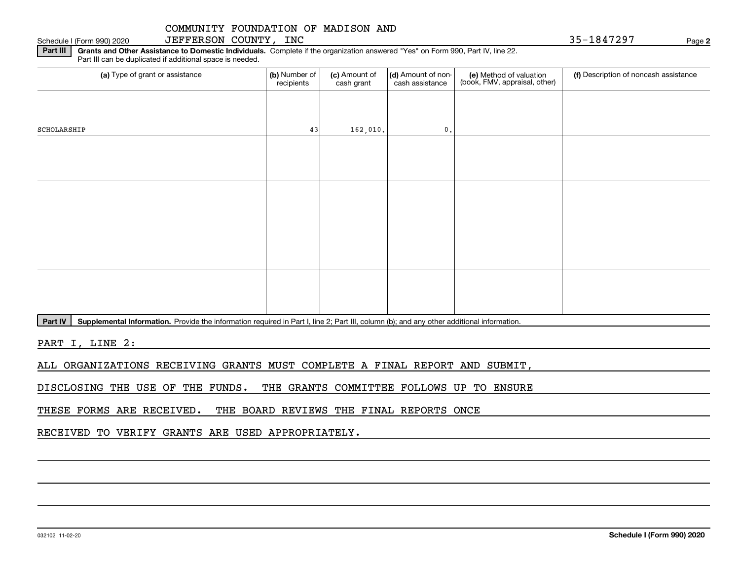**Part III | Grants and Other Assistance to Domestic Individuals. Complete if the organization answered "Yes" on Form 990, Part IV, line 22.** Schedule I (Form 990) 2020 JEFFERSON COUNTY, INC 35-1847297 Page

Part III can be duplicated if additional space is needed.

| (a) Type of grant or assistance | (b) Number of<br>recipients | (c) Amount of<br>cash grant | (d) Amount of non-<br>cash assistance | (e) Method of valuation<br>(book, FMV, appraisal, other) | (f) Description of noncash assistance |
|---------------------------------|-----------------------------|-----------------------------|---------------------------------------|----------------------------------------------------------|---------------------------------------|
|                                 |                             |                             |                                       |                                                          |                                       |
| SCHOLARSHIP                     | 43                          | 162,010.                    | $\mathfrak o$ .                       |                                                          |                                       |
|                                 |                             |                             |                                       |                                                          |                                       |
|                                 |                             |                             |                                       |                                                          |                                       |
|                                 |                             |                             |                                       |                                                          |                                       |
|                                 |                             |                             |                                       |                                                          |                                       |
|                                 |                             |                             |                                       |                                                          |                                       |
|                                 |                             |                             |                                       |                                                          |                                       |
|                                 |                             |                             |                                       |                                                          |                                       |
|                                 |                             |                             |                                       |                                                          |                                       |

Part IV | Supplemental Information. Provide the information required in Part I, line 2; Part III, column (b); and any other additional information.

PART I, LINE 2:

ALL ORGANIZATIONS RECEIVING GRANTS MUST COMPLETE A FINAL REPORT AND SUBMIT,

DISCLOSING THE USE OF THE FUNDS. THE GRANTS COMMITTEE FOLLOWS UP TO ENSURE

THESE FORMS ARE RECEIVED. THE BOARD REVIEWS THE FINAL REPORTS ONCE

RECEIVED TO VERIFY GRANTS ARE USED APPROPRIATELY.

**2**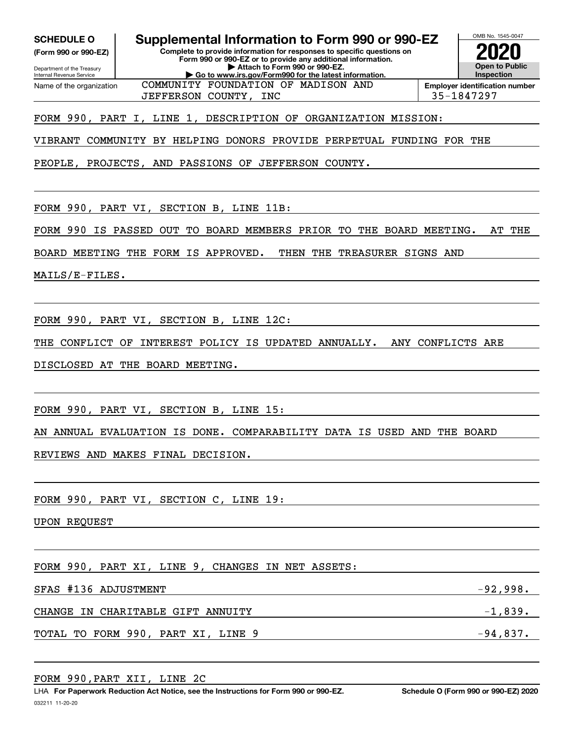**SCHEDULE O Supplemental Information to Form 990 or 990-EZ**

**(Form 990 or 990-EZ)**

**Complete to provide information for responses to specific questions on Form 990 or 990-EZ or to provide any additional information. | Attach to Form 990 or 990-EZ.**



OMB No. 1545-0047

Department of the Treasury Internal Revenue Service **| Go to www.irs.gov/Form990 for the latest information.** Name of the organization COMMUNITY FOUNDATION OF MADISON AND

**Employer identification number** JEFFERSON COUNTY, INC 35-1847297

FORM 990, PART I, LINE 1, DESCRIPTION OF ORGANIZATION MISSION:

VIBRANT COMMUNITY BY HELPING DONORS PROVIDE PERPETUAL FUNDING FOR THE

PEOPLE, PROJECTS, AND PASSIONS OF JEFFERSON COUNTY.

FORM 990, PART VI, SECTION B, LINE 11B:

FORM 990 IS PASSED OUT TO BOARD MEMBERS PRIOR TO THE BOARD MEETING. AT THE

BOARD MEETING THE FORM IS APPROVED. THEN THE TREASURER SIGNS AND

MAILS/E-FILES.

FORM 990, PART VI, SECTION B, LINE 12C:

THE CONFLICT OF INTEREST POLICY IS UPDATED ANNUALLY. ANY CONFLICTS ARE

DISCLOSED AT THE BOARD MEETING.

FORM 990, PART VI, SECTION B, LINE 15:

AN ANNUAL EVALUATION IS DONE. COMPARABILITY DATA IS USED AND THE BOARD

REVIEWS AND MAKES FINAL DECISION.

FORM 990, PART VI, SECTION C, LINE 19:

UPON REQUEST

FORM 990, PART XI, LINE 9, CHANGES IN NET ASSETS:

SFAS #136 ADJUSTMENT  $-92,998.$ 

CHANGE IN CHARITABLE GIFT ANNUITY  $-1,839$ .

TOTAL TO FORM 990, PART XI, LINE 9  $-94,837$ .

FORM 990,PART XII, LINE 2C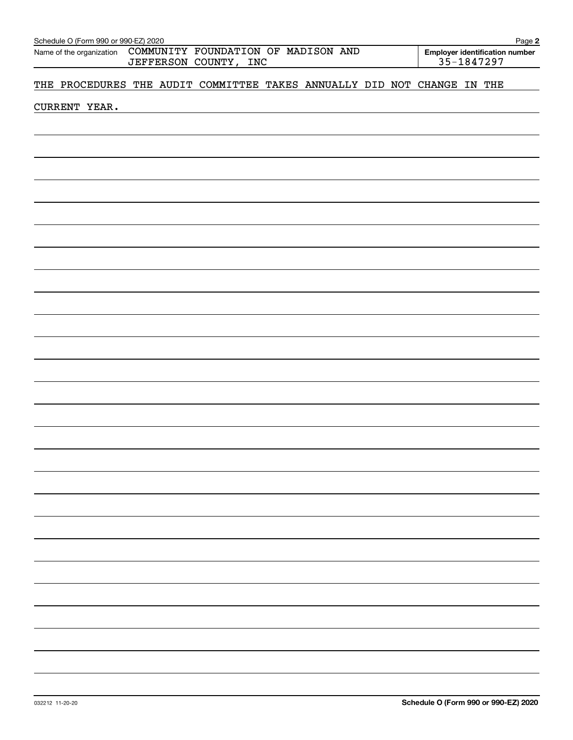| Schedule O (Form 990 or 990-EZ) 2020<br>Name of the organization COMMUNITY FOUNDATION OF MADISON AND<br>JEFFERSON COUNTY, INC |               |  |  |  |                                                                         |  | Page 2<br>Employer identification number<br>35-1847297 |  |  |  |  |
|-------------------------------------------------------------------------------------------------------------------------------|---------------|--|--|--|-------------------------------------------------------------------------|--|--------------------------------------------------------|--|--|--|--|
|                                                                                                                               |               |  |  |  | THE PROCEDURES THE AUDIT COMMITTEE TAKES ANNUALLY DID NOT CHANGE IN THE |  |                                                        |  |  |  |  |
|                                                                                                                               | CURRENT YEAR. |  |  |  |                                                                         |  |                                                        |  |  |  |  |
|                                                                                                                               |               |  |  |  |                                                                         |  |                                                        |  |  |  |  |
|                                                                                                                               |               |  |  |  |                                                                         |  |                                                        |  |  |  |  |
|                                                                                                                               |               |  |  |  |                                                                         |  |                                                        |  |  |  |  |
|                                                                                                                               |               |  |  |  |                                                                         |  |                                                        |  |  |  |  |
|                                                                                                                               |               |  |  |  |                                                                         |  |                                                        |  |  |  |  |
|                                                                                                                               |               |  |  |  |                                                                         |  |                                                        |  |  |  |  |
|                                                                                                                               |               |  |  |  |                                                                         |  |                                                        |  |  |  |  |
|                                                                                                                               |               |  |  |  |                                                                         |  |                                                        |  |  |  |  |
|                                                                                                                               |               |  |  |  |                                                                         |  |                                                        |  |  |  |  |
|                                                                                                                               |               |  |  |  |                                                                         |  |                                                        |  |  |  |  |
|                                                                                                                               |               |  |  |  |                                                                         |  |                                                        |  |  |  |  |
|                                                                                                                               |               |  |  |  |                                                                         |  |                                                        |  |  |  |  |
|                                                                                                                               |               |  |  |  |                                                                         |  |                                                        |  |  |  |  |
|                                                                                                                               |               |  |  |  |                                                                         |  |                                                        |  |  |  |  |
|                                                                                                                               |               |  |  |  |                                                                         |  |                                                        |  |  |  |  |
|                                                                                                                               |               |  |  |  |                                                                         |  |                                                        |  |  |  |  |
|                                                                                                                               |               |  |  |  |                                                                         |  |                                                        |  |  |  |  |
|                                                                                                                               |               |  |  |  |                                                                         |  |                                                        |  |  |  |  |
|                                                                                                                               |               |  |  |  |                                                                         |  |                                                        |  |  |  |  |
|                                                                                                                               |               |  |  |  |                                                                         |  |                                                        |  |  |  |  |
|                                                                                                                               |               |  |  |  |                                                                         |  |                                                        |  |  |  |  |
|                                                                                                                               |               |  |  |  |                                                                         |  |                                                        |  |  |  |  |
|                                                                                                                               |               |  |  |  |                                                                         |  |                                                        |  |  |  |  |
|                                                                                                                               |               |  |  |  |                                                                         |  |                                                        |  |  |  |  |
|                                                                                                                               |               |  |  |  |                                                                         |  |                                                        |  |  |  |  |
|                                                                                                                               |               |  |  |  |                                                                         |  |                                                        |  |  |  |  |
|                                                                                                                               |               |  |  |  |                                                                         |  |                                                        |  |  |  |  |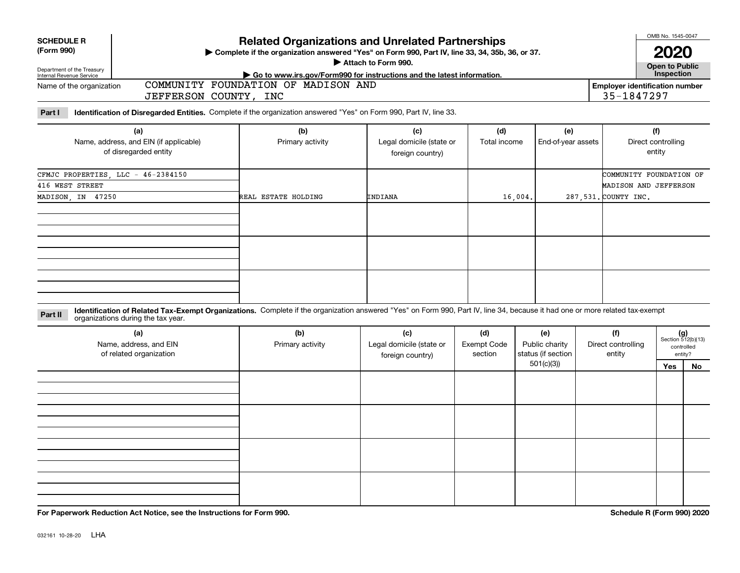| <b>SCHEDULE R</b> |  |
|-------------------|--|
|                   |  |

### **(Form 990)**

# ant of the

# **Related Organizations and Unrelated Partnerships**

**Complete if the organization answered "Yes" on Form 990, Part IV, line 33, 34, 35b, 36, or 37.** |

**Attach to Form 990.**  |

**Open to Public 2020**

OMB No. 1545-0047

| <u>DUDUI IIIUIII UI IIU IIUUUUI</u><br>Internal Revenue Service | $\cdot$ Go to www.irs.gov/Form990 for instructions and the latest information. | <b>Inspection</b>                     |
|-----------------------------------------------------------------|--------------------------------------------------------------------------------|---------------------------------------|
| Name of the organization                                        | AND<br>COMMUNITY<br>FOUNDATION<br>MADISON<br>OF                                | <b>Employer identification number</b> |
|                                                                 | INC<br><b>COUNTY</b><br>JEFFERSON                                              | 1847297<br>$25 -$                     |
|                                                                 |                                                                                |                                       |

**Part I Identification of Disregarded Entities.**  Complete if the organization answered "Yes" on Form 990, Part IV, line 33.

| (a)<br>Name, address, and EIN (if applicable)<br>of disregarded entity | (b)<br>Primary activity | (c)<br>Legal domicile (state or | (d)<br>Total income | (e)<br>End-of-year assets | (f)<br>Direct controlling<br>entity |
|------------------------------------------------------------------------|-------------------------|---------------------------------|---------------------|---------------------------|-------------------------------------|
|                                                                        |                         | foreign country)                |                     |                           |                                     |
| CFMJC PROPERTIES, LLC - 46-2384150                                     |                         |                                 |                     |                           | COMMUNITY FOUNDATION OF             |
| 416 WEST STREET                                                        |                         |                                 |                     |                           | MADISON AND JEFFERSON               |
| MADISON, IN 47250                                                      | REAL ESTATE HOLDING     | INDIANA                         | 16,004.             |                           | 287, 531. COUNTY INC.               |
|                                                                        |                         |                                 |                     |                           |                                     |
|                                                                        |                         |                                 |                     |                           |                                     |
|                                                                        |                         |                                 |                     |                           |                                     |
|                                                                        |                         |                                 |                     |                           |                                     |
|                                                                        |                         |                                 |                     |                           |                                     |
|                                                                        |                         |                                 |                     |                           |                                     |
|                                                                        |                         |                                 |                     |                           |                                     |
|                                                                        |                         |                                 |                     |                           |                                     |
|                                                                        |                         |                                 |                     |                           |                                     |

**Identification of Related Tax-Exempt Organizations.** Complete if the organization answered "Yes" on Form 990, Part IV, line 34, because it had one or more related tax-exempt **Part II** organizations during the tax year.

| (a)<br>Name, address, and EIN<br>of related organization | (b)<br>Primary activity | (c)<br>Legal domicile (state or<br>foreign country) | (d)<br><b>Exempt Code</b><br>section | (e)<br>Public charity<br>status (if section | (f)<br>Direct controlling<br>entity |     | $(g)$<br>Section 512(b)(13)<br>controlled<br>entity? |
|----------------------------------------------------------|-------------------------|-----------------------------------------------------|--------------------------------------|---------------------------------------------|-------------------------------------|-----|------------------------------------------------------|
|                                                          |                         |                                                     | 501(c)(3)                            |                                             |                                     | Yes | No                                                   |
|                                                          |                         |                                                     |                                      |                                             |                                     |     |                                                      |
|                                                          |                         |                                                     |                                      |                                             |                                     |     |                                                      |
|                                                          |                         |                                                     |                                      |                                             |                                     |     |                                                      |
|                                                          |                         |                                                     |                                      |                                             |                                     |     |                                                      |

**For Paperwork Reduction Act Notice, see the Instructions for Form 990. Schedule R (Form 990) 2020**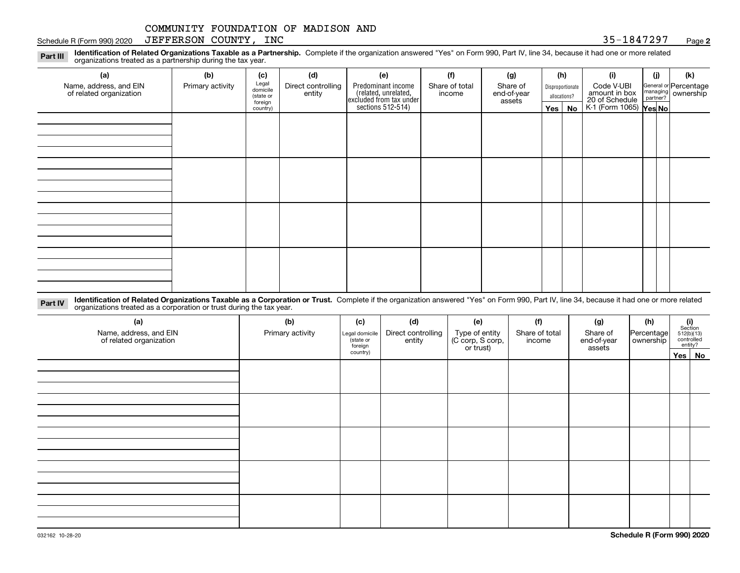#### Schedule R (Form 990) 2020  ${\rm JEFFERSON}$  COUNTY,  ${\rm INC}$  and the set of the set of the set of the set of the set of the set of the set of the set of the set of the set of the set of the set of the set of the set of the set of

**2**

**Identification of Related Organizations Taxable as a Partnership.** Complete if the organization answered "Yes" on Form 990, Part IV, line 34, because it had one or more related **Part III** organizations treated as a partnership during the tax year.

| (a)                                               | (b)              | (c)                  | (d)                          | (e)                                                                 | (f)                      | (g)                     |              | (h)              | (i)                                                       | (j) | (k)                                                     |
|---------------------------------------------------|------------------|----------------------|------------------------------|---------------------------------------------------------------------|--------------------------|-------------------------|--------------|------------------|-----------------------------------------------------------|-----|---------------------------------------------------------|
| Name, address, and EIN<br>of related organization | Primary activity | Legal<br>domicile    | Direct controlling<br>entity | Predominant income                                                  | Share of total<br>income | Share of<br>end-of-year |              | Disproportionate | Code V-UBI                                                |     | General or Percentage<br>managing ownership<br>partner? |
|                                                   |                  | (state or<br>foreign |                              |                                                                     |                          | assets                  | allocations? |                  |                                                           |     |                                                         |
|                                                   |                  | country)             |                              | related, unrelated,<br>excluded from tax under<br>sections 512-514) |                          |                         |              | Yes   No         | amount in box<br>20 of Schedule<br>K-1 (Form 1065) Yes No |     |                                                         |
|                                                   |                  |                      |                              |                                                                     |                          |                         |              |                  |                                                           |     |                                                         |
|                                                   |                  |                      |                              |                                                                     |                          |                         |              |                  |                                                           |     |                                                         |
|                                                   |                  |                      |                              |                                                                     |                          |                         |              |                  |                                                           |     |                                                         |
|                                                   |                  |                      |                              |                                                                     |                          |                         |              |                  |                                                           |     |                                                         |
|                                                   |                  |                      |                              |                                                                     |                          |                         |              |                  |                                                           |     |                                                         |
|                                                   |                  |                      |                              |                                                                     |                          |                         |              |                  |                                                           |     |                                                         |
|                                                   |                  |                      |                              |                                                                     |                          |                         |              |                  |                                                           |     |                                                         |
|                                                   |                  |                      |                              |                                                                     |                          |                         |              |                  |                                                           |     |                                                         |
|                                                   |                  |                      |                              |                                                                     |                          |                         |              |                  |                                                           |     |                                                         |
|                                                   |                  |                      |                              |                                                                     |                          |                         |              |                  |                                                           |     |                                                         |
|                                                   |                  |                      |                              |                                                                     |                          |                         |              |                  |                                                           |     |                                                         |
|                                                   |                  |                      |                              |                                                                     |                          |                         |              |                  |                                                           |     |                                                         |
|                                                   |                  |                      |                              |                                                                     |                          |                         |              |                  |                                                           |     |                                                         |
|                                                   |                  |                      |                              |                                                                     |                          |                         |              |                  |                                                           |     |                                                         |
|                                                   |                  |                      |                              |                                                                     |                          |                         |              |                  |                                                           |     |                                                         |
|                                                   |                  |                      |                              |                                                                     |                          |                         |              |                  |                                                           |     |                                                         |
|                                                   |                  |                      |                              |                                                                     |                          |                         |              |                  |                                                           |     |                                                         |

**Identification of Related Organizations Taxable as a Corporation or Trust.** Complete if the organization answered "Yes" on Form 990, Part IV, line 34, because it had one or more related **Part IV** organizations treated as a corporation or trust during the tax year.

| (a)<br>Name, address, and EIN<br>of related organization | (b)<br>Primary activity | (c)<br>Legal domicile<br>(state or<br>foreign | (d)<br>(f)<br>(e)<br>(g)<br>Direct controlling<br>Type of entity<br>(C corp, S corp,<br>or trust)<br>Share of total<br>entity<br>income |  | Share of<br>end-of-year<br>assets | (h)<br> Percentage <br>ownership | $\begin{array}{c} \textbf{(i)}\\ \text{Section}\\ 512 \text{(b)} \text{(13)}\\ \text{controlled}\\ \text{entity?} \end{array}$ |        |
|----------------------------------------------------------|-------------------------|-----------------------------------------------|-----------------------------------------------------------------------------------------------------------------------------------------|--|-----------------------------------|----------------------------------|--------------------------------------------------------------------------------------------------------------------------------|--------|
|                                                          |                         | country)                                      |                                                                                                                                         |  |                                   |                                  |                                                                                                                                | Yes No |
|                                                          |                         |                                               |                                                                                                                                         |  |                                   |                                  |                                                                                                                                |        |
|                                                          |                         |                                               |                                                                                                                                         |  |                                   |                                  |                                                                                                                                |        |
|                                                          |                         |                                               |                                                                                                                                         |  |                                   |                                  |                                                                                                                                |        |
|                                                          |                         |                                               |                                                                                                                                         |  |                                   |                                  |                                                                                                                                |        |
|                                                          |                         |                                               |                                                                                                                                         |  |                                   |                                  |                                                                                                                                |        |
|                                                          |                         |                                               |                                                                                                                                         |  |                                   |                                  |                                                                                                                                |        |
|                                                          |                         |                                               |                                                                                                                                         |  |                                   |                                  |                                                                                                                                |        |
|                                                          |                         |                                               |                                                                                                                                         |  |                                   |                                  |                                                                                                                                |        |
|                                                          |                         |                                               |                                                                                                                                         |  |                                   |                                  |                                                                                                                                |        |
|                                                          |                         |                                               |                                                                                                                                         |  |                                   |                                  |                                                                                                                                |        |
|                                                          |                         |                                               |                                                                                                                                         |  |                                   |                                  |                                                                                                                                |        |
|                                                          |                         |                                               |                                                                                                                                         |  |                                   |                                  |                                                                                                                                |        |
|                                                          |                         |                                               |                                                                                                                                         |  |                                   |                                  |                                                                                                                                |        |
|                                                          |                         |                                               |                                                                                                                                         |  |                                   |                                  |                                                                                                                                |        |
|                                                          |                         |                                               |                                                                                                                                         |  |                                   |                                  |                                                                                                                                |        |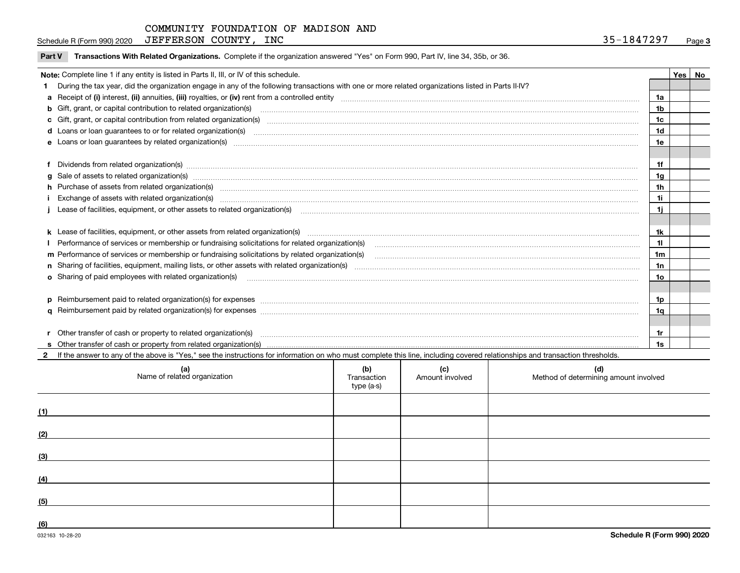| Schedule R (Form 990) 2020 | JEFFERSON COUNTY, | INC | 817297<br>-18472.<br>ر ر | Page |
|----------------------------|-------------------|-----|--------------------------|------|
|----------------------------|-------------------|-----|--------------------------|------|

**Part V** T**ransactions With Related Organizations.** Complete if the organization answered "Yes" on Form 990, Part IV, line 34, 35b, or 36.

| Note: Complete line 1 if any entity is listed in Parts II, III, or IV of this schedule. |                                                                                                                                                                                                                                      |                |  |  |  |  |
|-----------------------------------------------------------------------------------------|--------------------------------------------------------------------------------------------------------------------------------------------------------------------------------------------------------------------------------------|----------------|--|--|--|--|
|                                                                                         | During the tax year, did the organization engage in any of the following transactions with one or more related organizations listed in Parts II-IV?                                                                                  |                |  |  |  |  |
|                                                                                         |                                                                                                                                                                                                                                      | 1a             |  |  |  |  |
|                                                                                         | <b>b</b> Gift, grant, or capital contribution to related organization(s)                                                                                                                                                             | 1b             |  |  |  |  |
|                                                                                         | c Gift, grant, or capital contribution from related organization(s)                                                                                                                                                                  | 1c             |  |  |  |  |
|                                                                                         | <b>d</b> Loans or loan quarantees to or for related organization(s)                                                                                                                                                                  | 1d             |  |  |  |  |
|                                                                                         | e Loans or loan quarantees by related organization(s)                                                                                                                                                                                | 1e             |  |  |  |  |
|                                                                                         |                                                                                                                                                                                                                                      |                |  |  |  |  |
|                                                                                         | f Dividends from related organization(s) manufactured contains and contained a series of the contact of the contact of the contact of the contact of the contact of the contact of the contact of the contact of the contact o       | 1f             |  |  |  |  |
|                                                                                         | g Sale of assets to related organization(s) www.assettion.com/www.assettion.com/www.assettion.com/www.assettion.com/www.assettion.com/www.assettion.com/www.assettion.com/www.assettion.com/www.assettion.com/www.assettion.co       | 1g             |  |  |  |  |
|                                                                                         | h Purchase of assets from related organization(s) manufactured and content to content the content of assets from related organization(s)                                                                                             | 1h             |  |  |  |  |
|                                                                                         | Exchange of assets with related organization(s) material content and content to the content of the content of the content of the content of the content of the content of the content of the content of the content of the con       | 1i             |  |  |  |  |
|                                                                                         |                                                                                                                                                                                                                                      | 1i.            |  |  |  |  |
|                                                                                         |                                                                                                                                                                                                                                      |                |  |  |  |  |
|                                                                                         |                                                                                                                                                                                                                                      | 1k             |  |  |  |  |
|                                                                                         | Performance of services or membership or fundraising solicitations for related organization(s)                                                                                                                                       | 11             |  |  |  |  |
|                                                                                         | m Performance of services or membership or fundraising solicitations by related organization(s)                                                                                                                                      | 1 <sub>m</sub> |  |  |  |  |
|                                                                                         |                                                                                                                                                                                                                                      | 1n             |  |  |  |  |
|                                                                                         | o Sharing of paid employees with related organization(s) <b>contract to consumer contract to consumer and consumer consumer and consumer consumer consumer consumer consumer consumer consumer consumer consumer consumer consum</b> | 10             |  |  |  |  |
|                                                                                         |                                                                                                                                                                                                                                      |                |  |  |  |  |
|                                                                                         | p Reimbursement paid to related organization(s) for expenses [1111] and the content of the content of the content of the content of the content of the content of the content of the content of the content of the content of        | 1p             |  |  |  |  |
|                                                                                         |                                                                                                                                                                                                                                      | 1a             |  |  |  |  |
|                                                                                         |                                                                                                                                                                                                                                      |                |  |  |  |  |
|                                                                                         | r Other transfer of cash or property to related organization(s)                                                                                                                                                                      | 1r             |  |  |  |  |
|                                                                                         |                                                                                                                                                                                                                                      | 1s             |  |  |  |  |

**2**If the answer to any of the above is "Yes," see the instructions for information on who must complete this line, including covered relationships and transaction thresholds. **(a) (b) (c) (d) (1)**Name of related organization  $\vert$  Transaction type (a-s) Amount involved letter are method of determining amount involved

| . <i>.</i> |  |  |
|------------|--|--|
| (2)        |  |  |
| (3)        |  |  |
| (4)        |  |  |
|            |  |  |
| (5)        |  |  |
| (6)        |  |  |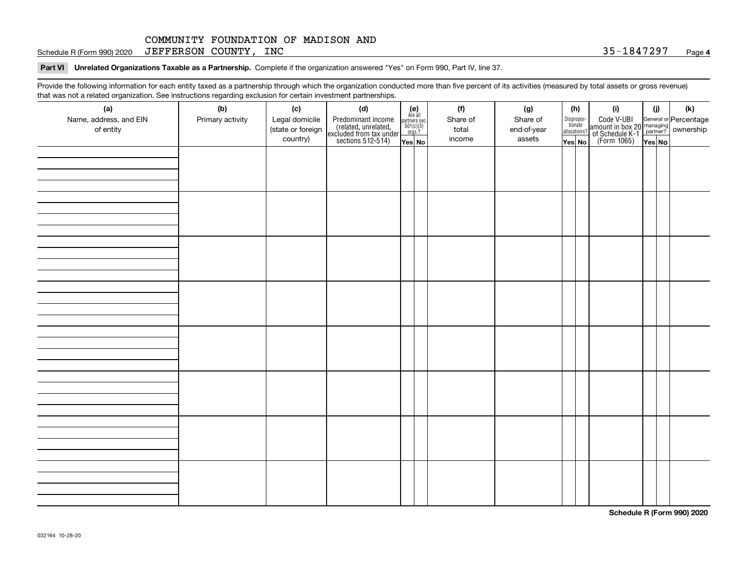Schedule R (Form 990) 2020  ${\rm JEFFERSON}$   ${\rm COUNTY}$  ,  ${\rm INC}$   ${\rm SOIN}$   ${\rm SO}$   ${\rm SO}$   ${\rm SO}$   ${\rm SO}$   ${\rm SU}(2)$  .  ${\rm Sp}$   ${\rm Sp}$ 

**Part VI Unrelated Organizations Taxable as a Partnership. Complete if the organization answered "Yes" on Form 990, Part IV, line 37.** 

Provide the following information for each entity taxed as a partnership through which the organization conducted more than five percent of its activities (measured by total assets or gross revenue) that was not a related organization. See instructions regarding exclusion for certain investment partnerships.

| .<br>(a)               | (b)              | (c)               | .<br><br>(d)                                                                               |                                                          |  | (f)      | (g)         |  | (h)                   | (i)                                                                                          | (i) | (k) |
|------------------------|------------------|-------------------|--------------------------------------------------------------------------------------------|----------------------------------------------------------|--|----------|-------------|--|-----------------------|----------------------------------------------------------------------------------------------|-----|-----|
| Name, address, and EIN | Primary activity | Legal domicile    |                                                                                            | (e)<br>Are all<br>partners sec.<br>$501(c)(3)$<br>orgs.? |  | Share of | Share of    |  |                       |                                                                                              |     |     |
| of entity              |                  | (state or foreign |                                                                                            |                                                          |  | total    | end-of-year |  | Dispropor-<br>tionate |                                                                                              |     |     |
|                        |                  | country)          | Predominant income<br>(related, unrelated,<br>excluded from tax under<br>sections 512-514) |                                                          |  | income   | assets      |  | allocations?          | Code V-UBI<br>amount in box 20 managing<br>of Schedule K-1 partner?<br>(Form 1065)<br>ves No |     |     |
|                        |                  |                   |                                                                                            | Yes No                                                   |  |          |             |  | Yes│No                |                                                                                              |     |     |
|                        |                  |                   |                                                                                            |                                                          |  |          |             |  |                       |                                                                                              |     |     |
|                        |                  |                   |                                                                                            |                                                          |  |          |             |  |                       |                                                                                              |     |     |
|                        |                  |                   |                                                                                            |                                                          |  |          |             |  |                       |                                                                                              |     |     |
|                        |                  |                   |                                                                                            |                                                          |  |          |             |  |                       |                                                                                              |     |     |
|                        |                  |                   |                                                                                            |                                                          |  |          |             |  |                       |                                                                                              |     |     |
|                        |                  |                   |                                                                                            |                                                          |  |          |             |  |                       |                                                                                              |     |     |
|                        |                  |                   |                                                                                            |                                                          |  |          |             |  |                       |                                                                                              |     |     |
|                        |                  |                   |                                                                                            |                                                          |  |          |             |  |                       |                                                                                              |     |     |
|                        |                  |                   |                                                                                            |                                                          |  |          |             |  |                       |                                                                                              |     |     |
|                        |                  |                   |                                                                                            |                                                          |  |          |             |  |                       |                                                                                              |     |     |
|                        |                  |                   |                                                                                            |                                                          |  |          |             |  |                       |                                                                                              |     |     |
|                        |                  |                   |                                                                                            |                                                          |  |          |             |  |                       |                                                                                              |     |     |
|                        |                  |                   |                                                                                            |                                                          |  |          |             |  |                       |                                                                                              |     |     |
|                        |                  |                   |                                                                                            |                                                          |  |          |             |  |                       |                                                                                              |     |     |
|                        |                  |                   |                                                                                            |                                                          |  |          |             |  |                       |                                                                                              |     |     |
|                        |                  |                   |                                                                                            |                                                          |  |          |             |  |                       |                                                                                              |     |     |
|                        |                  |                   |                                                                                            |                                                          |  |          |             |  |                       |                                                                                              |     |     |
|                        |                  |                   |                                                                                            |                                                          |  |          |             |  |                       |                                                                                              |     |     |
|                        |                  |                   |                                                                                            |                                                          |  |          |             |  |                       |                                                                                              |     |     |
|                        |                  |                   |                                                                                            |                                                          |  |          |             |  |                       |                                                                                              |     |     |
|                        |                  |                   |                                                                                            |                                                          |  |          |             |  |                       |                                                                                              |     |     |
|                        |                  |                   |                                                                                            |                                                          |  |          |             |  |                       |                                                                                              |     |     |
|                        |                  |                   |                                                                                            |                                                          |  |          |             |  |                       |                                                                                              |     |     |
|                        |                  |                   |                                                                                            |                                                          |  |          |             |  |                       |                                                                                              |     |     |
|                        |                  |                   |                                                                                            |                                                          |  |          |             |  |                       |                                                                                              |     |     |
|                        |                  |                   |                                                                                            |                                                          |  |          |             |  |                       |                                                                                              |     |     |
|                        |                  |                   |                                                                                            |                                                          |  |          |             |  |                       |                                                                                              |     |     |
|                        |                  |                   |                                                                                            |                                                          |  |          |             |  |                       |                                                                                              |     |     |
|                        |                  |                   |                                                                                            |                                                          |  |          |             |  |                       |                                                                                              |     |     |
|                        |                  |                   |                                                                                            |                                                          |  |          |             |  |                       |                                                                                              |     |     |
|                        |                  |                   |                                                                                            |                                                          |  |          |             |  |                       |                                                                                              |     |     |
|                        |                  |                   |                                                                                            |                                                          |  |          |             |  |                       |                                                                                              |     |     |
|                        |                  |                   |                                                                                            |                                                          |  |          |             |  |                       |                                                                                              |     |     |
|                        |                  |                   |                                                                                            |                                                          |  |          |             |  |                       |                                                                                              |     |     |
|                        |                  |                   |                                                                                            |                                                          |  |          |             |  |                       |                                                                                              |     |     |

**Schedule R (Form 990) 2020**